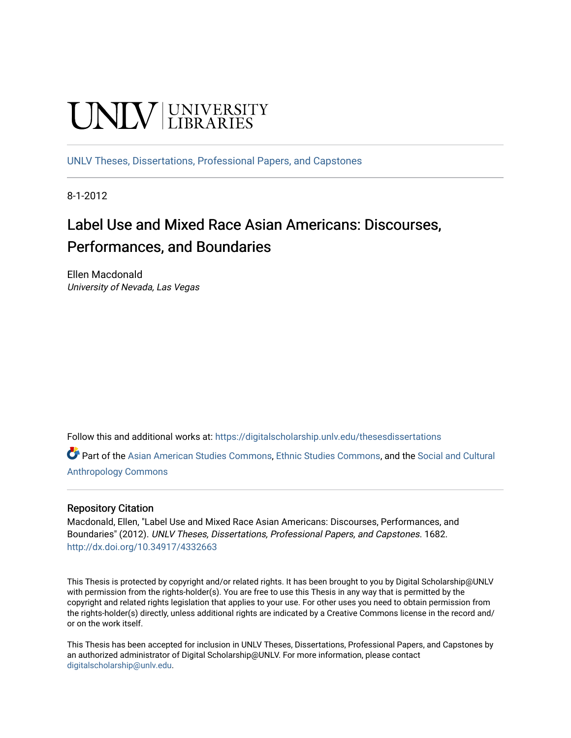# UNIV UNIVERSITY

[UNLV Theses, Dissertations, Professional Papers, and Capstones](https://digitalscholarship.unlv.edu/thesesdissertations)

8-1-2012

# Label Use and Mixed Race Asian Americans: Discourses, Performances, and Boundaries

Ellen Macdonald University of Nevada, Las Vegas

Follow this and additional works at: [https://digitalscholarship.unlv.edu/thesesdissertations](https://digitalscholarship.unlv.edu/thesesdissertations?utm_source=digitalscholarship.unlv.edu%2Fthesesdissertations%2F1682&utm_medium=PDF&utm_campaign=PDFCoverPages)

Part of the [Asian American Studies Commons,](http://network.bepress.com/hgg/discipline/568?utm_source=digitalscholarship.unlv.edu%2Fthesesdissertations%2F1682&utm_medium=PDF&utm_campaign=PDFCoverPages) [Ethnic Studies Commons](http://network.bepress.com/hgg/discipline/570?utm_source=digitalscholarship.unlv.edu%2Fthesesdissertations%2F1682&utm_medium=PDF&utm_campaign=PDFCoverPages), and the [Social and Cultural](http://network.bepress.com/hgg/discipline/323?utm_source=digitalscholarship.unlv.edu%2Fthesesdissertations%2F1682&utm_medium=PDF&utm_campaign=PDFCoverPages) [Anthropology Commons](http://network.bepress.com/hgg/discipline/323?utm_source=digitalscholarship.unlv.edu%2Fthesesdissertations%2F1682&utm_medium=PDF&utm_campaign=PDFCoverPages)

#### Repository Citation

Macdonald, Ellen, "Label Use and Mixed Race Asian Americans: Discourses, Performances, and Boundaries" (2012). UNLV Theses, Dissertations, Professional Papers, and Capstones. 1682. <http://dx.doi.org/10.34917/4332663>

This Thesis is protected by copyright and/or related rights. It has been brought to you by Digital Scholarship@UNLV with permission from the rights-holder(s). You are free to use this Thesis in any way that is permitted by the copyright and related rights legislation that applies to your use. For other uses you need to obtain permission from the rights-holder(s) directly, unless additional rights are indicated by a Creative Commons license in the record and/ or on the work itself.

This Thesis has been accepted for inclusion in UNLV Theses, Dissertations, Professional Papers, and Capstones by an authorized administrator of Digital Scholarship@UNLV. For more information, please contact [digitalscholarship@unlv.edu](mailto:digitalscholarship@unlv.edu).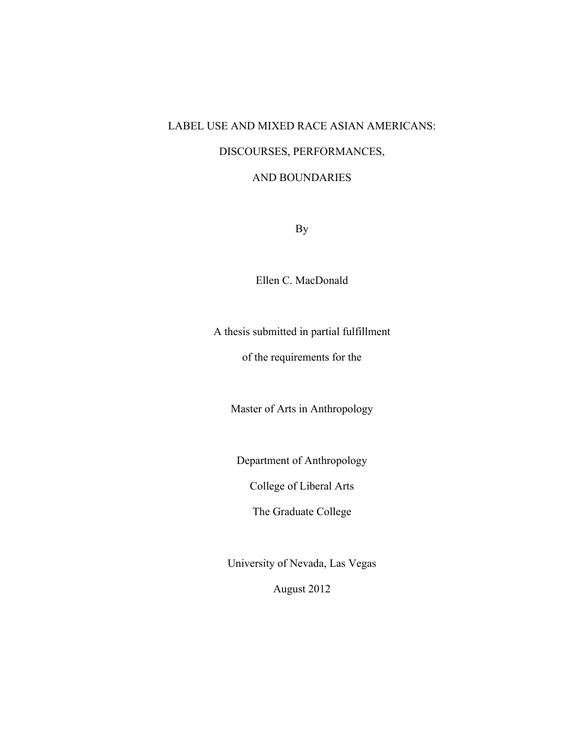# LABEL USE AND MIXED RACE ASIAN AMERICANS:

# DISCOURSES, PERFORMANCES,

#### AND BOUNDARIES

By

Ellen C. MacDonald

A thesis submitted in partial fulfillment

of the requirements for the

Master of Arts in Anthropology

Department of Anthropology

College of Liberal Arts

The Graduate College

University of Nevada, Las Vegas

August 2012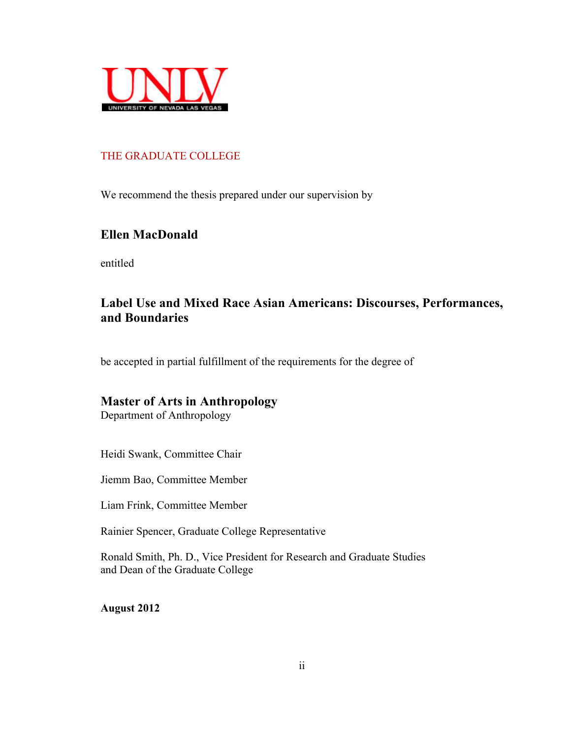

### THE GRADUATE COLLEGE

We recommend the thesis prepared under our supervision by

# **Ellen MacDonald**

entitled

# **Label Use and Mixed Race Asian Americans: Discourses, Performances, and Boundaries**

be accepted in partial fulfillment of the requirements for the degree of

## **Master of Arts in Anthropology**

Department of Anthropology

Heidi Swank, Committee Chair

Jiemm Bao, Committee Member

Liam Frink, Committee Member

Rainier Spencer, Graduate College Representative

Ronald Smith, Ph. D., Vice President for Research and Graduate Studies and Dean of the Graduate College

**August 2012**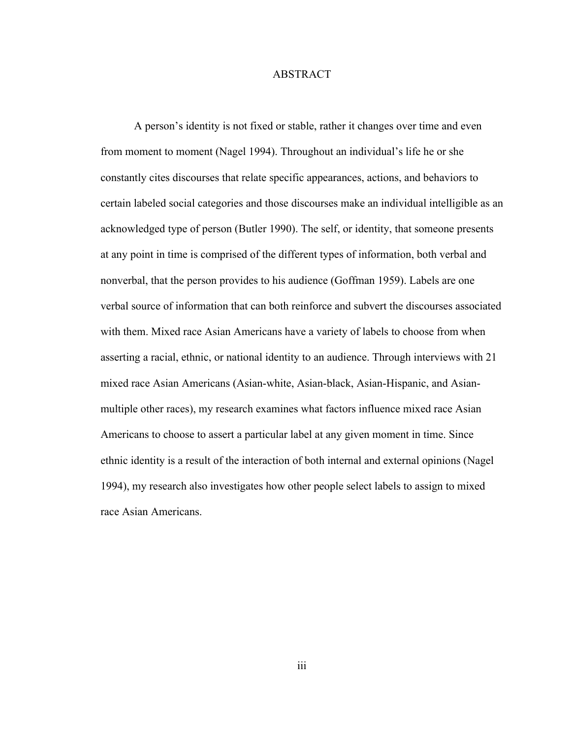#### ABSTRACT

A person's identity is not fixed or stable, rather it changes over time and even from moment to moment (Nagel 1994). Throughout an individual's life he or she constantly cites discourses that relate specific appearances, actions, and behaviors to certain labeled social categories and those discourses make an individual intelligible as an acknowledged type of person (Butler 1990). The self, or identity, that someone presents at any point in time is comprised of the different types of information, both verbal and nonverbal, that the person provides to his audience (Goffman 1959). Labels are one verbal source of information that can both reinforce and subvert the discourses associated with them. Mixed race Asian Americans have a variety of labels to choose from when asserting a racial, ethnic, or national identity to an audience. Through interviews with 21 mixed race Asian Americans (Asian-white, Asian-black, Asian-Hispanic, and Asianmultiple other races), my research examines what factors influence mixed race Asian Americans to choose to assert a particular label at any given moment in time. Since ethnic identity is a result of the interaction of both internal and external opinions (Nagel 1994), my research also investigates how other people select labels to assign to mixed race Asian Americans.

iii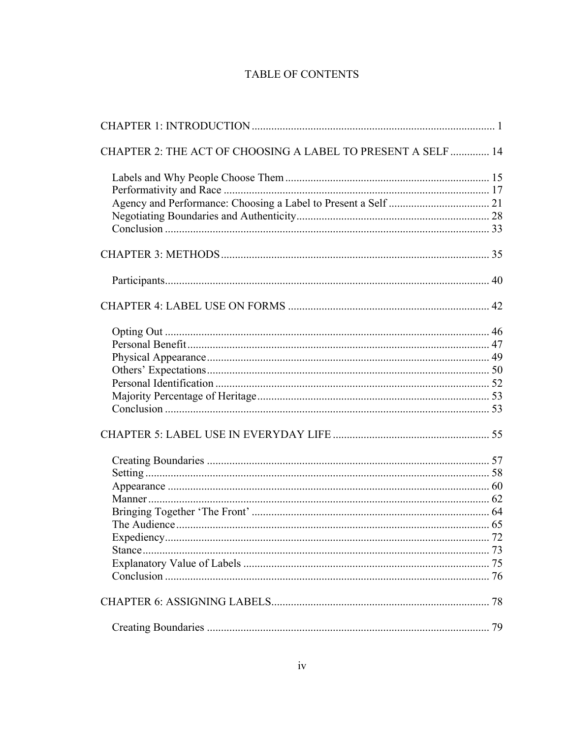# TABLE OF CONTENTS

| CHAPTER 2: THE ACT OF CHOOSING A LABEL TO PRESENT A SELF  14 |  |
|--------------------------------------------------------------|--|
|                                                              |  |
|                                                              |  |
|                                                              |  |
|                                                              |  |
|                                                              |  |
|                                                              |  |
|                                                              |  |
|                                                              |  |
|                                                              |  |
|                                                              |  |
|                                                              |  |
|                                                              |  |
|                                                              |  |
|                                                              |  |
|                                                              |  |
|                                                              |  |
|                                                              |  |
|                                                              |  |
|                                                              |  |
|                                                              |  |
|                                                              |  |
|                                                              |  |
| <u>72</u>                                                    |  |
|                                                              |  |
|                                                              |  |
|                                                              |  |
|                                                              |  |
|                                                              |  |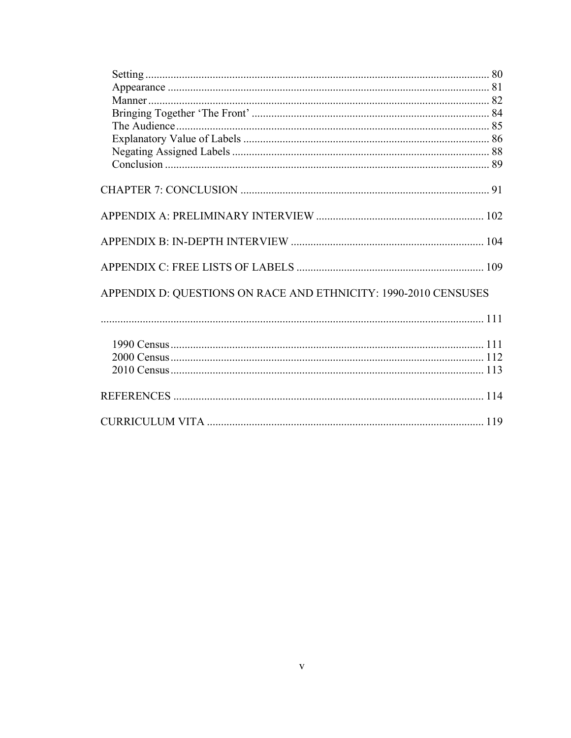| APPENDIX D: QUESTIONS ON RACE AND ETHNICITY: 1990-2010 CENSUSES                                                                                                                                                                |  |
|--------------------------------------------------------------------------------------------------------------------------------------------------------------------------------------------------------------------------------|--|
|                                                                                                                                                                                                                                |  |
| 111 note can be consumed as the contract of the constraint of the contract of the consumed and the contract of the construction of the contract of the construction of the contract of the construction of the contract of the |  |
|                                                                                                                                                                                                                                |  |
|                                                                                                                                                                                                                                |  |
|                                                                                                                                                                                                                                |  |
|                                                                                                                                                                                                                                |  |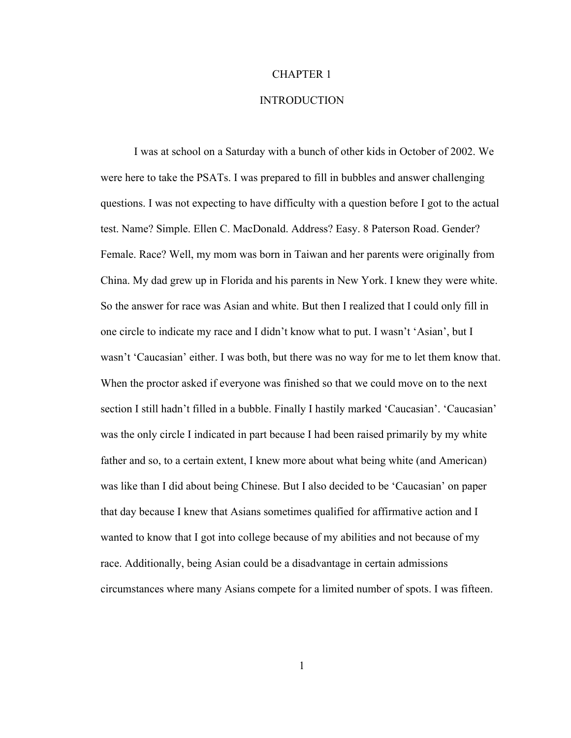#### CHAPTER 1

#### INTRODUCTION

I was at school on a Saturday with a bunch of other kids in October of 2002. We were here to take the PSATs. I was prepared to fill in bubbles and answer challenging questions. I was not expecting to have difficulty with a question before I got to the actual test. Name? Simple. Ellen C. MacDonald. Address? Easy. 8 Paterson Road. Gender? Female. Race? Well, my mom was born in Taiwan and her parents were originally from China. My dad grew up in Florida and his parents in New York. I knew they were white. So the answer for race was Asian and white. But then I realized that I could only fill in one circle to indicate my race and I didn't know what to put. I wasn't 'Asian', but I wasn't 'Caucasian' either. I was both, but there was no way for me to let them know that. When the proctor asked if everyone was finished so that we could move on to the next section I still hadn't filled in a bubble. Finally I hastily marked 'Caucasian'. 'Caucasian' was the only circle I indicated in part because I had been raised primarily by my white father and so, to a certain extent, I knew more about what being white (and American) was like than I did about being Chinese. But I also decided to be 'Caucasian' on paper that day because I knew that Asians sometimes qualified for affirmative action and I wanted to know that I got into college because of my abilities and not because of my race. Additionally, being Asian could be a disadvantage in certain admissions circumstances where many Asians compete for a limited number of spots. I was fifteen.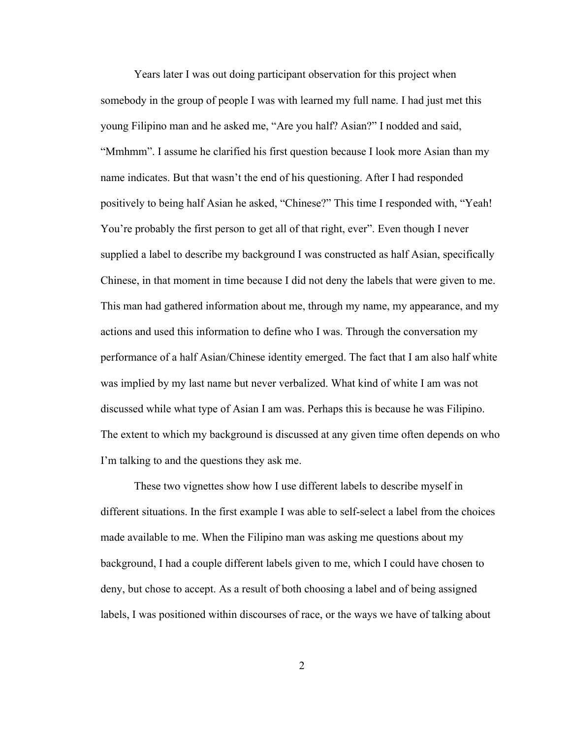Years later I was out doing participant observation for this project when somebody in the group of people I was with learned my full name. I had just met this young Filipino man and he asked me, "Are you half? Asian?" I nodded and said, "Mmhmm". I assume he clarified his first question because I look more Asian than my name indicates. But that wasn't the end of his questioning. After I had responded positively to being half Asian he asked, "Chinese?" This time I responded with, "Yeah! You're probably the first person to get all of that right, ever". Even though I never supplied a label to describe my background I was constructed as half Asian, specifically Chinese, in that moment in time because I did not deny the labels that were given to me. This man had gathered information about me, through my name, my appearance, and my actions and used this information to define who I was. Through the conversation my performance of a half Asian/Chinese identity emerged. The fact that I am also half white was implied by my last name but never verbalized. What kind of white I am was not discussed while what type of Asian I am was. Perhaps this is because he was Filipino. The extent to which my background is discussed at any given time often depends on who I'm talking to and the questions they ask me.

These two vignettes show how I use different labels to describe myself in different situations. In the first example I was able to self-select a label from the choices made available to me. When the Filipino man was asking me questions about my background, I had a couple different labels given to me, which I could have chosen to deny, but chose to accept. As a result of both choosing a label and of being assigned labels, I was positioned within discourses of race, or the ways we have of talking about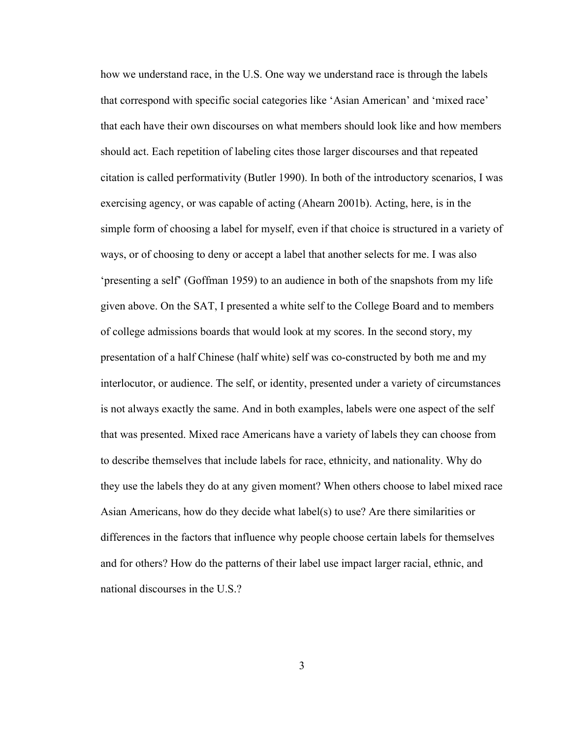how we understand race, in the U.S. One way we understand race is through the labels that correspond with specific social categories like 'Asian American' and 'mixed race' that each have their own discourses on what members should look like and how members should act. Each repetition of labeling cites those larger discourses and that repeated citation is called performativity (Butler 1990). In both of the introductory scenarios, I was exercising agency, or was capable of acting (Ahearn 2001b). Acting, here, is in the simple form of choosing a label for myself, even if that choice is structured in a variety of ways, or of choosing to deny or accept a label that another selects for me. I was also 'presenting a self' (Goffman 1959) to an audience in both of the snapshots from my life given above. On the SAT, I presented a white self to the College Board and to members of college admissions boards that would look at my scores. In the second story, my presentation of a half Chinese (half white) self was co-constructed by both me and my interlocutor, or audience. The self, or identity, presented under a variety of circumstances is not always exactly the same. And in both examples, labels were one aspect of the self that was presented. Mixed race Americans have a variety of labels they can choose from to describe themselves that include labels for race, ethnicity, and nationality. Why do they use the labels they do at any given moment? When others choose to label mixed race Asian Americans, how do they decide what label(s) to use? Are there similarities or differences in the factors that influence why people choose certain labels for themselves and for others? How do the patterns of their label use impact larger racial, ethnic, and national discourses in the U.S.?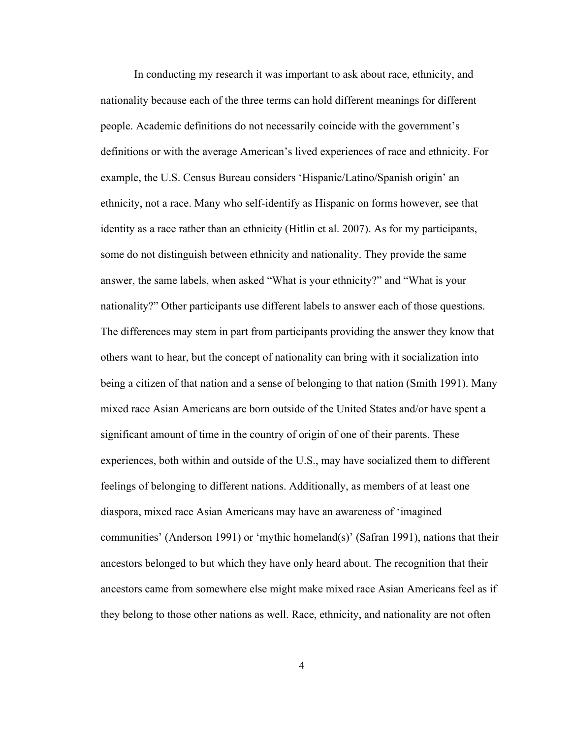In conducting my research it was important to ask about race, ethnicity, and nationality because each of the three terms can hold different meanings for different people. Academic definitions do not necessarily coincide with the government's definitions or with the average American's lived experiences of race and ethnicity. For example, the U.S. Census Bureau considers 'Hispanic/Latino/Spanish origin' an ethnicity, not a race. Many who self-identify as Hispanic on forms however, see that identity as a race rather than an ethnicity (Hitlin et al. 2007). As for my participants, some do not distinguish between ethnicity and nationality. They provide the same answer, the same labels, when asked "What is your ethnicity?" and "What is your nationality?" Other participants use different labels to answer each of those questions. The differences may stem in part from participants providing the answer they know that others want to hear, but the concept of nationality can bring with it socialization into being a citizen of that nation and a sense of belonging to that nation (Smith 1991). Many mixed race Asian Americans are born outside of the United States and/or have spent a significant amount of time in the country of origin of one of their parents. These experiences, both within and outside of the U.S., may have socialized them to different feelings of belonging to different nations. Additionally, as members of at least one diaspora, mixed race Asian Americans may have an awareness of 'imagined communities' (Anderson 1991) or 'mythic homeland(s)' (Safran 1991), nations that their ancestors belonged to but which they have only heard about. The recognition that their ancestors came from somewhere else might make mixed race Asian Americans feel as if they belong to those other nations as well. Race, ethnicity, and nationality are not often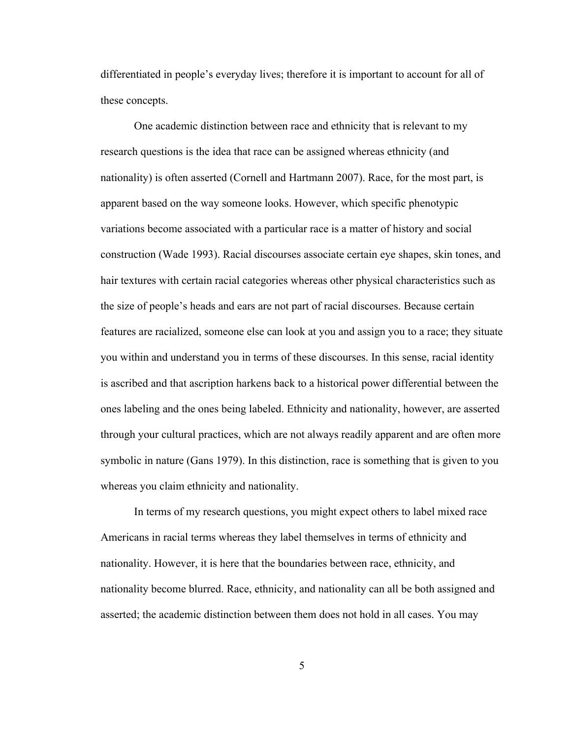differentiated in people's everyday lives; therefore it is important to account for all of these concepts.

One academic distinction between race and ethnicity that is relevant to my research questions is the idea that race can be assigned whereas ethnicity (and nationality) is often asserted (Cornell and Hartmann 2007). Race, for the most part, is apparent based on the way someone looks. However, which specific phenotypic variations become associated with a particular race is a matter of history and social construction (Wade 1993). Racial discourses associate certain eye shapes, skin tones, and hair textures with certain racial categories whereas other physical characteristics such as the size of people's heads and ears are not part of racial discourses. Because certain features are racialized, someone else can look at you and assign you to a race; they situate you within and understand you in terms of these discourses. In this sense, racial identity is ascribed and that ascription harkens back to a historical power differential between the ones labeling and the ones being labeled. Ethnicity and nationality, however, are asserted through your cultural practices, which are not always readily apparent and are often more symbolic in nature (Gans 1979). In this distinction, race is something that is given to you whereas you claim ethnicity and nationality.

In terms of my research questions, you might expect others to label mixed race Americans in racial terms whereas they label themselves in terms of ethnicity and nationality. However, it is here that the boundaries between race, ethnicity, and nationality become blurred. Race, ethnicity, and nationality can all be both assigned and asserted; the academic distinction between them does not hold in all cases. You may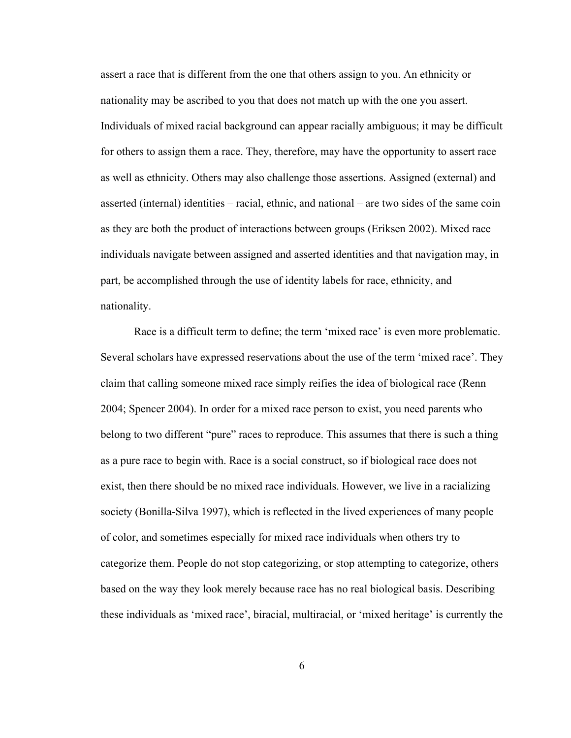assert a race that is different from the one that others assign to you. An ethnicity or nationality may be ascribed to you that does not match up with the one you assert. Individuals of mixed racial background can appear racially ambiguous; it may be difficult for others to assign them a race. They, therefore, may have the opportunity to assert race as well as ethnicity. Others may also challenge those assertions. Assigned (external) and asserted (internal) identities – racial, ethnic, and national – are two sides of the same coin as they are both the product of interactions between groups (Eriksen 2002). Mixed race individuals navigate between assigned and asserted identities and that navigation may, in part, be accomplished through the use of identity labels for race, ethnicity, and nationality.

Race is a difficult term to define; the term 'mixed race' is even more problematic. Several scholars have expressed reservations about the use of the term 'mixed race'. They claim that calling someone mixed race simply reifies the idea of biological race (Renn 2004; Spencer 2004). In order for a mixed race person to exist, you need parents who belong to two different "pure" races to reproduce. This assumes that there is such a thing as a pure race to begin with. Race is a social construct, so if biological race does not exist, then there should be no mixed race individuals. However, we live in a racializing society (Bonilla-Silva 1997), which is reflected in the lived experiences of many people of color, and sometimes especially for mixed race individuals when others try to categorize them. People do not stop categorizing, or stop attempting to categorize, others based on the way they look merely because race has no real biological basis. Describing these individuals as 'mixed race', biracial, multiracial, or 'mixed heritage' is currently the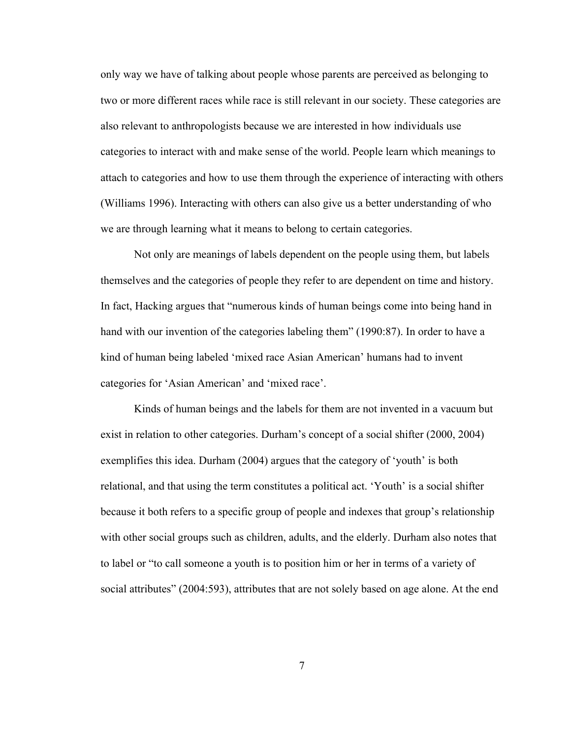only way we have of talking about people whose parents are perceived as belonging to two or more different races while race is still relevant in our society. These categories are also relevant to anthropologists because we are interested in how individuals use categories to interact with and make sense of the world. People learn which meanings to attach to categories and how to use them through the experience of interacting with others (Williams 1996). Interacting with others can also give us a better understanding of who we are through learning what it means to belong to certain categories.

Not only are meanings of labels dependent on the people using them, but labels themselves and the categories of people they refer to are dependent on time and history. In fact, Hacking argues that "numerous kinds of human beings come into being hand in hand with our invention of the categories labeling them" (1990:87). In order to have a kind of human being labeled 'mixed race Asian American' humans had to invent categories for 'Asian American' and 'mixed race'.

Kinds of human beings and the labels for them are not invented in a vacuum but exist in relation to other categories. Durham's concept of a social shifter (2000, 2004) exemplifies this idea. Durham (2004) argues that the category of 'youth' is both relational, and that using the term constitutes a political act. 'Youth' is a social shifter because it both refers to a specific group of people and indexes that group's relationship with other social groups such as children, adults, and the elderly. Durham also notes that to label or "to call someone a youth is to position him or her in terms of a variety of social attributes" (2004:593), attributes that are not solely based on age alone. At the end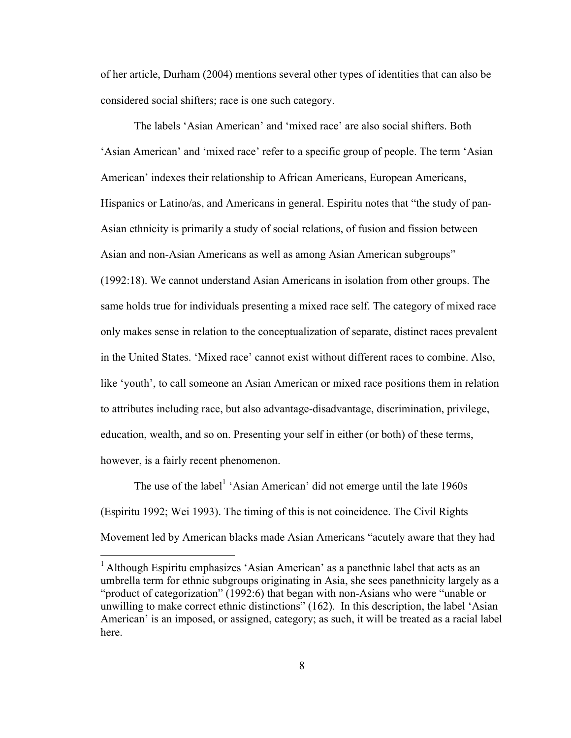of her article, Durham (2004) mentions several other types of identities that can also be considered social shifters; race is one such category.

The labels 'Asian American' and 'mixed race' are also social shifters. Both 'Asian American' and 'mixed race' refer to a specific group of people. The term 'Asian American' indexes their relationship to African Americans, European Americans, Hispanics or Latino/as, and Americans in general. Espiritu notes that "the study of pan-Asian ethnicity is primarily a study of social relations, of fusion and fission between Asian and non-Asian Americans as well as among Asian American subgroups" (1992:18). We cannot understand Asian Americans in isolation from other groups. The same holds true for individuals presenting a mixed race self. The category of mixed race only makes sense in relation to the conceptualization of separate, distinct races prevalent in the United States. 'Mixed race' cannot exist without different races to combine. Also, like 'youth', to call someone an Asian American or mixed race positions them in relation to attributes including race, but also advantage-disadvantage, discrimination, privilege, education, wealth, and so on. Presenting your self in either (or both) of these terms, however, is a fairly recent phenomenon.

The use of the label<sup>1</sup> 'Asian American' did not emerge until the late  $1960s$ (Espiritu 1992; Wei 1993). The timing of this is not coincidence. The Civil Rights Movement led by American blacks made Asian Americans "acutely aware that they had

<sup>&</sup>lt;sup>1</sup> Although Espiritu emphasizes 'Asian American' as a panethnic label that acts as an umbrella term for ethnic subgroups originating in Asia, she sees panethnicity largely as a "product of categorization" (1992:6) that began with non-Asians who were "unable or unwilling to make correct ethnic distinctions" (162). In this description, the label 'Asian American' is an imposed, or assigned, category; as such, it will be treated as a racial label here.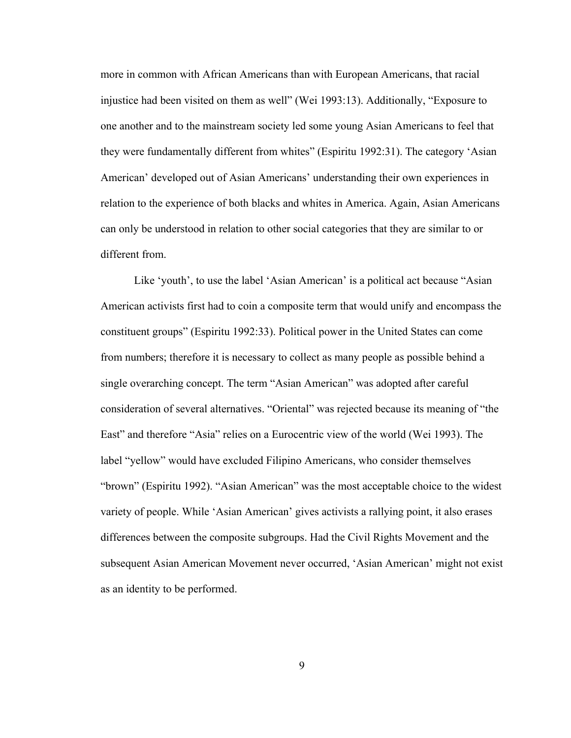more in common with African Americans than with European Americans, that racial injustice had been visited on them as well" (Wei 1993:13). Additionally, "Exposure to one another and to the mainstream society led some young Asian Americans to feel that they were fundamentally different from whites" (Espiritu 1992:31). The category 'Asian American' developed out of Asian Americans' understanding their own experiences in relation to the experience of both blacks and whites in America. Again, Asian Americans can only be understood in relation to other social categories that they are similar to or different from.

Like 'youth', to use the label 'Asian American' is a political act because "Asian American activists first had to coin a composite term that would unify and encompass the constituent groups" (Espiritu 1992:33). Political power in the United States can come from numbers; therefore it is necessary to collect as many people as possible behind a single overarching concept. The term "Asian American" was adopted after careful consideration of several alternatives. "Oriental" was rejected because its meaning of "the East" and therefore "Asia" relies on a Eurocentric view of the world (Wei 1993). The label "yellow" would have excluded Filipino Americans, who consider themselves "brown" (Espiritu 1992). "Asian American" was the most acceptable choice to the widest variety of people. While 'Asian American' gives activists a rallying point, it also erases differences between the composite subgroups. Had the Civil Rights Movement and the subsequent Asian American Movement never occurred, 'Asian American' might not exist as an identity to be performed.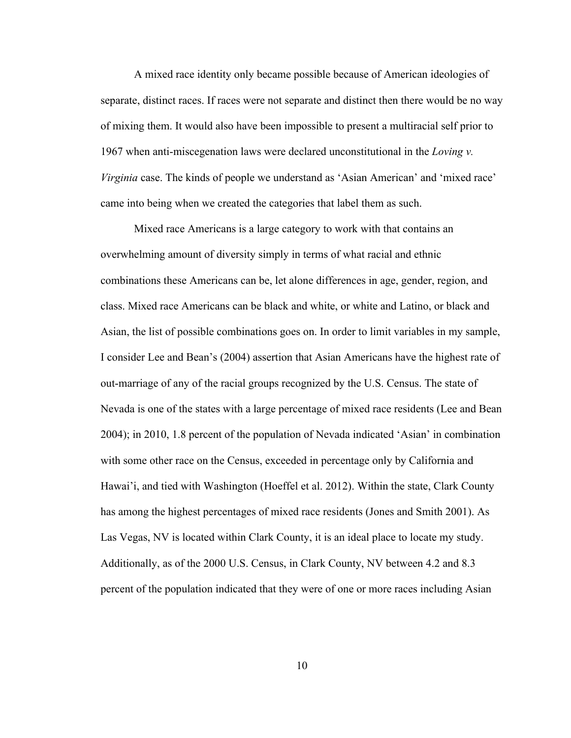A mixed race identity only became possible because of American ideologies of separate, distinct races. If races were not separate and distinct then there would be no way of mixing them. It would also have been impossible to present a multiracial self prior to 1967 when anti-miscegenation laws were declared unconstitutional in the *Loving v. Virginia* case. The kinds of people we understand as 'Asian American' and 'mixed race' came into being when we created the categories that label them as such.

Mixed race Americans is a large category to work with that contains an overwhelming amount of diversity simply in terms of what racial and ethnic combinations these Americans can be, let alone differences in age, gender, region, and class. Mixed race Americans can be black and white, or white and Latino, or black and Asian, the list of possible combinations goes on. In order to limit variables in my sample, I consider Lee and Bean's (2004) assertion that Asian Americans have the highest rate of out-marriage of any of the racial groups recognized by the U.S. Census. The state of Nevada is one of the states with a large percentage of mixed race residents (Lee and Bean 2004); in 2010, 1.8 percent of the population of Nevada indicated 'Asian' in combination with some other race on the Census, exceeded in percentage only by California and Hawai'i, and tied with Washington (Hoeffel et al. 2012). Within the state, Clark County has among the highest percentages of mixed race residents (Jones and Smith 2001). As Las Vegas, NV is located within Clark County, it is an ideal place to locate my study. Additionally, as of the 2000 U.S. Census, in Clark County, NV between 4.2 and 8.3 percent of the population indicated that they were of one or more races including Asian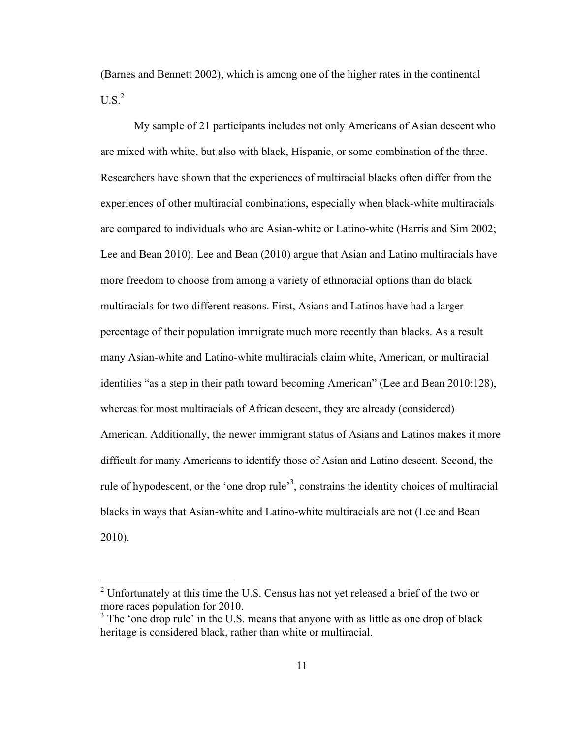(Barnes and Bennett 2002), which is among one of the higher rates in the continental  $U.S.<sup>2</sup>$ 

My sample of 21 participants includes not only Americans of Asian descent who are mixed with white, but also with black, Hispanic, or some combination of the three. Researchers have shown that the experiences of multiracial blacks often differ from the experiences of other multiracial combinations, especially when black-white multiracials are compared to individuals who are Asian-white or Latino-white (Harris and Sim 2002; Lee and Bean 2010). Lee and Bean (2010) argue that Asian and Latino multiracials have more freedom to choose from among a variety of ethnoracial options than do black multiracials for two different reasons. First, Asians and Latinos have had a larger percentage of their population immigrate much more recently than blacks. As a result many Asian-white and Latino-white multiracials claim white, American, or multiracial identities "as a step in their path toward becoming American" (Lee and Bean 2010:128), whereas for most multiracials of African descent, they are already (considered) American. Additionally, the newer immigrant status of Asians and Latinos makes it more difficult for many Americans to identify those of Asian and Latino descent. Second, the rule of hypodescent, or the 'one drop rule'<sup>3</sup>, constrains the identity choices of multiracial blacks in ways that Asian-white and Latino-white multiracials are not (Lee and Bean 2010).

<sup>&</sup>lt;sup>2</sup> Unfortunately at this time the U.S. Census has not yet released a brief of the two or more races population for 2010.

 $3$  The 'one drop rule' in the U.S. means that anyone with as little as one drop of black heritage is considered black, rather than white or multiracial.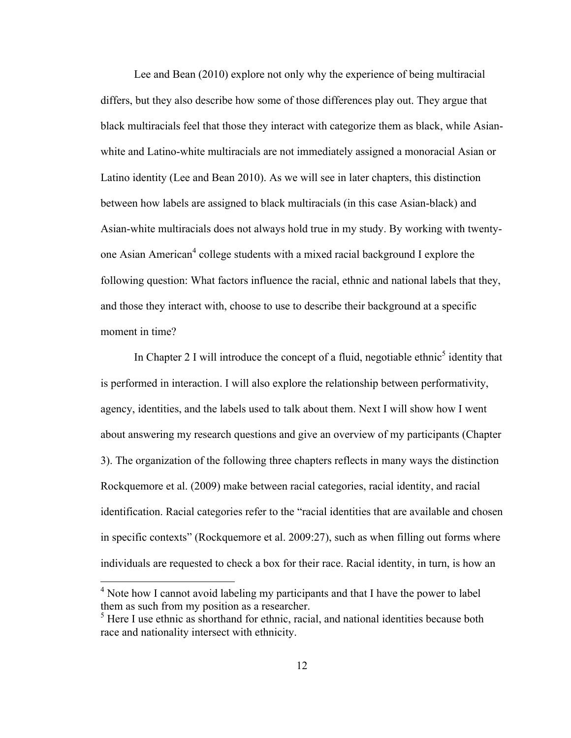Lee and Bean (2010) explore not only why the experience of being multiracial differs, but they also describe how some of those differences play out. They argue that black multiracials feel that those they interact with categorize them as black, while Asianwhite and Latino-white multiracials are not immediately assigned a monoracial Asian or Latino identity (Lee and Bean 2010). As we will see in later chapters, this distinction between how labels are assigned to black multiracials (in this case Asian-black) and Asian-white multiracials does not always hold true in my study. By working with twentyone Asian American<sup>4</sup> college students with a mixed racial background I explore the following question: What factors influence the racial, ethnic and national labels that they, and those they interact with, choose to use to describe their background at a specific moment in time?

In Chapter 2 I will introduce the concept of a fluid, negotiable ethnic<sup>5</sup> identity that is performed in interaction. I will also explore the relationship between performativity, agency, identities, and the labels used to talk about them. Next I will show how I went about answering my research questions and give an overview of my participants (Chapter 3). The organization of the following three chapters reflects in many ways the distinction Rockquemore et al. (2009) make between racial categories, racial identity, and racial identification. Racial categories refer to the "racial identities that are available and chosen in specific contexts" (Rockquemore et al. 2009:27), such as when filling out forms where individuals are requested to check a box for their race. Racial identity, in turn, is how an

<sup>4</sup> Note how I cannot avoid labeling my participants and that I have the power to label them as such from my position as a researcher.

<sup>&</sup>lt;sup>5</sup> Here I use ethnic as shorthand for ethnic, racial, and national identities because both race and nationality intersect with ethnicity.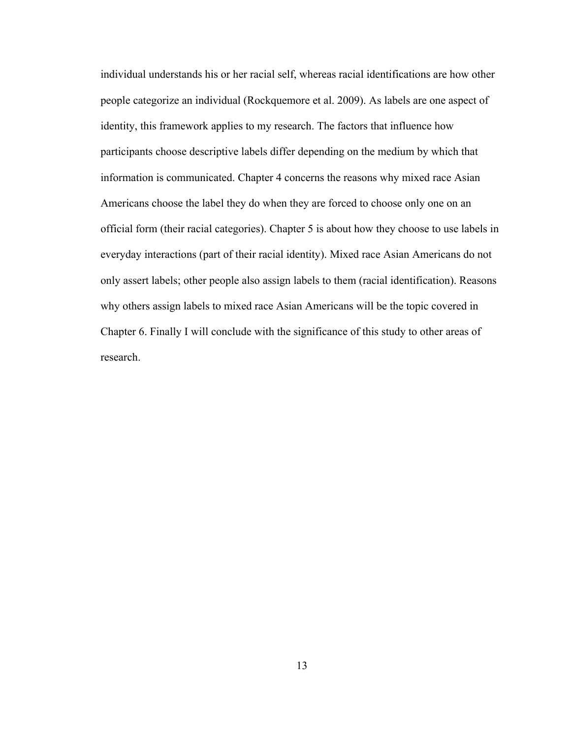individual understands his or her racial self, whereas racial identifications are how other people categorize an individual (Rockquemore et al. 2009). As labels are one aspect of identity, this framework applies to my research. The factors that influence how participants choose descriptive labels differ depending on the medium by which that information is communicated. Chapter 4 concerns the reasons why mixed race Asian Americans choose the label they do when they are forced to choose only one on an official form (their racial categories). Chapter 5 is about how they choose to use labels in everyday interactions (part of their racial identity). Mixed race Asian Americans do not only assert labels; other people also assign labels to them (racial identification). Reasons why others assign labels to mixed race Asian Americans will be the topic covered in Chapter 6. Finally I will conclude with the significance of this study to other areas of research.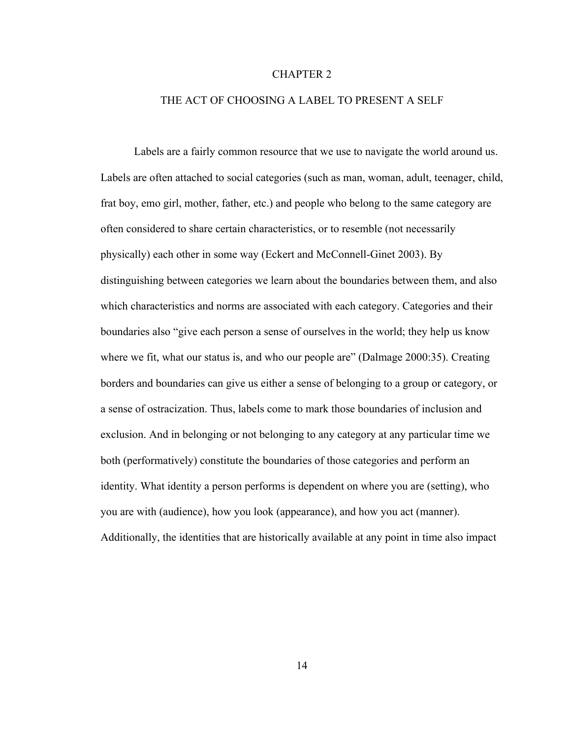#### CHAPTER 2

#### THE ACT OF CHOOSING A LABEL TO PRESENT A SELF

Labels are a fairly common resource that we use to navigate the world around us. Labels are often attached to social categories (such as man, woman, adult, teenager, child, frat boy, emo girl, mother, father, etc.) and people who belong to the same category are often considered to share certain characteristics, or to resemble (not necessarily physically) each other in some way (Eckert and McConnell-Ginet 2003). By distinguishing between categories we learn about the boundaries between them, and also which characteristics and norms are associated with each category. Categories and their boundaries also "give each person a sense of ourselves in the world; they help us know where we fit, what our status is, and who our people are" (Dalmage 2000:35). Creating borders and boundaries can give us either a sense of belonging to a group or category, or a sense of ostracization. Thus, labels come to mark those boundaries of inclusion and exclusion. And in belonging or not belonging to any category at any particular time we both (performatively) constitute the boundaries of those categories and perform an identity. What identity a person performs is dependent on where you are (setting), who you are with (audience), how you look (appearance), and how you act (manner). Additionally, the identities that are historically available at any point in time also impact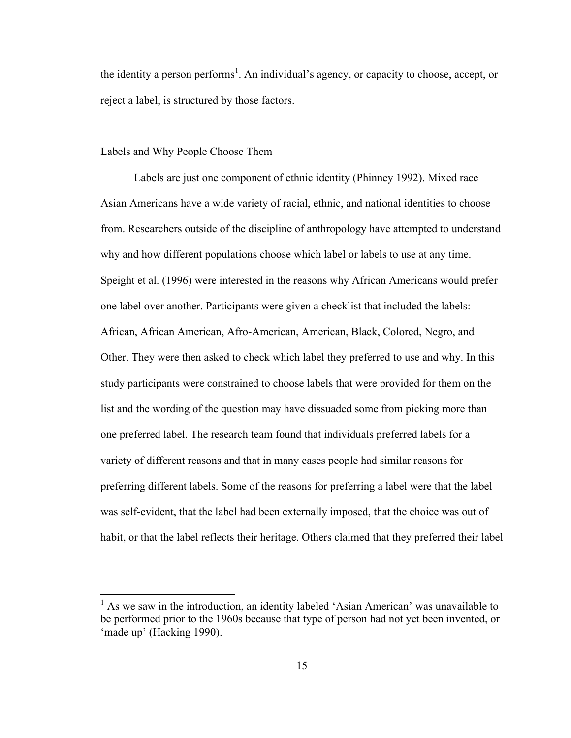the identity a person performs<sup>1</sup>. An individual's agency, or capacity to choose, accept, or reject a label, is structured by those factors.

#### Labels and Why People Choose Them

Labels are just one component of ethnic identity (Phinney 1992). Mixed race Asian Americans have a wide variety of racial, ethnic, and national identities to choose from. Researchers outside of the discipline of anthropology have attempted to understand why and how different populations choose which label or labels to use at any time. Speight et al. (1996) were interested in the reasons why African Americans would prefer one label over another. Participants were given a checklist that included the labels: African, African American, Afro-American, American, Black, Colored, Negro, and Other. They were then asked to check which label they preferred to use and why. In this study participants were constrained to choose labels that were provided for them on the list and the wording of the question may have dissuaded some from picking more than one preferred label. The research team found that individuals preferred labels for a variety of different reasons and that in many cases people had similar reasons for preferring different labels. Some of the reasons for preferring a label were that the label was self-evident, that the label had been externally imposed, that the choice was out of habit, or that the label reflects their heritage. Others claimed that they preferred their label

 $<sup>1</sup>$  As we saw in the introduction, an identity labeled 'Asian American' was unavailable to</sup> be performed prior to the 1960s because that type of person had not yet been invented, or 'made up' (Hacking 1990).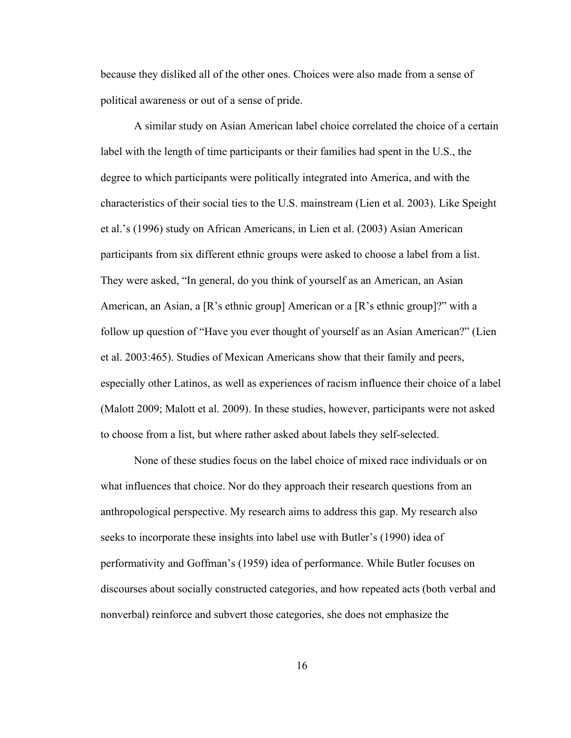because they disliked all of the other ones. Choices were also made from a sense of political awareness or out of a sense of pride.

A similar study on Asian American label choice correlated the choice of a certain label with the length of time participants or their families had spent in the U.S., the degree to which participants were politically integrated into America, and with the characteristics of their social ties to the U.S. mainstream (Lien et al. 2003). Like Speight et al.'s (1996) study on African Americans, in Lien et al. (2003) Asian American participants from six different ethnic groups were asked to choose a label from a list. They were asked, "In general, do you think of yourself as an American, an Asian American, an Asian, a [R's ethnic group] American or a [R's ethnic group]?" with a follow up question of "Have you ever thought of yourself as an Asian American?" (Lien et al. 2003:465). Studies of Mexican Americans show that their family and peers, especially other Latinos, as well as experiences of racism influence their choice of a label (Malott 2009; Malott et al. 2009). In these studies, however, participants were not asked to choose from a list, but where rather asked about labels they self-selected.

None of these studies focus on the label choice of mixed race individuals or on what influences that choice. Nor do they approach their research questions from an anthropological perspective. My research aims to address this gap. My research also seeks to incorporate these insights into label use with Butler's (1990) idea of performativity and Goffman's (1959) idea of performance. While Butler focuses on discourses about socially constructed categories, and how repeated acts (both verbal and nonverbal) reinforce and subvert those categories, she does not emphasize the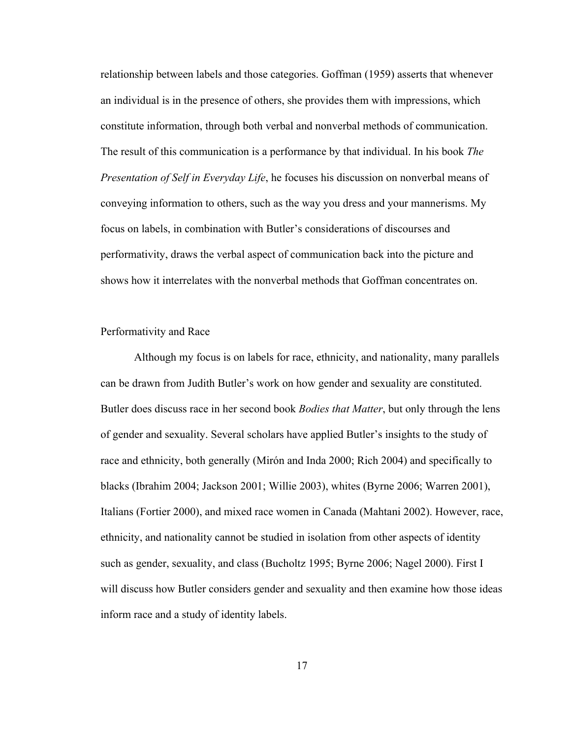relationship between labels and those categories. Goffman (1959) asserts that whenever an individual is in the presence of others, she provides them with impressions, which constitute information, through both verbal and nonverbal methods of communication. The result of this communication is a performance by that individual. In his book *The Presentation of Self in Everyday Life*, he focuses his discussion on nonverbal means of conveying information to others, such as the way you dress and your mannerisms. My focus on labels, in combination with Butler's considerations of discourses and performativity, draws the verbal aspect of communication back into the picture and shows how it interrelates with the nonverbal methods that Goffman concentrates on.

#### Performativity and Race

Although my focus is on labels for race, ethnicity, and nationality, many parallels can be drawn from Judith Butler's work on how gender and sexuality are constituted. Butler does discuss race in her second book *Bodies that Matter*, but only through the lens of gender and sexuality. Several scholars have applied Butler's insights to the study of race and ethnicity, both generally (Mirón and Inda 2000; Rich 2004) and specifically to blacks (Ibrahim 2004; Jackson 2001; Willie 2003), whites (Byrne 2006; Warren 2001), Italians (Fortier 2000), and mixed race women in Canada (Mahtani 2002). However, race, ethnicity, and nationality cannot be studied in isolation from other aspects of identity such as gender, sexuality, and class (Bucholtz 1995; Byrne 2006; Nagel 2000). First I will discuss how Butler considers gender and sexuality and then examine how those ideas inform race and a study of identity labels.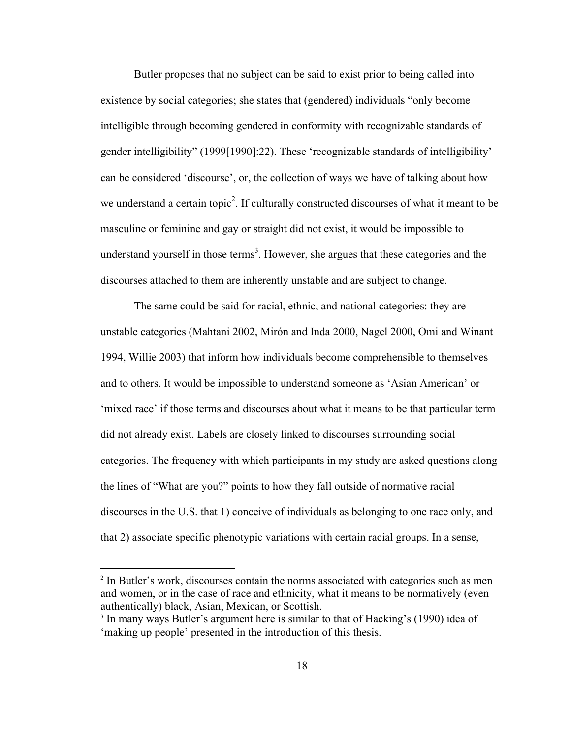Butler proposes that no subject can be said to exist prior to being called into existence by social categories; she states that (gendered) individuals "only become intelligible through becoming gendered in conformity with recognizable standards of gender intelligibility" (1999[1990]:22). These 'recognizable standards of intelligibility' can be considered 'discourse', or, the collection of ways we have of talking about how we understand a certain topic<sup>2</sup>. If culturally constructed discourses of what it meant to be masculine or feminine and gay or straight did not exist, it would be impossible to understand yourself in those terms<sup>3</sup>. However, she argues that these categories and the discourses attached to them are inherently unstable and are subject to change.

The same could be said for racial, ethnic, and national categories: they are unstable categories (Mahtani 2002, Mirón and Inda 2000, Nagel 2000, Omi and Winant 1994, Willie 2003) that inform how individuals become comprehensible to themselves and to others. It would be impossible to understand someone as 'Asian American' or 'mixed race' if those terms and discourses about what it means to be that particular term did not already exist. Labels are closely linked to discourses surrounding social categories. The frequency with which participants in my study are asked questions along the lines of "What are you?" points to how they fall outside of normative racial discourses in the U.S. that 1) conceive of individuals as belonging to one race only, and that 2) associate specific phenotypic variations with certain racial groups. In a sense,

<sup>&</sup>lt;sup>2</sup> In Butler's work, discourses contain the norms associated with categories such as men and women, or in the case of race and ethnicity, what it means to be normatively (even authentically) black, Asian, Mexican, or Scottish.

<sup>&</sup>lt;sup>3</sup> In many ways Butler's argument here is similar to that of Hacking's (1990) idea of 'making up people' presented in the introduction of this thesis.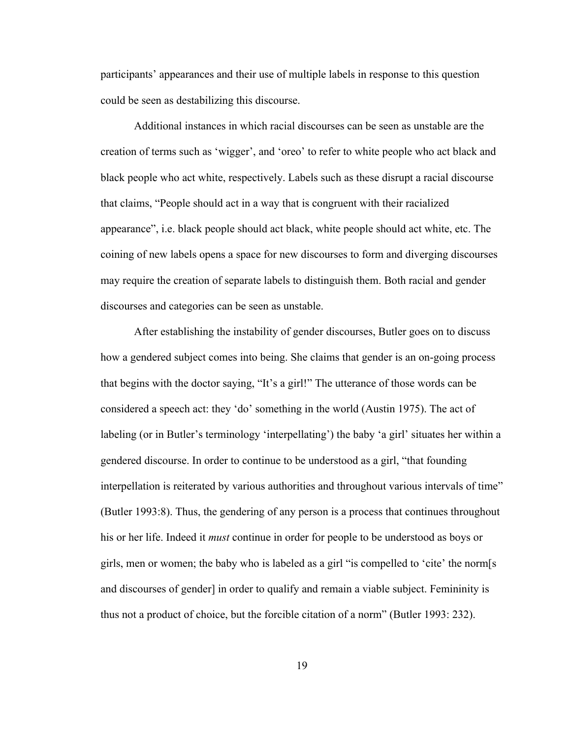participants' appearances and their use of multiple labels in response to this question could be seen as destabilizing this discourse.

Additional instances in which racial discourses can be seen as unstable are the creation of terms such as 'wigger', and 'oreo' to refer to white people who act black and black people who act white, respectively. Labels such as these disrupt a racial discourse that claims, "People should act in a way that is congruent with their racialized appearance", i.e. black people should act black, white people should act white, etc. The coining of new labels opens a space for new discourses to form and diverging discourses may require the creation of separate labels to distinguish them. Both racial and gender discourses and categories can be seen as unstable.

After establishing the instability of gender discourses, Butler goes on to discuss how a gendered subject comes into being. She claims that gender is an on-going process that begins with the doctor saying, "It's a girl!" The utterance of those words can be considered a speech act: they 'do' something in the world (Austin 1975). The act of labeling (or in Butler's terminology 'interpellating') the baby 'a girl' situates her within a gendered discourse. In order to continue to be understood as a girl, "that founding interpellation is reiterated by various authorities and throughout various intervals of time" (Butler 1993:8). Thus, the gendering of any person is a process that continues throughout his or her life. Indeed it *must* continue in order for people to be understood as boys or girls, men or women; the baby who is labeled as a girl "is compelled to 'cite' the norm[s and discourses of gender] in order to qualify and remain a viable subject. Femininity is thus not a product of choice, but the forcible citation of a norm" (Butler 1993: 232).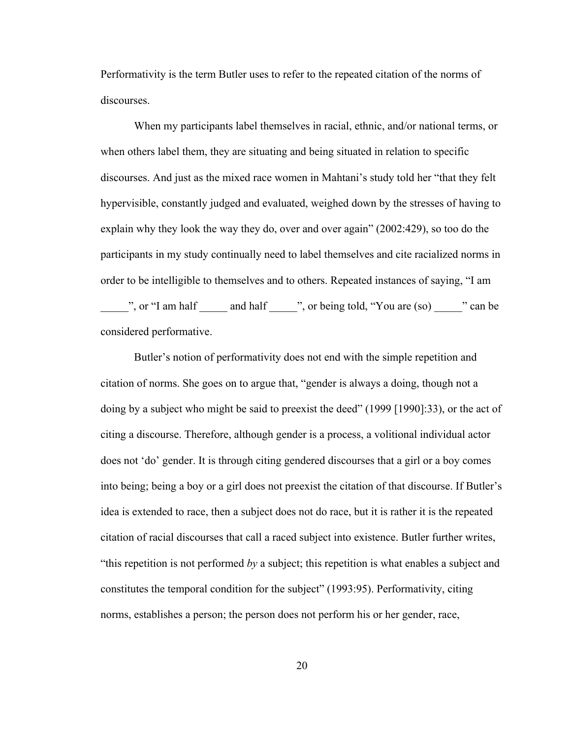Performativity is the term Butler uses to refer to the repeated citation of the norms of discourses.

When my participants label themselves in racial, ethnic, and/or national terms, or when others label them, they are situating and being situated in relation to specific discourses. And just as the mixed race women in Mahtani's study told her "that they felt hypervisible, constantly judged and evaluated, weighed down by the stresses of having to explain why they look the way they do, over and over again" (2002:429), so too do the participants in my study continually need to label themselves and cite racialized norms in order to be intelligible to themselves and to others. Repeated instances of saying, "I am  $\frac{1}{\sqrt{2}}$ , or "I am half \_\_\_\_\_\_ and half \_\_\_\_\_", or being told, "You are (so) \_\_\_\_\_" can be considered performative.

Butler's notion of performativity does not end with the simple repetition and citation of norms. She goes on to argue that, "gender is always a doing, though not a doing by a subject who might be said to preexist the deed" (1999 [1990]:33), or the act of citing a discourse. Therefore, although gender is a process, a volitional individual actor does not 'do' gender. It is through citing gendered discourses that a girl or a boy comes into being; being a boy or a girl does not preexist the citation of that discourse. If Butler's idea is extended to race, then a subject does not do race, but it is rather it is the repeated citation of racial discourses that call a raced subject into existence. Butler further writes, "this repetition is not performed *by* a subject; this repetition is what enables a subject and constitutes the temporal condition for the subject" (1993:95). Performativity, citing norms, establishes a person; the person does not perform his or her gender, race,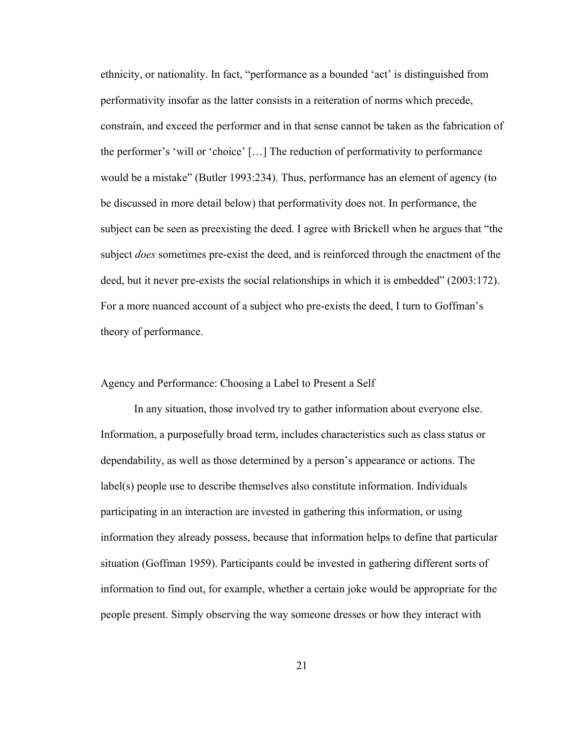ethnicity, or nationality. In fact, "performance as a bounded 'act' is distinguished from performativity insofar as the latter consists in a reiteration of norms which precede, constrain, and exceed the performer and in that sense cannot be taken as the fabrication of the performer's 'will or 'choice' […] The reduction of performativity to performance would be a mistake" (Butler 1993:234). Thus, performance has an element of agency (to be discussed in more detail below) that performativity does not. In performance, the subject can be seen as preexisting the deed. I agree with Brickell when he argues that "the subject *does* sometimes pre-exist the deed, and is reinforced through the enactment of the deed, but it never pre-exists the social relationships in which it is embedded" (2003:172). For a more nuanced account of a subject who pre-exists the deed, I turn to Goffman's theory of performance.

#### Agency and Performance: Choosing a Label to Present a Self

In any situation, those involved try to gather information about everyone else. Information, a purposefully broad term, includes characteristics such as class status or dependability, as well as those determined by a person's appearance or actions. The label(s) people use to describe themselves also constitute information. Individuals participating in an interaction are invested in gathering this information, or using information they already possess, because that information helps to define that particular situation (Goffman 1959). Participants could be invested in gathering different sorts of information to find out, for example, whether a certain joke would be appropriate for the people present. Simply observing the way someone dresses or how they interact with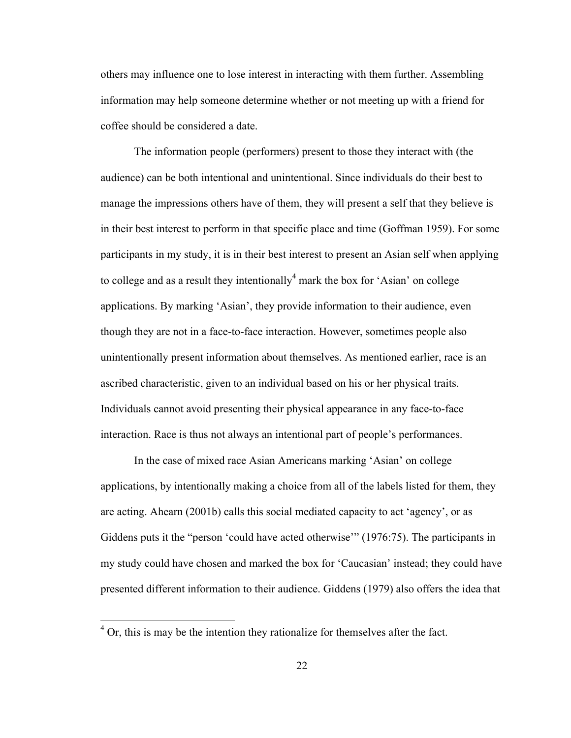others may influence one to lose interest in interacting with them further. Assembling information may help someone determine whether or not meeting up with a friend for coffee should be considered a date.

The information people (performers) present to those they interact with (the audience) can be both intentional and unintentional. Since individuals do their best to manage the impressions others have of them, they will present a self that they believe is in their best interest to perform in that specific place and time (Goffman 1959). For some participants in my study, it is in their best interest to present an Asian self when applying to college and as a result they intentionally  $4$  mark the box for 'Asian' on college applications. By marking 'Asian', they provide information to their audience, even though they are not in a face-to-face interaction. However, sometimes people also unintentionally present information about themselves. As mentioned earlier, race is an ascribed characteristic, given to an individual based on his or her physical traits. Individuals cannot avoid presenting their physical appearance in any face-to-face interaction. Race is thus not always an intentional part of people's performances.

In the case of mixed race Asian Americans marking 'Asian' on college applications, by intentionally making a choice from all of the labels listed for them, they are acting. Ahearn (2001b) calls this social mediated capacity to act 'agency', or as Giddens puts it the "person 'could have acted otherwise'" (1976:75). The participants in my study could have chosen and marked the box for 'Caucasian' instead; they could have presented different information to their audience. Giddens (1979) also offers the idea that

 $<sup>4</sup>$  Or, this is may be the intention they rationalize for themselves after the fact.</sup>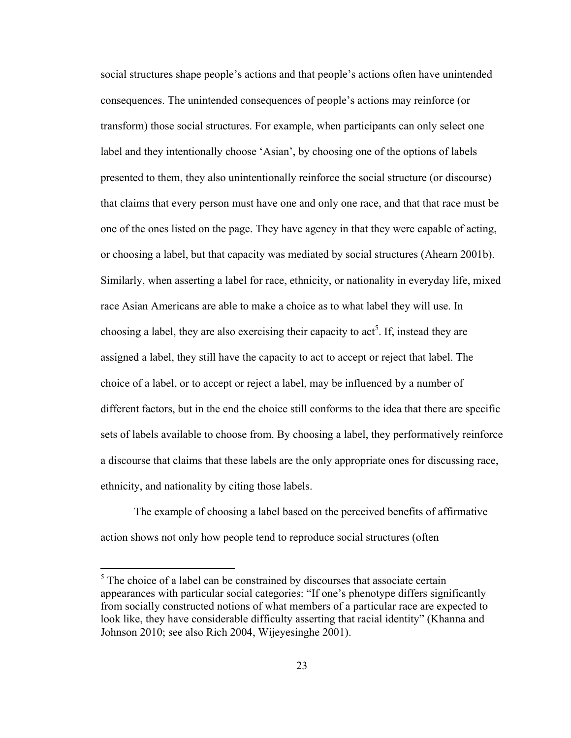social structures shape people's actions and that people's actions often have unintended consequences. The unintended consequences of people's actions may reinforce (or transform) those social structures. For example, when participants can only select one label and they intentionally choose 'Asian', by choosing one of the options of labels presented to them, they also unintentionally reinforce the social structure (or discourse) that claims that every person must have one and only one race, and that that race must be one of the ones listed on the page. They have agency in that they were capable of acting, or choosing a label, but that capacity was mediated by social structures (Ahearn 2001b). Similarly, when asserting a label for race, ethnicity, or nationality in everyday life, mixed race Asian Americans are able to make a choice as to what label they will use. In choosing a label, they are also exercising their capacity to  $act<sup>5</sup>$ . If, instead they are assigned a label, they still have the capacity to act to accept or reject that label. The choice of a label, or to accept or reject a label, may be influenced by a number of different factors, but in the end the choice still conforms to the idea that there are specific sets of labels available to choose from. By choosing a label, they performatively reinforce a discourse that claims that these labels are the only appropriate ones for discussing race, ethnicity, and nationality by citing those labels.

The example of choosing a label based on the perceived benefits of affirmative action shows not only how people tend to reproduce social structures (often

 $<sup>5</sup>$  The choice of a label can be constrained by discourses that associate certain</sup> appearances with particular social categories: "If one's phenotype differs significantly from socially constructed notions of what members of a particular race are expected to look like, they have considerable difficulty asserting that racial identity" (Khanna and Johnson 2010; see also Rich 2004, Wijeyesinghe 2001).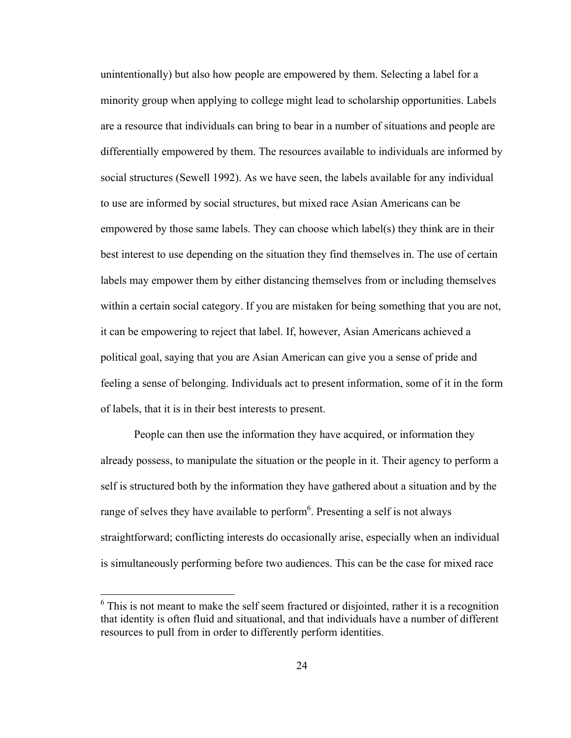unintentionally) but also how people are empowered by them. Selecting a label for a minority group when applying to college might lead to scholarship opportunities. Labels are a resource that individuals can bring to bear in a number of situations and people are differentially empowered by them. The resources available to individuals are informed by social structures (Sewell 1992). As we have seen, the labels available for any individual to use are informed by social structures, but mixed race Asian Americans can be empowered by those same labels. They can choose which label(s) they think are in their best interest to use depending on the situation they find themselves in. The use of certain labels may empower them by either distancing themselves from or including themselves within a certain social category. If you are mistaken for being something that you are not, it can be empowering to reject that label. If, however, Asian Americans achieved a political goal, saying that you are Asian American can give you a sense of pride and feeling a sense of belonging. Individuals act to present information, some of it in the form of labels, that it is in their best interests to present.

People can then use the information they have acquired, or information they already possess, to manipulate the situation or the people in it. Their agency to perform a self is structured both by the information they have gathered about a situation and by the range of selves they have available to perform<sup>6</sup>. Presenting a self is not always straightforward; conflicting interests do occasionally arise, especially when an individual is simultaneously performing before two audiences. This can be the case for mixed race

 $6$  This is not meant to make the self seem fractured or disjointed, rather it is a recognition that identity is often fluid and situational, and that individuals have a number of different resources to pull from in order to differently perform identities.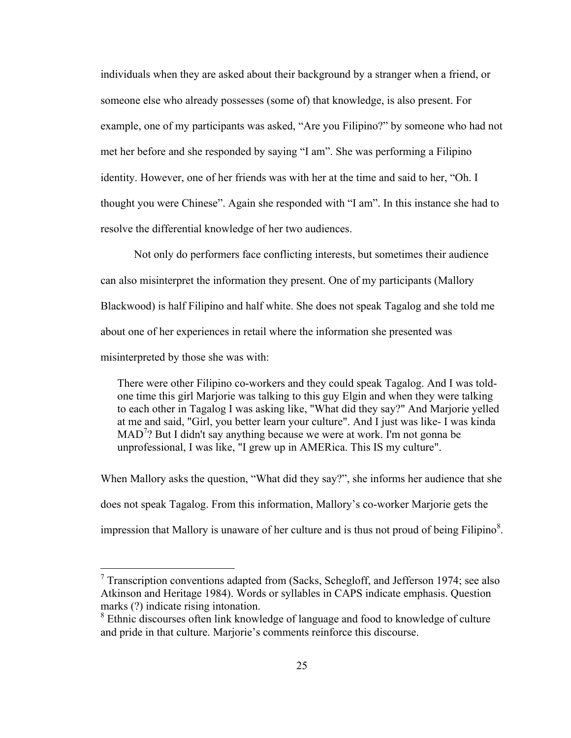individuals when they are asked about their background by a stranger when a friend, or someone else who already possesses (some of) that knowledge, is also present. For example, one of my participants was asked, "Are you Filipino?" by someone who had not met her before and she responded by saying "I am". She was performing a Filipino identity. However, one of her friends was with her at the time and said to her, "Oh. I thought you were Chinese". Again she responded with "I am". In this instance she had to resolve the differential knowledge of her two audiences.

Not only do performers face conflicting interests, but sometimes their audience can also misinterpret the information they present. One of my participants (Mallory Blackwood) is half Filipino and half white. She does not speak Tagalog and she told me about one of her experiences in retail where the information she presented was misinterpreted by those she was with:

There were other Filipino co-workers and they could speak Tagalog. And I was toldone time this girl Marjorie was talking to this guy Elgin and when they were talking to each other in Tagalog I was asking like, "What did they say?" And Marjorie yelled at me and said, "Girl, you better learn your culture". And I just was like- I was kinda MAD<sup>7</sup>? But I didn't say anything because we were at work. I'm not gonna be unprofessional, I was like, "I grew up in AMERica. This IS my culture".

When Mallory asks the question, "What did they say?", she informs her audience that she does not speak Tagalog. From this information, Mallory's co-worker Marjorie gets the impression that Mallory is unaware of her culture and is thus not proud of being Filipino $\delta$ .

 $7$  Transcription conventions adapted from (Sacks, Schegloff, and Jefferson 1974; see also Atkinson and Heritage 1984). Words or syllables in CAPS indicate emphasis. Question marks (?) indicate rising intonation.

<sup>&</sup>lt;sup>8</sup> Ethnic discourses often link knowledge of language and food to knowledge of culture and pride in that culture. Marjorie's comments reinforce this discourse.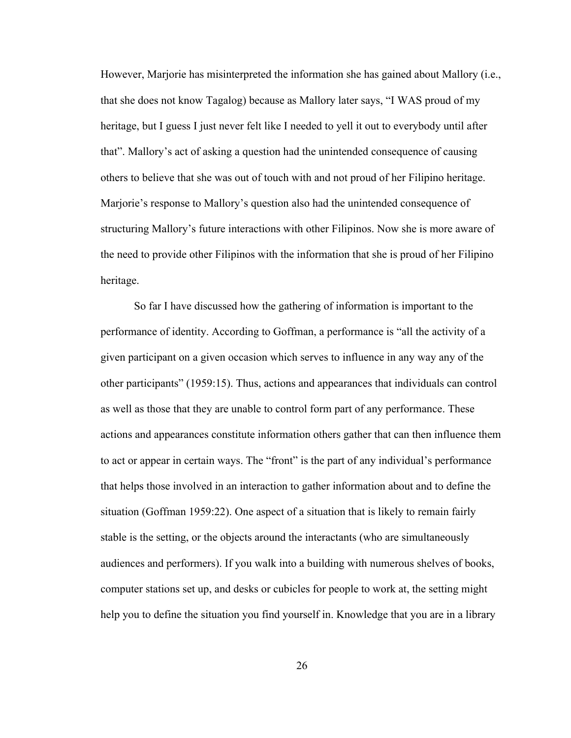However, Marjorie has misinterpreted the information she has gained about Mallory (i.e., that she does not know Tagalog) because as Mallory later says, "I WAS proud of my heritage, but I guess I just never felt like I needed to yell it out to everybody until after that". Mallory's act of asking a question had the unintended consequence of causing others to believe that she was out of touch with and not proud of her Filipino heritage. Marjorie's response to Mallory's question also had the unintended consequence of structuring Mallory's future interactions with other Filipinos. Now she is more aware of the need to provide other Filipinos with the information that she is proud of her Filipino heritage.

So far I have discussed how the gathering of information is important to the performance of identity. According to Goffman, a performance is "all the activity of a given participant on a given occasion which serves to influence in any way any of the other participants" (1959:15). Thus, actions and appearances that individuals can control as well as those that they are unable to control form part of any performance. These actions and appearances constitute information others gather that can then influence them to act or appear in certain ways. The "front" is the part of any individual's performance that helps those involved in an interaction to gather information about and to define the situation (Goffman 1959:22). One aspect of a situation that is likely to remain fairly stable is the setting, or the objects around the interactants (who are simultaneously audiences and performers). If you walk into a building with numerous shelves of books, computer stations set up, and desks or cubicles for people to work at, the setting might help you to define the situation you find yourself in. Knowledge that you are in a library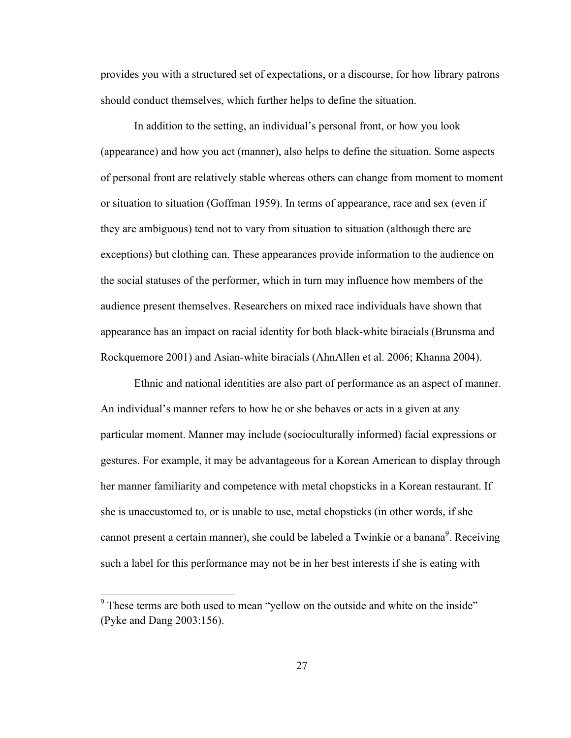provides you with a structured set of expectations, or a discourse, for how library patrons should conduct themselves, which further helps to define the situation.

In addition to the setting, an individual's personal front, or how you look (appearance) and how you act (manner), also helps to define the situation. Some aspects of personal front are relatively stable whereas others can change from moment to moment or situation to situation (Goffman 1959). In terms of appearance, race and sex (even if they are ambiguous) tend not to vary from situation to situation (although there are exceptions) but clothing can. These appearances provide information to the audience on the social statuses of the performer, which in turn may influence how members of the audience present themselves. Researchers on mixed race individuals have shown that appearance has an impact on racial identity for both black-white biracials (Brunsma and Rockquemore 2001) and Asian-white biracials (AhnAllen et al. 2006; Khanna 2004).

Ethnic and national identities are also part of performance as an aspect of manner. An individual's manner refers to how he or she behaves or acts in a given at any particular moment. Manner may include (socioculturally informed) facial expressions or gestures. For example, it may be advantageous for a Korean American to display through her manner familiarity and competence with metal chopsticks in a Korean restaurant. If she is unaccustomed to, or is unable to use, metal chopsticks (in other words, if she cannot present a certain manner), she could be labeled a Twinkie or a banana<sup>9</sup>. Receiving such a label for this performance may not be in her best interests if she is eating with

<sup>&</sup>lt;sup>9</sup> These terms are both used to mean "yellow on the outside and white on the inside" (Pyke and Dang 2003:156).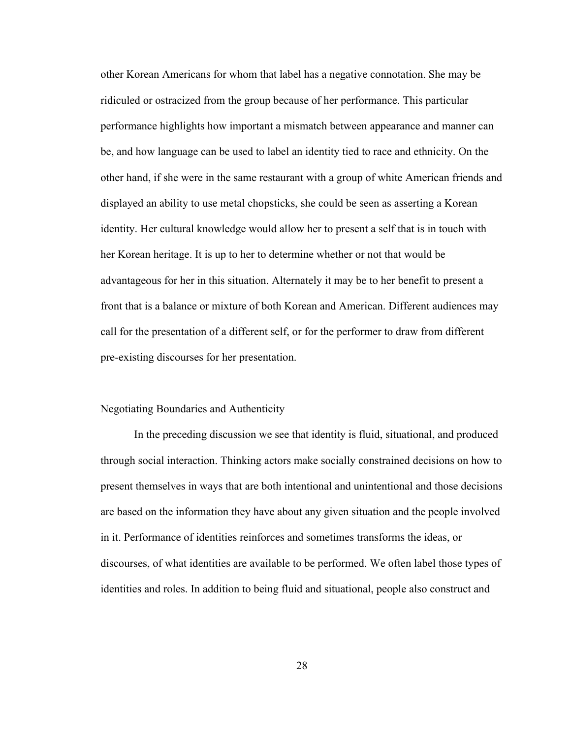other Korean Americans for whom that label has a negative connotation. She may be ridiculed or ostracized from the group because of her performance. This particular performance highlights how important a mismatch between appearance and manner can be, and how language can be used to label an identity tied to race and ethnicity. On the other hand, if she were in the same restaurant with a group of white American friends and displayed an ability to use metal chopsticks, she could be seen as asserting a Korean identity. Her cultural knowledge would allow her to present a self that is in touch with her Korean heritage. It is up to her to determine whether or not that would be advantageous for her in this situation. Alternately it may be to her benefit to present a front that is a balance or mixture of both Korean and American. Different audiences may call for the presentation of a different self, or for the performer to draw from different pre-existing discourses for her presentation.

#### Negotiating Boundaries and Authenticity

In the preceding discussion we see that identity is fluid, situational, and produced through social interaction. Thinking actors make socially constrained decisions on how to present themselves in ways that are both intentional and unintentional and those decisions are based on the information they have about any given situation and the people involved in it. Performance of identities reinforces and sometimes transforms the ideas, or discourses, of what identities are available to be performed. We often label those types of identities and roles. In addition to being fluid and situational, people also construct and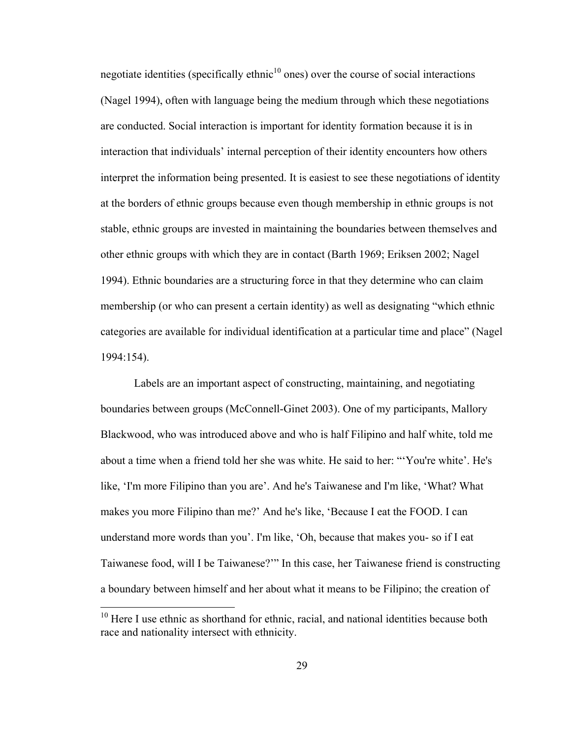negotiate identities (specifically ethnic $10$  ones) over the course of social interactions (Nagel 1994), often with language being the medium through which these negotiations are conducted. Social interaction is important for identity formation because it is in interaction that individuals' internal perception of their identity encounters how others interpret the information being presented. It is easiest to see these negotiations of identity at the borders of ethnic groups because even though membership in ethnic groups is not stable, ethnic groups are invested in maintaining the boundaries between themselves and other ethnic groups with which they are in contact (Barth 1969; Eriksen 2002; Nagel 1994). Ethnic boundaries are a structuring force in that they determine who can claim membership (or who can present a certain identity) as well as designating "which ethnic categories are available for individual identification at a particular time and place" (Nagel 1994:154).

Labels are an important aspect of constructing, maintaining, and negotiating boundaries between groups (McConnell-Ginet 2003). One of my participants, Mallory Blackwood, who was introduced above and who is half Filipino and half white, told me about a time when a friend told her she was white. He said to her: "'You're white'. He's like, 'I'm more Filipino than you are'. And he's Taiwanese and I'm like, 'What? What makes you more Filipino than me?' And he's like, 'Because I eat the FOOD. I can understand more words than you'. I'm like, 'Oh, because that makes you- so if I eat Taiwanese food, will I be Taiwanese?'" In this case, her Taiwanese friend is constructing a boundary between himself and her about what it means to be Filipino; the creation of

 $10$  Here I use ethnic as shorthand for ethnic, racial, and national identities because both race and nationality intersect with ethnicity.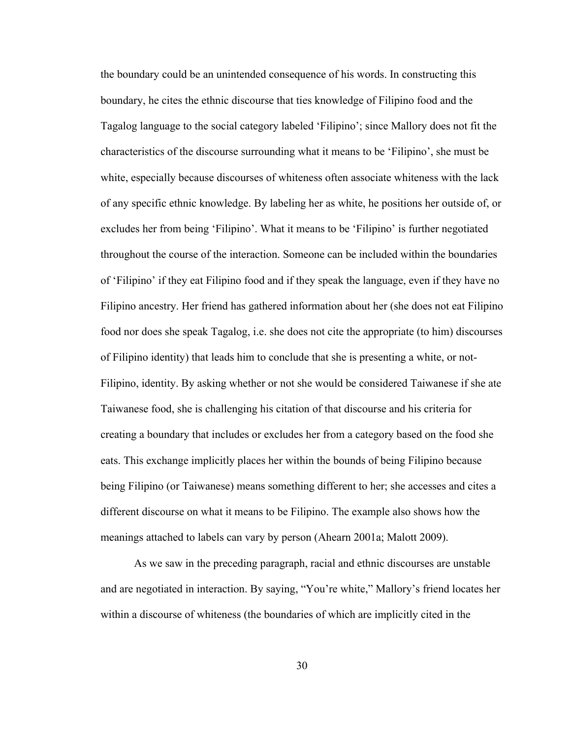the boundary could be an unintended consequence of his words. In constructing this boundary, he cites the ethnic discourse that ties knowledge of Filipino food and the Tagalog language to the social category labeled 'Filipino'; since Mallory does not fit the characteristics of the discourse surrounding what it means to be 'Filipino', she must be white, especially because discourses of whiteness often associate whiteness with the lack of any specific ethnic knowledge. By labeling her as white, he positions her outside of, or excludes her from being 'Filipino'. What it means to be 'Filipino' is further negotiated throughout the course of the interaction. Someone can be included within the boundaries of 'Filipino' if they eat Filipino food and if they speak the language, even if they have no Filipino ancestry. Her friend has gathered information about her (she does not eat Filipino food nor does she speak Tagalog, i.e. she does not cite the appropriate (to him) discourses of Filipino identity) that leads him to conclude that she is presenting a white, or not-Filipino, identity. By asking whether or not she would be considered Taiwanese if she ate Taiwanese food, she is challenging his citation of that discourse and his criteria for creating a boundary that includes or excludes her from a category based on the food she eats. This exchange implicitly places her within the bounds of being Filipino because being Filipino (or Taiwanese) means something different to her; she accesses and cites a different discourse on what it means to be Filipino. The example also shows how the meanings attached to labels can vary by person (Ahearn 2001a; Malott 2009).

As we saw in the preceding paragraph, racial and ethnic discourses are unstable and are negotiated in interaction. By saying, "You're white," Mallory's friend locates her within a discourse of whiteness (the boundaries of which are implicitly cited in the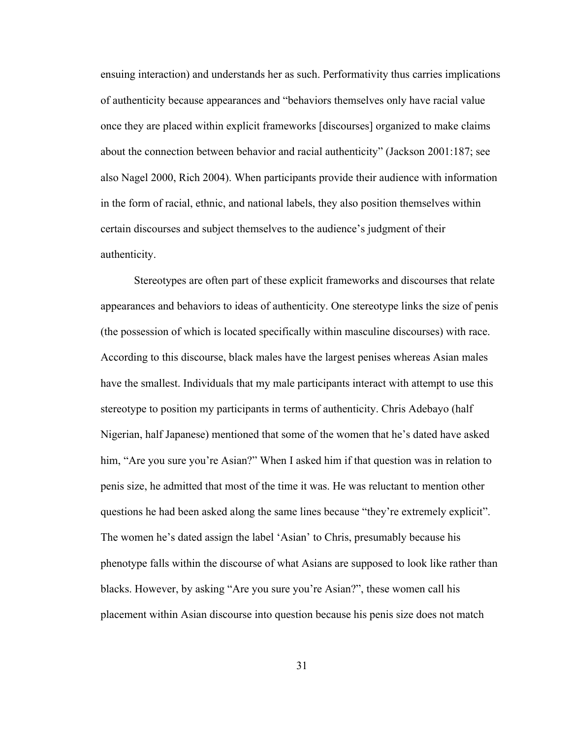ensuing interaction) and understands her as such. Performativity thus carries implications of authenticity because appearances and "behaviors themselves only have racial value once they are placed within explicit frameworks [discourses] organized to make claims about the connection between behavior and racial authenticity" (Jackson 2001:187; see also Nagel 2000, Rich 2004). When participants provide their audience with information in the form of racial, ethnic, and national labels, they also position themselves within certain discourses and subject themselves to the audience's judgment of their authenticity.

Stereotypes are often part of these explicit frameworks and discourses that relate appearances and behaviors to ideas of authenticity. One stereotype links the size of penis (the possession of which is located specifically within masculine discourses) with race. According to this discourse, black males have the largest penises whereas Asian males have the smallest. Individuals that my male participants interact with attempt to use this stereotype to position my participants in terms of authenticity. Chris Adebayo (half Nigerian, half Japanese) mentioned that some of the women that he's dated have asked him, "Are you sure you're Asian?" When I asked him if that question was in relation to penis size, he admitted that most of the time it was. He was reluctant to mention other questions he had been asked along the same lines because "they're extremely explicit". The women he's dated assign the label 'Asian' to Chris, presumably because his phenotype falls within the discourse of what Asians are supposed to look like rather than blacks. However, by asking "Are you sure you're Asian?", these women call his placement within Asian discourse into question because his penis size does not match

31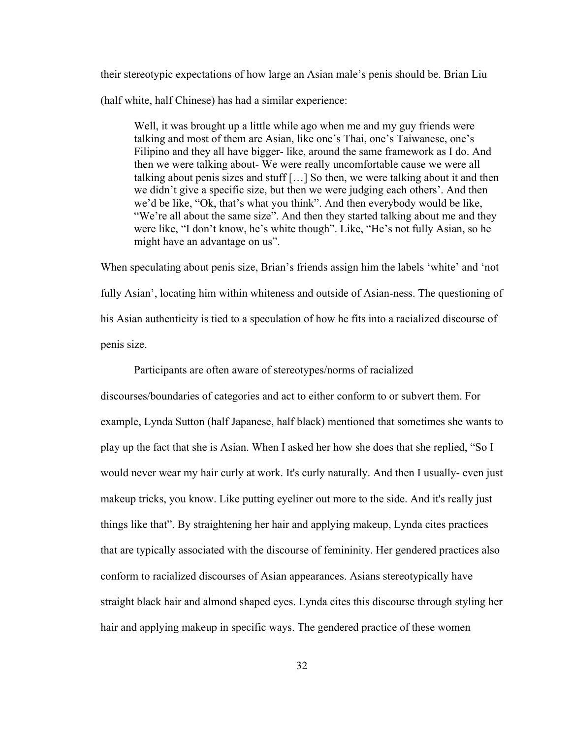their stereotypic expectations of how large an Asian male's penis should be. Brian Liu (half white, half Chinese) has had a similar experience:

Well, it was brought up a little while ago when me and my guy friends were talking and most of them are Asian, like one's Thai, one's Taiwanese, one's Filipino and they all have bigger- like, around the same framework as I do. And then we were talking about- We were really uncomfortable cause we were all talking about penis sizes and stuff […] So then, we were talking about it and then we didn't give a specific size, but then we were judging each others'. And then we'd be like, "Ok, that's what you think". And then everybody would be like, "We're all about the same size". And then they started talking about me and they were like, "I don't know, he's white though". Like, "He's not fully Asian, so he might have an advantage on us".

When speculating about penis size, Brian's friends assign him the labels 'white' and 'not fully Asian', locating him within whiteness and outside of Asian-ness. The questioning of his Asian authenticity is tied to a speculation of how he fits into a racialized discourse of penis size.

Participants are often aware of stereotypes/norms of racialized

discourses/boundaries of categories and act to either conform to or subvert them. For example, Lynda Sutton (half Japanese, half black) mentioned that sometimes she wants to play up the fact that she is Asian. When I asked her how she does that she replied, "So I would never wear my hair curly at work. It's curly naturally. And then I usually- even just makeup tricks, you know. Like putting eyeliner out more to the side. And it's really just things like that". By straightening her hair and applying makeup, Lynda cites practices that are typically associated with the discourse of femininity. Her gendered practices also conform to racialized discourses of Asian appearances. Asians stereotypically have straight black hair and almond shaped eyes. Lynda cites this discourse through styling her hair and applying makeup in specific ways. The gendered practice of these women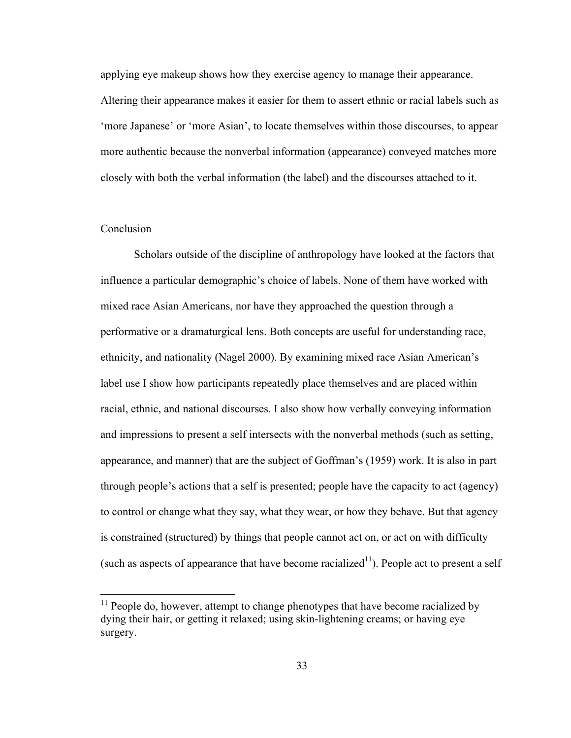applying eye makeup shows how they exercise agency to manage their appearance.

Altering their appearance makes it easier for them to assert ethnic or racial labels such as 'more Japanese' or 'more Asian', to locate themselves within those discourses, to appear more authentic because the nonverbal information (appearance) conveyed matches more closely with both the verbal information (the label) and the discourses attached to it.

## **Conclusion**

Scholars outside of the discipline of anthropology have looked at the factors that influence a particular demographic's choice of labels. None of them have worked with mixed race Asian Americans, nor have they approached the question through a performative or a dramaturgical lens. Both concepts are useful for understanding race, ethnicity, and nationality (Nagel 2000). By examining mixed race Asian American's label use I show how participants repeatedly place themselves and are placed within racial, ethnic, and national discourses. I also show how verbally conveying information and impressions to present a self intersects with the nonverbal methods (such as setting, appearance, and manner) that are the subject of Goffman's (1959) work. It is also in part through people's actions that a self is presented; people have the capacity to act (agency) to control or change what they say, what they wear, or how they behave. But that agency is constrained (structured) by things that people cannot act on, or act on with difficulty (such as aspects of appearance that have become racialized<sup>11</sup>). People act to present a self

 $11$  People do, however, attempt to change phenotypes that have become racialized by dying their hair, or getting it relaxed; using skin-lightening creams; or having eye surgery.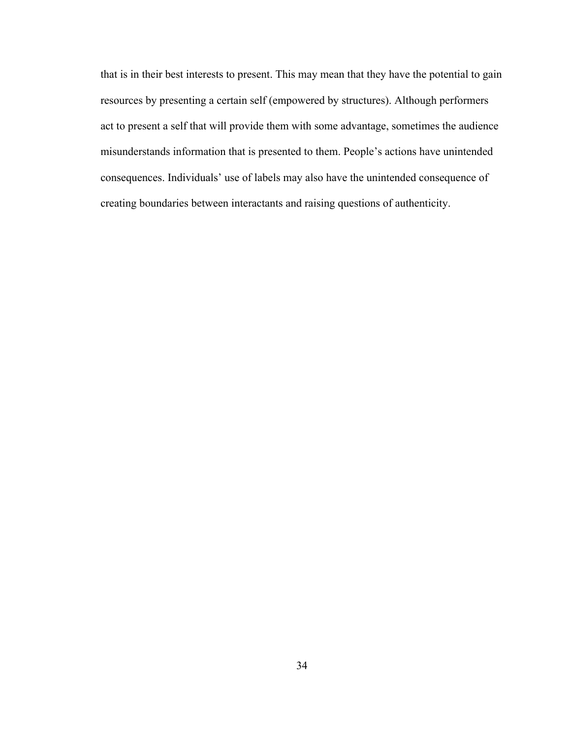that is in their best interests to present. This may mean that they have the potential to gain resources by presenting a certain self (empowered by structures). Although performers act to present a self that will provide them with some advantage, sometimes the audience misunderstands information that is presented to them. People's actions have unintended consequences. Individuals' use of labels may also have the unintended consequence of creating boundaries between interactants and raising questions of authenticity.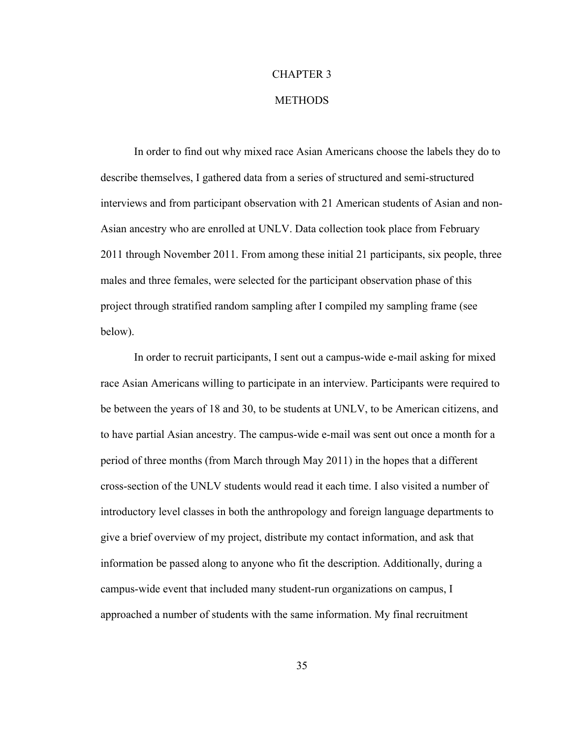# CHAPTER 3

# **METHODS**

In order to find out why mixed race Asian Americans choose the labels they do to describe themselves, I gathered data from a series of structured and semi-structured interviews and from participant observation with 21 American students of Asian and non-Asian ancestry who are enrolled at UNLV. Data collection took place from February 2011 through November 2011. From among these initial 21 participants, six people, three males and three females, were selected for the participant observation phase of this project through stratified random sampling after I compiled my sampling frame (see below).

In order to recruit participants, I sent out a campus-wide e-mail asking for mixed race Asian Americans willing to participate in an interview. Participants were required to be between the years of 18 and 30, to be students at UNLV, to be American citizens, and to have partial Asian ancestry. The campus-wide e-mail was sent out once a month for a period of three months (from March through May 2011) in the hopes that a different cross-section of the UNLV students would read it each time. I also visited a number of introductory level classes in both the anthropology and foreign language departments to give a brief overview of my project, distribute my contact information, and ask that information be passed along to anyone who fit the description. Additionally, during a campus-wide event that included many student-run organizations on campus, I approached a number of students with the same information. My final recruitment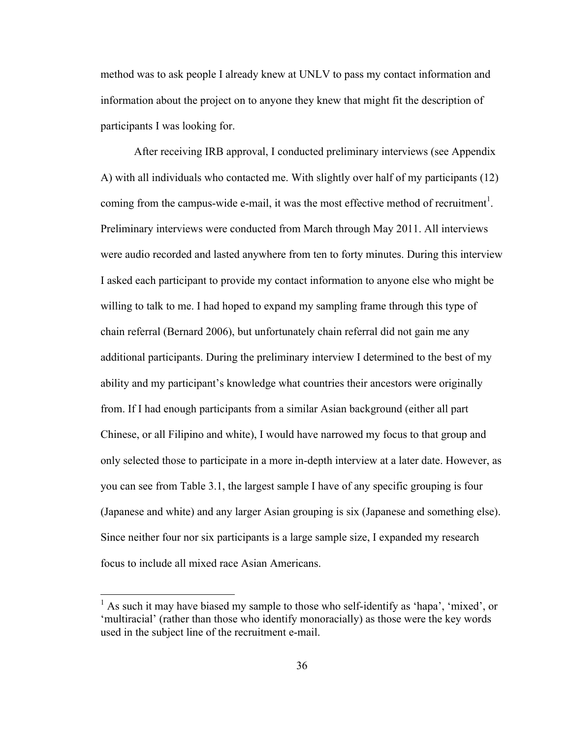method was to ask people I already knew at UNLV to pass my contact information and information about the project on to anyone they knew that might fit the description of participants I was looking for.

After receiving IRB approval, I conducted preliminary interviews (see Appendix A) with all individuals who contacted me. With slightly over half of my participants (12) coming from the campus-wide e-mail, it was the most effective method of recruitment<sup>1</sup>. Preliminary interviews were conducted from March through May 2011. All interviews were audio recorded and lasted anywhere from ten to forty minutes. During this interview I asked each participant to provide my contact information to anyone else who might be willing to talk to me. I had hoped to expand my sampling frame through this type of chain referral (Bernard 2006), but unfortunately chain referral did not gain me any additional participants. During the preliminary interview I determined to the best of my ability and my participant's knowledge what countries their ancestors were originally from. If I had enough participants from a similar Asian background (either all part Chinese, or all Filipino and white), I would have narrowed my focus to that group and only selected those to participate in a more in-depth interview at a later date. However, as you can see from Table 3.1, the largest sample I have of any specific grouping is four (Japanese and white) and any larger Asian grouping is six (Japanese and something else). Since neither four nor six participants is a large sample size, I expanded my research focus to include all mixed race Asian Americans.

<sup>&</sup>lt;sup>1</sup> As such it may have biased my sample to those who self-identify as 'hapa', 'mixed', or 'multiracial' (rather than those who identify monoracially) as those were the key words used in the subject line of the recruitment e-mail.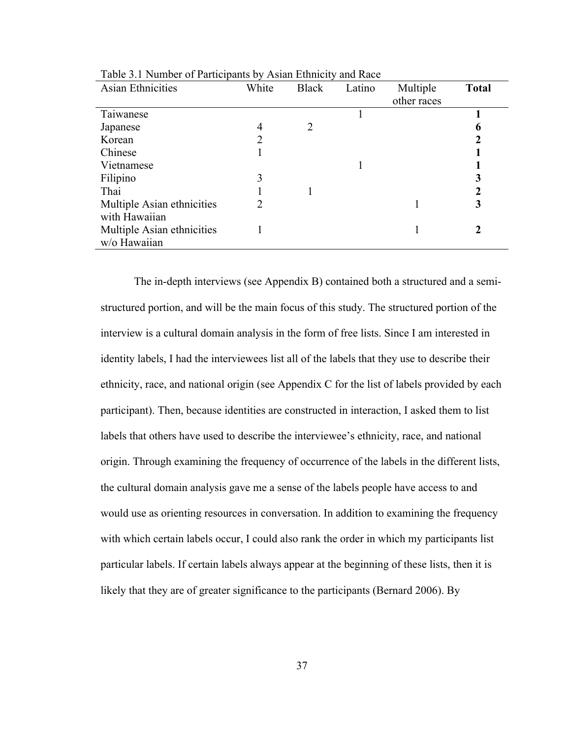| <b>Asian Ethnicities</b>   | White | <b>Black</b>   | Latino | Multiple    | <b>Total</b> |
|----------------------------|-------|----------------|--------|-------------|--------------|
|                            |       |                |        | other races |              |
| Taiwanese                  |       |                |        |             |              |
| Japanese                   | 4     | $\overline{2}$ |        |             | 6            |
| Korean                     | 2     |                |        |             |              |
| Chinese                    |       |                |        |             |              |
| Vietnamese                 |       |                |        |             |              |
| Filipino                   | 3     |                |        |             |              |
| Thai                       |       |                |        |             |              |
| Multiple Asian ethnicities |       |                |        |             |              |
| with Hawaiian              |       |                |        |             |              |
| Multiple Asian ethnicities |       |                |        |             |              |
| w/o Hawaiian               |       |                |        |             |              |

Table 3.1 Number of Participants by Asian Ethnicity and Race

The in-depth interviews (see Appendix B) contained both a structured and a semistructured portion, and will be the main focus of this study. The structured portion of the interview is a cultural domain analysis in the form of free lists. Since I am interested in identity labels, I had the interviewees list all of the labels that they use to describe their ethnicity, race, and national origin (see Appendix C for the list of labels provided by each participant). Then, because identities are constructed in interaction, I asked them to list labels that others have used to describe the interviewee's ethnicity, race, and national origin. Through examining the frequency of occurrence of the labels in the different lists, the cultural domain analysis gave me a sense of the labels people have access to and would use as orienting resources in conversation. In addition to examining the frequency with which certain labels occur, I could also rank the order in which my participants list particular labels. If certain labels always appear at the beginning of these lists, then it is likely that they are of greater significance to the participants (Bernard 2006). By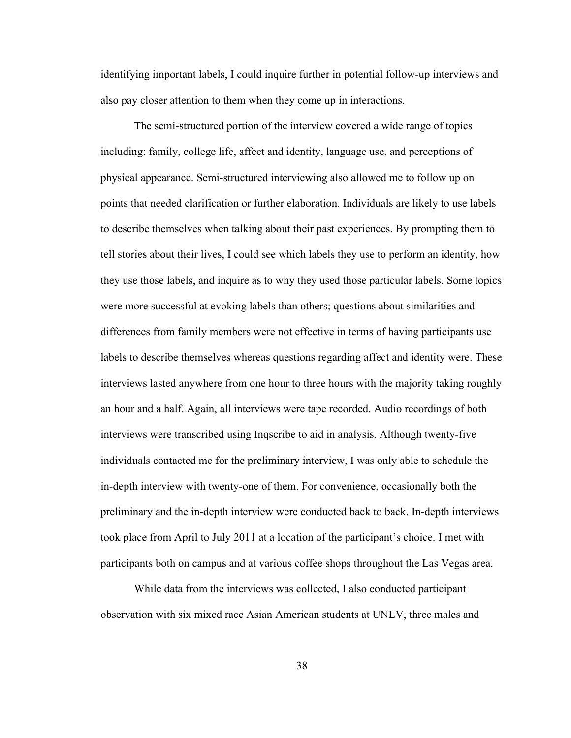identifying important labels, I could inquire further in potential follow-up interviews and also pay closer attention to them when they come up in interactions.

The semi-structured portion of the interview covered a wide range of topics including: family, college life, affect and identity, language use, and perceptions of physical appearance. Semi-structured interviewing also allowed me to follow up on points that needed clarification or further elaboration. Individuals are likely to use labels to describe themselves when talking about their past experiences. By prompting them to tell stories about their lives, I could see which labels they use to perform an identity, how they use those labels, and inquire as to why they used those particular labels. Some topics were more successful at evoking labels than others; questions about similarities and differences from family members were not effective in terms of having participants use labels to describe themselves whereas questions regarding affect and identity were. These interviews lasted anywhere from one hour to three hours with the majority taking roughly an hour and a half. Again, all interviews were tape recorded. Audio recordings of both interviews were transcribed using Inqscribe to aid in analysis. Although twenty-five individuals contacted me for the preliminary interview, I was only able to schedule the in-depth interview with twenty-one of them. For convenience, occasionally both the preliminary and the in-depth interview were conducted back to back. In-depth interviews took place from April to July 2011 at a location of the participant's choice. I met with participants both on campus and at various coffee shops throughout the Las Vegas area.

While data from the interviews was collected, I also conducted participant observation with six mixed race Asian American students at UNLV, three males and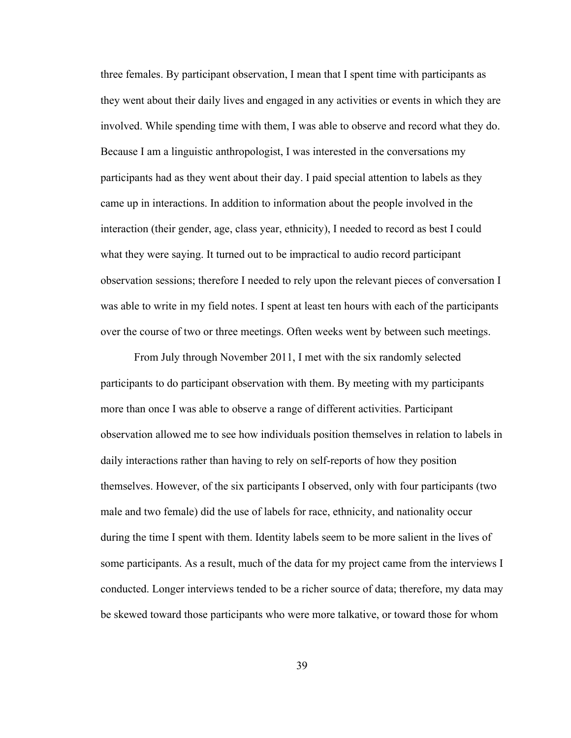three females. By participant observation, I mean that I spent time with participants as they went about their daily lives and engaged in any activities or events in which they are involved. While spending time with them, I was able to observe and record what they do. Because I am a linguistic anthropologist, I was interested in the conversations my participants had as they went about their day. I paid special attention to labels as they came up in interactions. In addition to information about the people involved in the interaction (their gender, age, class year, ethnicity), I needed to record as best I could what they were saying. It turned out to be impractical to audio record participant observation sessions; therefore I needed to rely upon the relevant pieces of conversation I was able to write in my field notes. I spent at least ten hours with each of the participants over the course of two or three meetings. Often weeks went by between such meetings.

From July through November 2011, I met with the six randomly selected participants to do participant observation with them. By meeting with my participants more than once I was able to observe a range of different activities. Participant observation allowed me to see how individuals position themselves in relation to labels in daily interactions rather than having to rely on self-reports of how they position themselves. However, of the six participants I observed, only with four participants (two male and two female) did the use of labels for race, ethnicity, and nationality occur during the time I spent with them. Identity labels seem to be more salient in the lives of some participants. As a result, much of the data for my project came from the interviews I conducted. Longer interviews tended to be a richer source of data; therefore, my data may be skewed toward those participants who were more talkative, or toward those for whom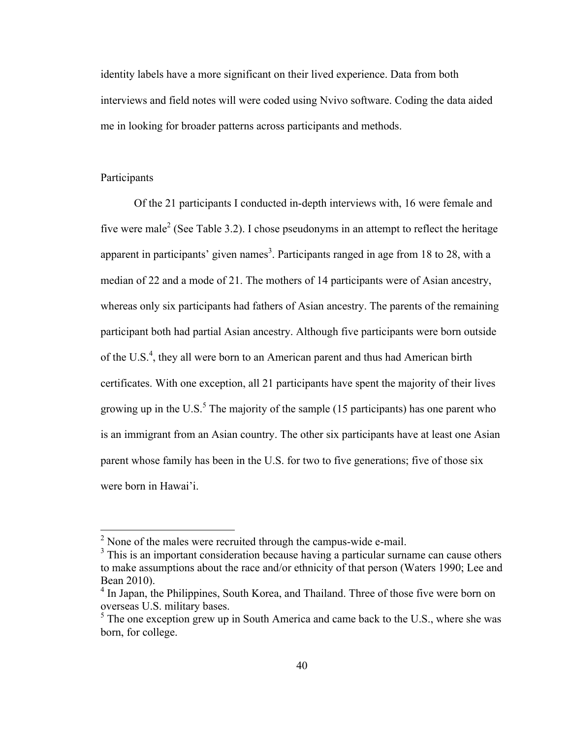identity labels have a more significant on their lived experience. Data from both interviews and field notes will were coded using Nvivo software. Coding the data aided me in looking for broader patterns across participants and methods.

## Participants

Of the 21 participants I conducted in-depth interviews with, 16 were female and five were male<sup>2</sup> (See Table 3.2). I chose pseudonyms in an attempt to reflect the heritage apparent in participants' given names<sup>3</sup>. Participants ranged in age from 18 to 28, with a median of 22 and a mode of 21. The mothers of 14 participants were of Asian ancestry, whereas only six participants had fathers of Asian ancestry. The parents of the remaining participant both had partial Asian ancestry. Although five participants were born outside of the U.S.<sup>4</sup>, they all were born to an American parent and thus had American birth certificates. With one exception, all 21 participants have spent the majority of their lives growing up in the U.S. $<sup>5</sup>$  The majority of the sample (15 participants) has one parent who</sup> is an immigrant from an Asian country. The other six participants have at least one Asian parent whose family has been in the U.S. for two to five generations; five of those six were born in Hawai'i.

 $2$  None of the males were recruited through the campus-wide e-mail.

 $3$  This is an important consideration because having a particular surname can cause others to make assumptions about the race and/or ethnicity of that person (Waters 1990; Lee and Bean 2010).

<sup>&</sup>lt;sup>4</sup> In Japan, the Philippines, South Korea, and Thailand. Three of those five were born on overseas U.S. military bases.

 $<sup>5</sup>$  The one exception grew up in South America and came back to the U.S., where she was</sup> born, for college.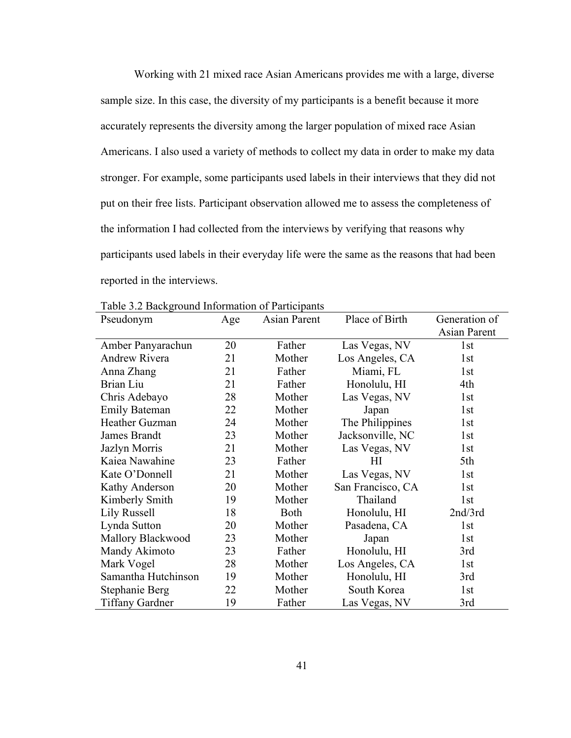Working with 21 mixed race Asian Americans provides me with a large, diverse sample size. In this case, the diversity of my participants is a benefit because it more accurately represents the diversity among the larger population of mixed race Asian Americans. I also used a variety of methods to collect my data in order to make my data stronger. For example, some participants used labels in their interviews that they did not put on their free lists. Participant observation allowed me to assess the completeness of the information I had collected from the interviews by verifying that reasons why participants used labels in their everyday life were the same as the reasons that had been reported in the interviews.

| Pseudonym              | Age | Asian Parent | Place of Birth    | Generation of |
|------------------------|-----|--------------|-------------------|---------------|
|                        |     |              |                   | Asian Parent  |
| Amber Panyarachun      | 20  | Father       | Las Vegas, NV     | 1st           |
| Andrew Rivera          | 21  | Mother       | Los Angeles, CA   | 1st           |
| Anna Zhang             | 21  | Father       | Miami, FL         | 1st           |
| Brian Liu              | 21  | Father       | Honolulu, HI      | 4th           |
| Chris Adebayo          | 28  | Mother       | Las Vegas, NV     | 1st           |
| <b>Emily Bateman</b>   | 22  | Mother       | Japan             | 1st           |
| Heather Guzman         | 24  | Mother       | The Philippines   | 1st           |
| James Brandt           | 23  | Mother       | Jacksonville, NC  | 1st           |
| Jazlyn Morris          | 21  | Mother       | Las Vegas, NV     | 1st           |
| Kaiea Nawahine         | 23  | Father       | $H\!I$            | 5th           |
| Kate O'Donnell         | 21  | Mother       | Las Vegas, NV     | 1st           |
| Kathy Anderson         | 20  | Mother       | San Francisco, CA | 1st           |
| Kimberly Smith         | 19  | Mother       | Thailand          | 1st           |
| Lily Russell           | 18  | <b>Both</b>  | Honolulu, HI      | 2nd/3rd       |
| Lynda Sutton           | 20  | Mother       | Pasadena, CA      | 1st           |
| Mallory Blackwood      | 23  | Mother       | Japan             | 1st           |
| Mandy Akimoto          | 23  | Father       | Honolulu, HI      | 3rd           |
| Mark Vogel             | 28  | Mother       | Los Angeles, CA   | 1st           |
| Samantha Hutchinson    | 19  | Mother       | Honolulu, HI      | 3rd           |
| Stephanie Berg         | 22  | Mother       | South Korea       | 1st           |
| <b>Tiffany Gardner</b> | 19  | Father       | Las Vegas, NV     | 3rd           |

Table 3.2 Background Information of Participants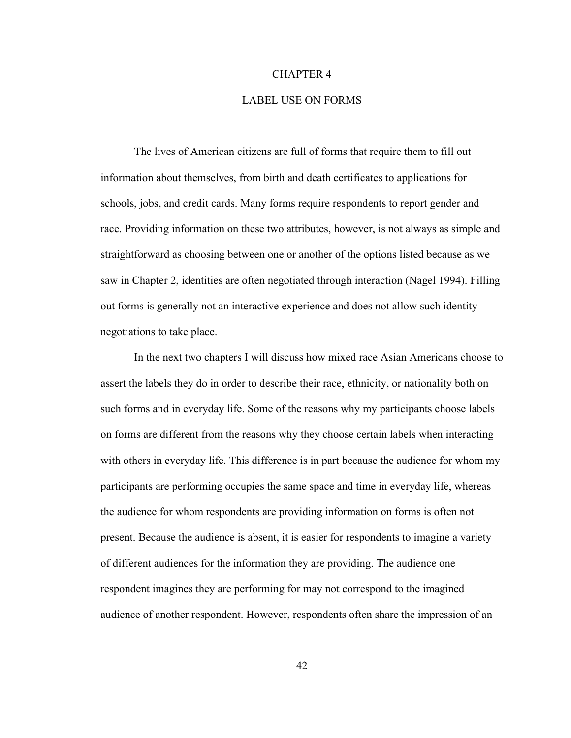#### CHAPTER 4

#### LABEL USE ON FORMS

The lives of American citizens are full of forms that require them to fill out information about themselves, from birth and death certificates to applications for schools, jobs, and credit cards. Many forms require respondents to report gender and race. Providing information on these two attributes, however, is not always as simple and straightforward as choosing between one or another of the options listed because as we saw in Chapter 2, identities are often negotiated through interaction (Nagel 1994). Filling out forms is generally not an interactive experience and does not allow such identity negotiations to take place.

In the next two chapters I will discuss how mixed race Asian Americans choose to assert the labels they do in order to describe their race, ethnicity, or nationality both on such forms and in everyday life. Some of the reasons why my participants choose labels on forms are different from the reasons why they choose certain labels when interacting with others in everyday life. This difference is in part because the audience for whom my participants are performing occupies the same space and time in everyday life, whereas the audience for whom respondents are providing information on forms is often not present. Because the audience is absent, it is easier for respondents to imagine a variety of different audiences for the information they are providing. The audience one respondent imagines they are performing for may not correspond to the imagined audience of another respondent. However, respondents often share the impression of an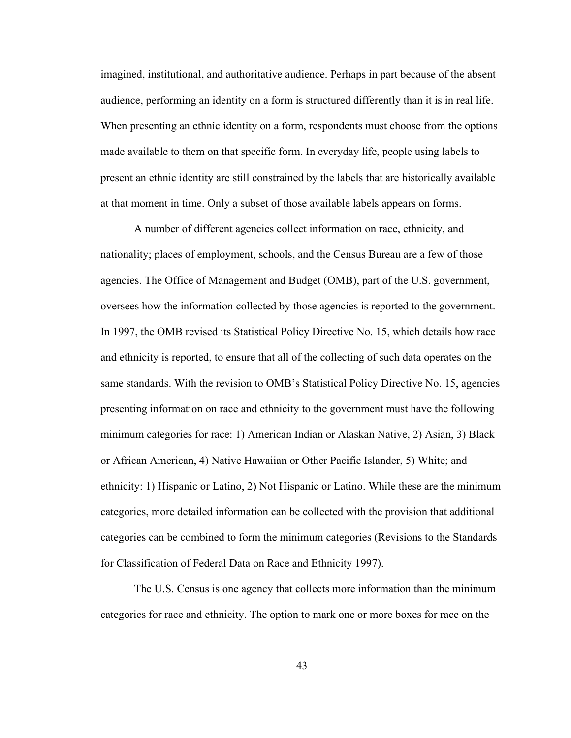imagined, institutional, and authoritative audience. Perhaps in part because of the absent audience, performing an identity on a form is structured differently than it is in real life. When presenting an ethnic identity on a form, respondents must choose from the options made available to them on that specific form. In everyday life, people using labels to present an ethnic identity are still constrained by the labels that are historically available at that moment in time. Only a subset of those available labels appears on forms.

A number of different agencies collect information on race, ethnicity, and nationality; places of employment, schools, and the Census Bureau are a few of those agencies. The Office of Management and Budget (OMB), part of the U.S. government, oversees how the information collected by those agencies is reported to the government. In 1997, the OMB revised its Statistical Policy Directive No. 15, which details how race and ethnicity is reported, to ensure that all of the collecting of such data operates on the same standards. With the revision to OMB's Statistical Policy Directive No. 15, agencies presenting information on race and ethnicity to the government must have the following minimum categories for race: 1) American Indian or Alaskan Native, 2) Asian, 3) Black or African American, 4) Native Hawaiian or Other Pacific Islander, 5) White; and ethnicity: 1) Hispanic or Latino, 2) Not Hispanic or Latino. While these are the minimum categories, more detailed information can be collected with the provision that additional categories can be combined to form the minimum categories (Revisions to the Standards for Classification of Federal Data on Race and Ethnicity 1997).

The U.S. Census is one agency that collects more information than the minimum categories for race and ethnicity. The option to mark one or more boxes for race on the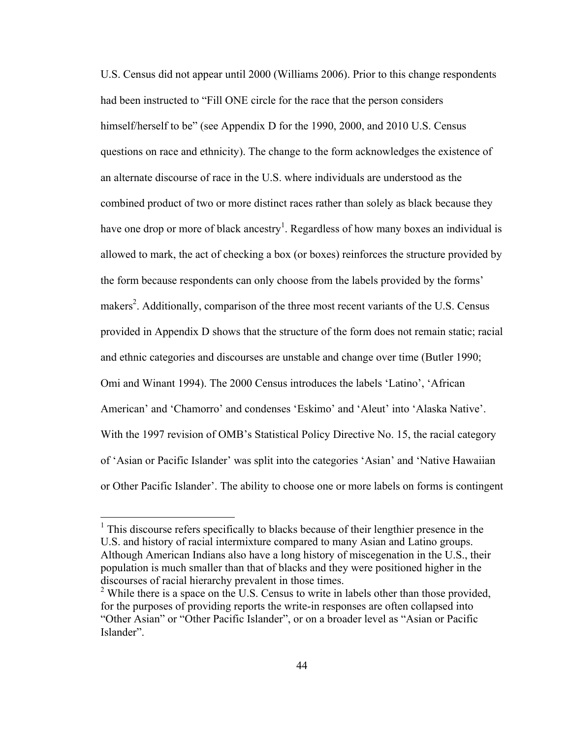U.S. Census did not appear until 2000 (Williams 2006). Prior to this change respondents had been instructed to "Fill ONE circle for the race that the person considers himself/herself to be" (see Appendix D for the 1990, 2000, and 2010 U.S. Census questions on race and ethnicity). The change to the form acknowledges the existence of an alternate discourse of race in the U.S. where individuals are understood as the combined product of two or more distinct races rather than solely as black because they have one drop or more of black ancestry<sup>1</sup>. Regardless of how many boxes an individual is allowed to mark, the act of checking a box (or boxes) reinforces the structure provided by the form because respondents can only choose from the labels provided by the forms' makers<sup>2</sup>. Additionally, comparison of the three most recent variants of the U.S. Census provided in Appendix D shows that the structure of the form does not remain static; racial and ethnic categories and discourses are unstable and change over time (Butler 1990; Omi and Winant 1994). The 2000 Census introduces the labels 'Latino', 'African American' and 'Chamorro' and condenses 'Eskimo' and 'Aleut' into 'Alaska Native'. With the 1997 revision of OMB's Statistical Policy Directive No. 15, the racial category of 'Asian or Pacific Islander' was split into the categories 'Asian' and 'Native Hawaiian or Other Pacific Islander'. The ability to choose one or more labels on forms is contingent

 $<sup>1</sup>$  This discourse refers specifically to blacks because of their lengthier presence in the</sup> U.S. and history of racial intermixture compared to many Asian and Latino groups. Although American Indians also have a long history of miscegenation in the U.S., their population is much smaller than that of blacks and they were positioned higher in the discourses of racial hierarchy prevalent in those times.

<sup>&</sup>lt;sup>2</sup> While there is a space on the U.S. Census to write in labels other than those provided, for the purposes of providing reports the write-in responses are often collapsed into "Other Asian" or "Other Pacific Islander", or on a broader level as "Asian or Pacific Islander".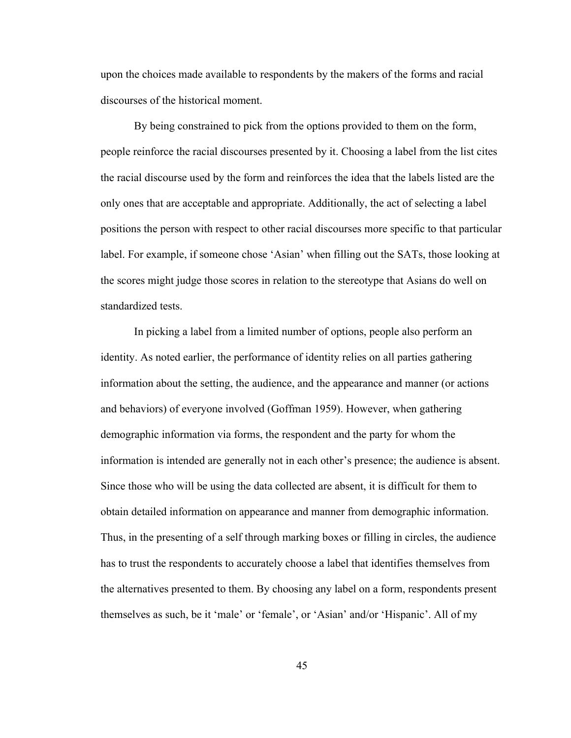upon the choices made available to respondents by the makers of the forms and racial discourses of the historical moment.

By being constrained to pick from the options provided to them on the form, people reinforce the racial discourses presented by it. Choosing a label from the list cites the racial discourse used by the form and reinforces the idea that the labels listed are the only ones that are acceptable and appropriate. Additionally, the act of selecting a label positions the person with respect to other racial discourses more specific to that particular label. For example, if someone chose 'Asian' when filling out the SATs, those looking at the scores might judge those scores in relation to the stereotype that Asians do well on standardized tests.

In picking a label from a limited number of options, people also perform an identity. As noted earlier, the performance of identity relies on all parties gathering information about the setting, the audience, and the appearance and manner (or actions and behaviors) of everyone involved (Goffman 1959). However, when gathering demographic information via forms, the respondent and the party for whom the information is intended are generally not in each other's presence; the audience is absent. Since those who will be using the data collected are absent, it is difficult for them to obtain detailed information on appearance and manner from demographic information. Thus, in the presenting of a self through marking boxes or filling in circles, the audience has to trust the respondents to accurately choose a label that identifies themselves from the alternatives presented to them. By choosing any label on a form, respondents present themselves as such, be it 'male' or 'female', or 'Asian' and/or 'Hispanic'. All of my

45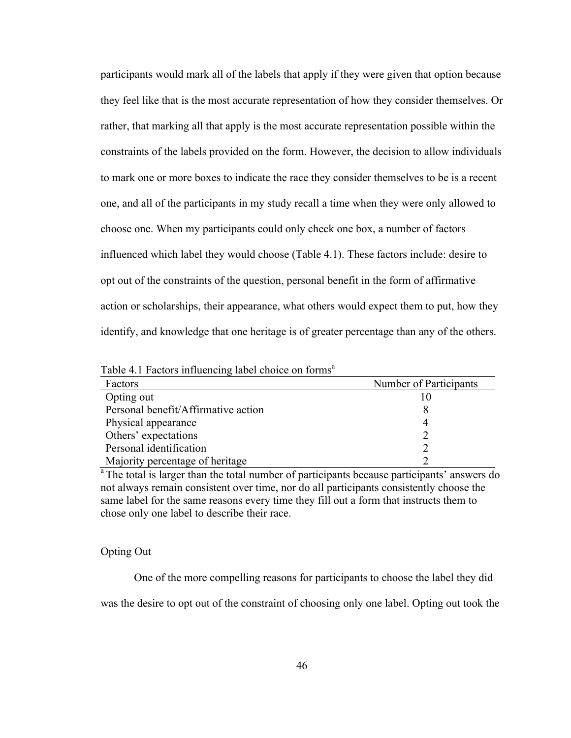participants would mark all of the labels that apply if they were given that option because they feel like that is the most accurate representation of how they consider themselves. Or rather, that marking all that apply is the most accurate representation possible within the constraints of the labels provided on the form. However, the decision to allow individuals to mark one or more boxes to indicate the race they consider themselves to be is a recent one, and all of the participants in my study recall a time when they were only allowed to choose one. When my participants could only check one box, a number of factors influenced which label they would choose (Table 4.1). These factors include: desire to opt out of the constraints of the question, personal benefit in the form of affirmative action or scholarships, their appearance, what others would expect them to put, how they identify, and knowledge that one heritage is of greater percentage than any of the others.

Table 4.1 Factors influencing label choice on forms<sup>a</sup>

| Factors                             | Number of Participants |
|-------------------------------------|------------------------|
| Opting out                          |                        |
| Personal benefit/Affirmative action |                        |
| Physical appearance                 |                        |
| Others' expectations                |                        |
| Personal identification             |                        |
| Majority percentage of heritage     |                        |

 $a^2$ The total is larger than the total number of participants because participants' answers do not always remain consistent over time, nor do all participants consistently choose the same label for the same reasons every time they fill out a form that instructs them to chose only one label to describe their race.

# Opting Out

One of the more compelling reasons for participants to choose the label they did

was the desire to opt out of the constraint of choosing only one label. Opting out took the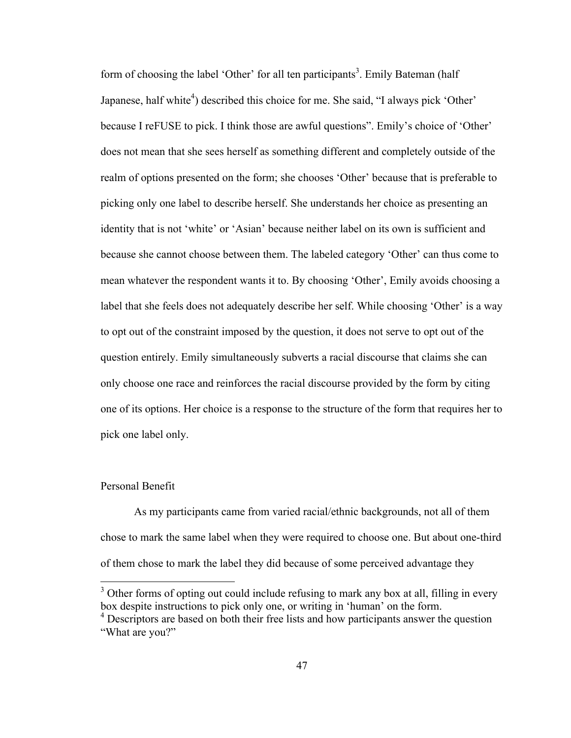form of choosing the label 'Other' for all ten participants<sup>3</sup>. Emily Bateman (half Japanese, half white<sup>4</sup>) described this choice for me. She said, "I always pick 'Other' because I reFUSE to pick. I think those are awful questions". Emily's choice of 'Other' does not mean that she sees herself as something different and completely outside of the realm of options presented on the form; she chooses 'Other' because that is preferable to picking only one label to describe herself. She understands her choice as presenting an identity that is not 'white' or 'Asian' because neither label on its own is sufficient and because she cannot choose between them. The labeled category 'Other' can thus come to mean whatever the respondent wants it to. By choosing 'Other', Emily avoids choosing a label that she feels does not adequately describe her self. While choosing 'Other' is a way to opt out of the constraint imposed by the question, it does not serve to opt out of the question entirely. Emily simultaneously subverts a racial discourse that claims she can only choose one race and reinforces the racial discourse provided by the form by citing one of its options. Her choice is a response to the structure of the form that requires her to pick one label only.

### Personal Benefit

As my participants came from varied racial/ethnic backgrounds, not all of them chose to mark the same label when they were required to choose one. But about one-third of them chose to mark the label they did because of some perceived advantage they

 $3$  Other forms of opting out could include refusing to mark any box at all, filling in every box despite instructions to pick only one, or writing in 'human' on the form.

<sup>&</sup>lt;sup>4</sup> Descriptors are based on both their free lists and how participants answer the question "What are you?"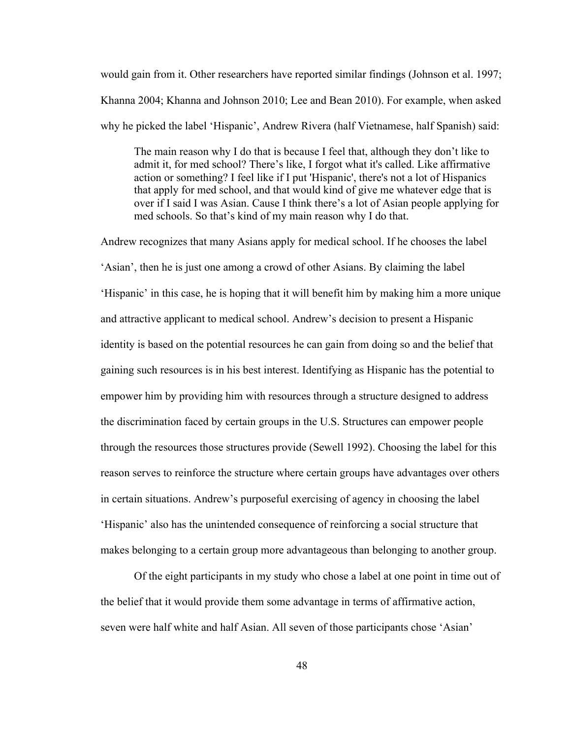would gain from it. Other researchers have reported similar findings (Johnson et al. 1997; Khanna 2004; Khanna and Johnson 2010; Lee and Bean 2010). For example, when asked why he picked the label 'Hispanic', Andrew Rivera (half Vietnamese, half Spanish) said:

The main reason why I do that is because I feel that, although they don't like to admit it, for med school? There's like, I forgot what it's called. Like affirmative action or something? I feel like if I put 'Hispanic', there's not a lot of Hispanics that apply for med school, and that would kind of give me whatever edge that is over if I said I was Asian. Cause I think there's a lot of Asian people applying for med schools. So that's kind of my main reason why I do that.

Andrew recognizes that many Asians apply for medical school. If he chooses the label 'Asian', then he is just one among a crowd of other Asians. By claiming the label 'Hispanic' in this case, he is hoping that it will benefit him by making him a more unique and attractive applicant to medical school. Andrew's decision to present a Hispanic identity is based on the potential resources he can gain from doing so and the belief that gaining such resources is in his best interest. Identifying as Hispanic has the potential to empower him by providing him with resources through a structure designed to address the discrimination faced by certain groups in the U.S. Structures can empower people through the resources those structures provide (Sewell 1992). Choosing the label for this reason serves to reinforce the structure where certain groups have advantages over others in certain situations. Andrew's purposeful exercising of agency in choosing the label 'Hispanic' also has the unintended consequence of reinforcing a social structure that makes belonging to a certain group more advantageous than belonging to another group.

Of the eight participants in my study who chose a label at one point in time out of the belief that it would provide them some advantage in terms of affirmative action, seven were half white and half Asian. All seven of those participants chose 'Asian'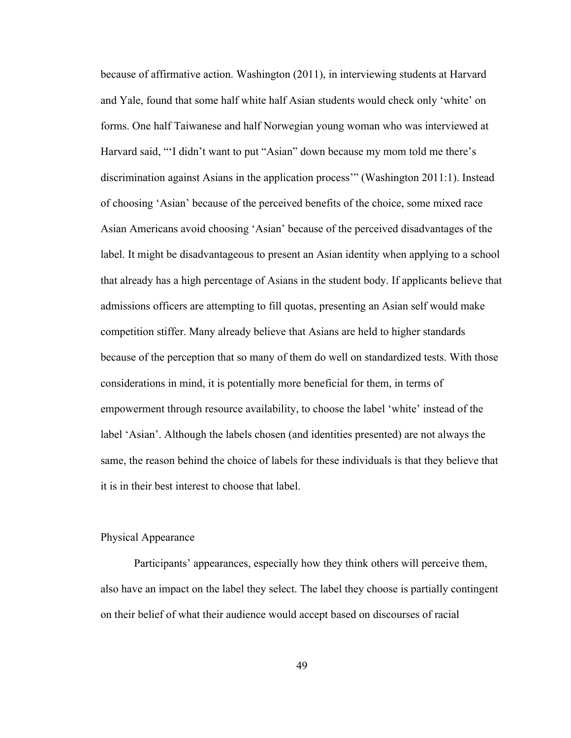because of affirmative action. Washington (2011), in interviewing students at Harvard and Yale, found that some half white half Asian students would check only 'white' on forms. One half Taiwanese and half Norwegian young woman who was interviewed at Harvard said, "'I didn't want to put "Asian" down because my mom told me there's discrimination against Asians in the application process'" (Washington 2011:1). Instead of choosing 'Asian' because of the perceived benefits of the choice, some mixed race Asian Americans avoid choosing 'Asian' because of the perceived disadvantages of the label. It might be disadvantageous to present an Asian identity when applying to a school that already has a high percentage of Asians in the student body. If applicants believe that admissions officers are attempting to fill quotas, presenting an Asian self would make competition stiffer. Many already believe that Asians are held to higher standards because of the perception that so many of them do well on standardized tests. With those considerations in mind, it is potentially more beneficial for them, in terms of empowerment through resource availability, to choose the label 'white' instead of the label 'Asian'. Although the labels chosen (and identities presented) are not always the same, the reason behind the choice of labels for these individuals is that they believe that it is in their best interest to choose that label.

## Physical Appearance

Participants' appearances, especially how they think others will perceive them, also have an impact on the label they select. The label they choose is partially contingent on their belief of what their audience would accept based on discourses of racial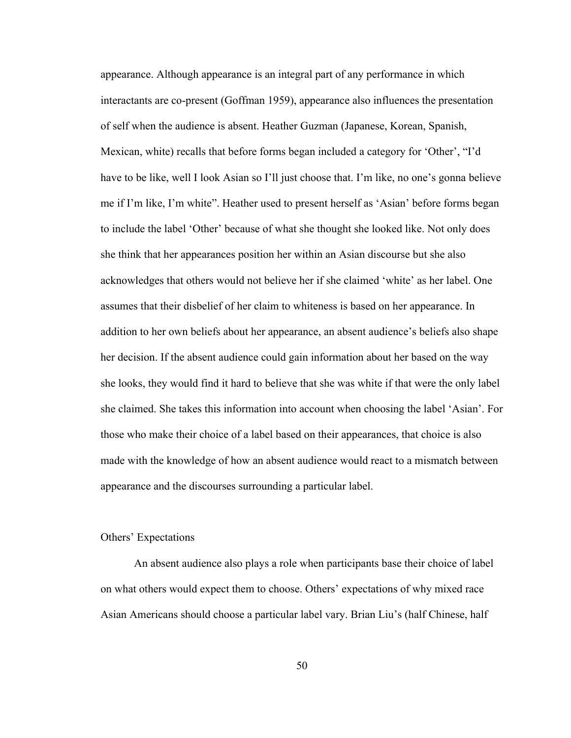appearance. Although appearance is an integral part of any performance in which interactants are co-present (Goffman 1959), appearance also influences the presentation of self when the audience is absent. Heather Guzman (Japanese, Korean, Spanish, Mexican, white) recalls that before forms began included a category for 'Other', "I'd have to be like, well I look Asian so I'll just choose that. I'm like, no one's gonna believe me if I'm like, I'm white". Heather used to present herself as 'Asian' before forms began to include the label 'Other' because of what she thought she looked like. Not only does she think that her appearances position her within an Asian discourse but she also acknowledges that others would not believe her if she claimed 'white' as her label. One assumes that their disbelief of her claim to whiteness is based on her appearance. In addition to her own beliefs about her appearance, an absent audience's beliefs also shape her decision. If the absent audience could gain information about her based on the way she looks, they would find it hard to believe that she was white if that were the only label she claimed. She takes this information into account when choosing the label 'Asian'. For those who make their choice of a label based on their appearances, that choice is also made with the knowledge of how an absent audience would react to a mismatch between appearance and the discourses surrounding a particular label.

#### Others' Expectations

An absent audience also plays a role when participants base their choice of label on what others would expect them to choose. Others' expectations of why mixed race Asian Americans should choose a particular label vary. Brian Liu's (half Chinese, half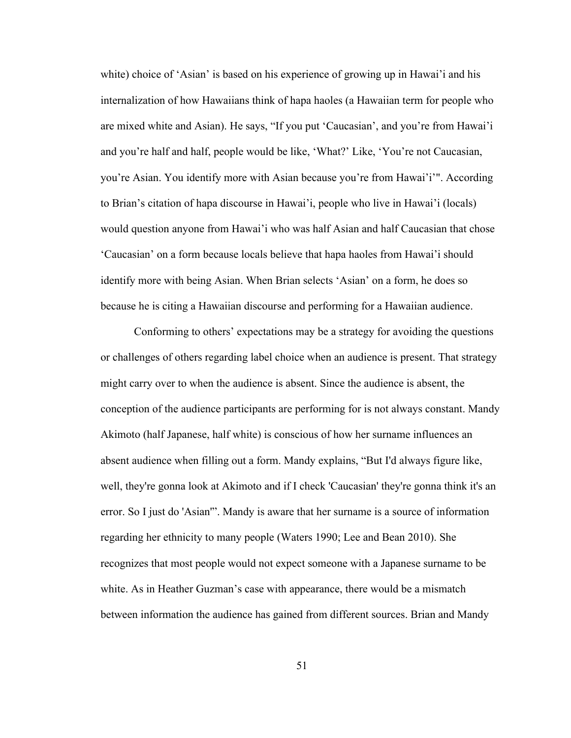white) choice of 'Asian' is based on his experience of growing up in Hawai'i and his internalization of how Hawaiians think of hapa haoles (a Hawaiian term for people who are mixed white and Asian). He says, "If you put 'Caucasian', and you're from Hawai'i and you're half and half, people would be like, 'What?' Like, 'You're not Caucasian, you're Asian. You identify more with Asian because you're from Hawai'i'". According to Brian's citation of hapa discourse in Hawai'i, people who live in Hawai'i (locals) would question anyone from Hawai'i who was half Asian and half Caucasian that chose 'Caucasian' on a form because locals believe that hapa haoles from Hawai'i should identify more with being Asian. When Brian selects 'Asian' on a form, he does so because he is citing a Hawaiian discourse and performing for a Hawaiian audience.

Conforming to others' expectations may be a strategy for avoiding the questions or challenges of others regarding label choice when an audience is present. That strategy might carry over to when the audience is absent. Since the audience is absent, the conception of the audience participants are performing for is not always constant. Mandy Akimoto (half Japanese, half white) is conscious of how her surname influences an absent audience when filling out a form. Mandy explains, "But I'd always figure like, well, they're gonna look at Akimoto and if I check 'Caucasian' they're gonna think it's an error. So I just do 'Asian'". Mandy is aware that her surname is a source of information regarding her ethnicity to many people (Waters 1990; Lee and Bean 2010). She recognizes that most people would not expect someone with a Japanese surname to be white. As in Heather Guzman's case with appearance, there would be a mismatch between information the audience has gained from different sources. Brian and Mandy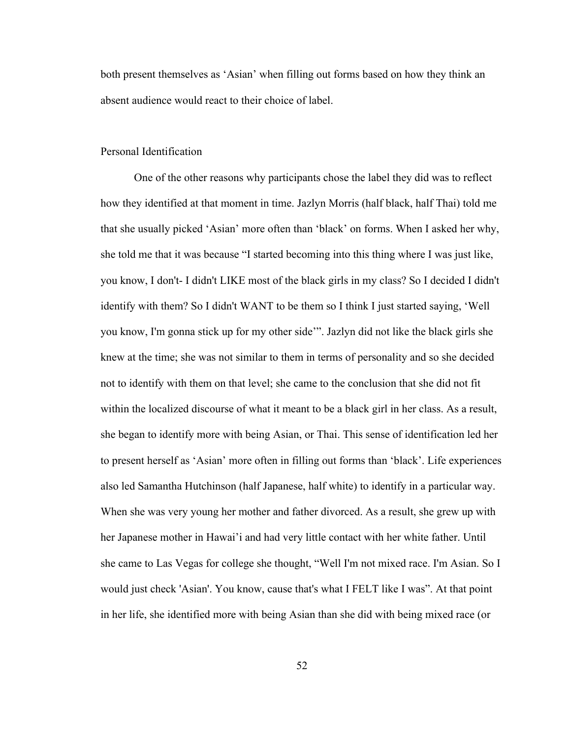both present themselves as 'Asian' when filling out forms based on how they think an absent audience would react to their choice of label.

### Personal Identification

One of the other reasons why participants chose the label they did was to reflect how they identified at that moment in time. Jazlyn Morris (half black, half Thai) told me that she usually picked 'Asian' more often than 'black' on forms. When I asked her why, she told me that it was because "I started becoming into this thing where I was just like, you know, I don't- I didn't LIKE most of the black girls in my class? So I decided I didn't identify with them? So I didn't WANT to be them so I think I just started saying, 'Well you know, I'm gonna stick up for my other side'". Jazlyn did not like the black girls she knew at the time; she was not similar to them in terms of personality and so she decided not to identify with them on that level; she came to the conclusion that she did not fit within the localized discourse of what it meant to be a black girl in her class. As a result, she began to identify more with being Asian, or Thai. This sense of identification led her to present herself as 'Asian' more often in filling out forms than 'black'. Life experiences also led Samantha Hutchinson (half Japanese, half white) to identify in a particular way. When she was very young her mother and father divorced. As a result, she grew up with her Japanese mother in Hawai'i and had very little contact with her white father. Until she came to Las Vegas for college she thought, "Well I'm not mixed race. I'm Asian. So I would just check 'Asian'. You know, cause that's what I FELT like I was". At that point in her life, she identified more with being Asian than she did with being mixed race (or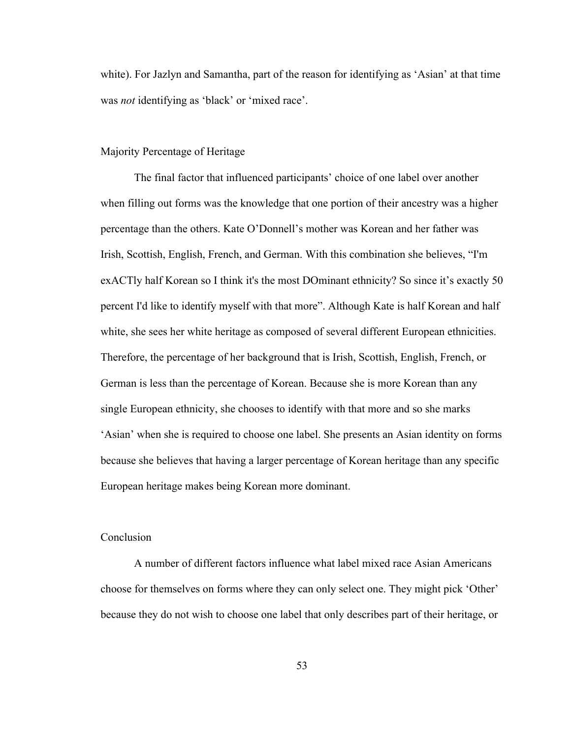white). For Jazlyn and Samantha, part of the reason for identifying as 'Asian' at that time was *not* identifying as 'black' or 'mixed race'.

### Majority Percentage of Heritage

The final factor that influenced participants' choice of one label over another when filling out forms was the knowledge that one portion of their ancestry was a higher percentage than the others. Kate O'Donnell's mother was Korean and her father was Irish, Scottish, English, French, and German. With this combination she believes, "I'm exACTly half Korean so I think it's the most DOminant ethnicity? So since it's exactly 50 percent I'd like to identify myself with that more". Although Kate is half Korean and half white, she sees her white heritage as composed of several different European ethnicities. Therefore, the percentage of her background that is Irish, Scottish, English, French, or German is less than the percentage of Korean. Because she is more Korean than any single European ethnicity, she chooses to identify with that more and so she marks 'Asian' when she is required to choose one label. She presents an Asian identity on forms because she believes that having a larger percentage of Korean heritage than any specific European heritage makes being Korean more dominant.

# Conclusion

A number of different factors influence what label mixed race Asian Americans choose for themselves on forms where they can only select one. They might pick 'Other' because they do not wish to choose one label that only describes part of their heritage, or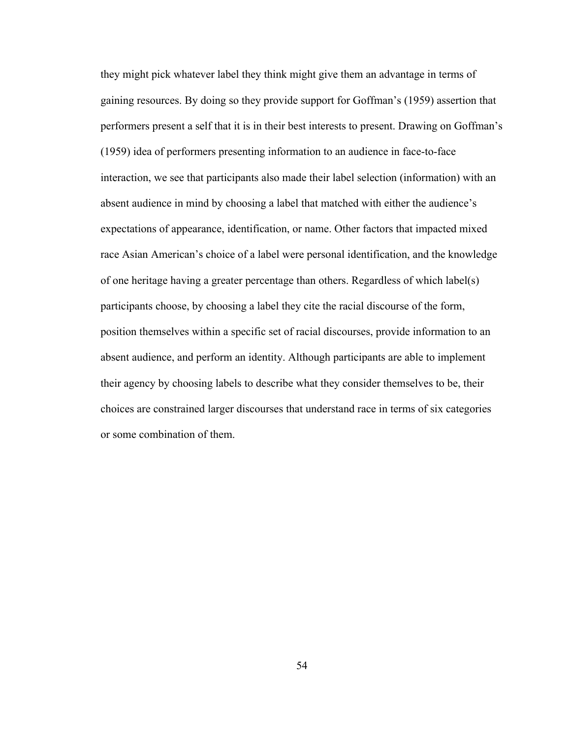they might pick whatever label they think might give them an advantage in terms of gaining resources. By doing so they provide support for Goffman's (1959) assertion that performers present a self that it is in their best interests to present. Drawing on Goffman's (1959) idea of performers presenting information to an audience in face-to-face interaction, we see that participants also made their label selection (information) with an absent audience in mind by choosing a label that matched with either the audience's expectations of appearance, identification, or name. Other factors that impacted mixed race Asian American's choice of a label were personal identification, and the knowledge of one heritage having a greater percentage than others. Regardless of which label(s) participants choose, by choosing a label they cite the racial discourse of the form, position themselves within a specific set of racial discourses, provide information to an absent audience, and perform an identity. Although participants are able to implement their agency by choosing labels to describe what they consider themselves to be, their choices are constrained larger discourses that understand race in terms of six categories or some combination of them.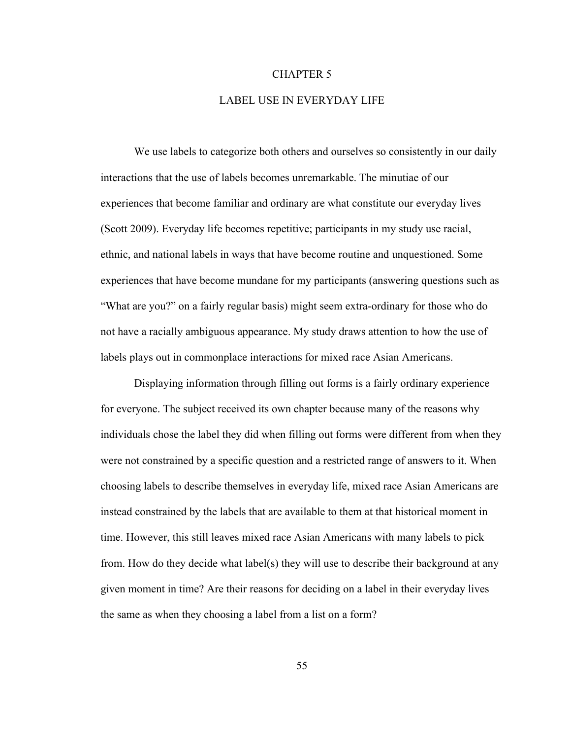#### CHAPTER 5

#### LABEL USE IN EVERYDAY LIFE

We use labels to categorize both others and ourselves so consistently in our daily interactions that the use of labels becomes unremarkable. The minutiae of our experiences that become familiar and ordinary are what constitute our everyday lives (Scott 2009). Everyday life becomes repetitive; participants in my study use racial, ethnic, and national labels in ways that have become routine and unquestioned. Some experiences that have become mundane for my participants (answering questions such as "What are you?" on a fairly regular basis) might seem extra-ordinary for those who do not have a racially ambiguous appearance. My study draws attention to how the use of labels plays out in commonplace interactions for mixed race Asian Americans.

Displaying information through filling out forms is a fairly ordinary experience for everyone. The subject received its own chapter because many of the reasons why individuals chose the label they did when filling out forms were different from when they were not constrained by a specific question and a restricted range of answers to it. When choosing labels to describe themselves in everyday life, mixed race Asian Americans are instead constrained by the labels that are available to them at that historical moment in time. However, this still leaves mixed race Asian Americans with many labels to pick from. How do they decide what label(s) they will use to describe their background at any given moment in time? Are their reasons for deciding on a label in their everyday lives the same as when they choosing a label from a list on a form?

55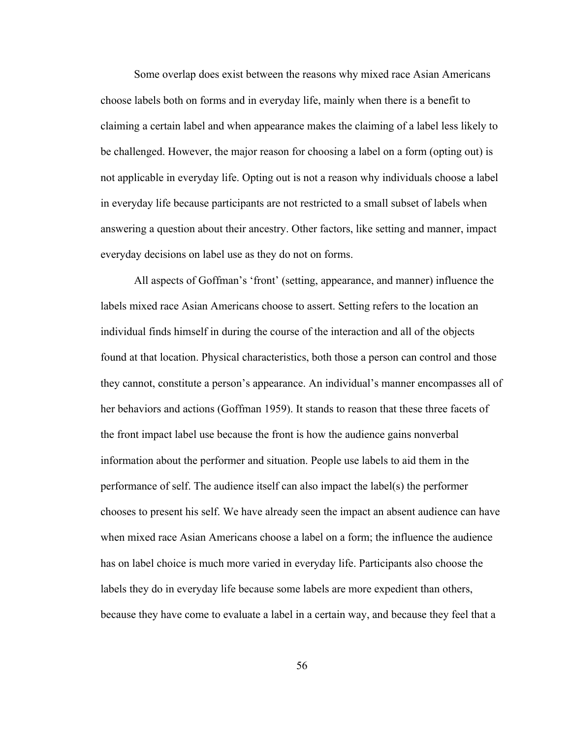Some overlap does exist between the reasons why mixed race Asian Americans choose labels both on forms and in everyday life, mainly when there is a benefit to claiming a certain label and when appearance makes the claiming of a label less likely to be challenged. However, the major reason for choosing a label on a form (opting out) is not applicable in everyday life. Opting out is not a reason why individuals choose a label in everyday life because participants are not restricted to a small subset of labels when answering a question about their ancestry. Other factors, like setting and manner, impact everyday decisions on label use as they do not on forms.

All aspects of Goffman's 'front' (setting, appearance, and manner) influence the labels mixed race Asian Americans choose to assert. Setting refers to the location an individual finds himself in during the course of the interaction and all of the objects found at that location. Physical characteristics, both those a person can control and those they cannot, constitute a person's appearance. An individual's manner encompasses all of her behaviors and actions (Goffman 1959). It stands to reason that these three facets of the front impact label use because the front is how the audience gains nonverbal information about the performer and situation. People use labels to aid them in the performance of self. The audience itself can also impact the label(s) the performer chooses to present his self. We have already seen the impact an absent audience can have when mixed race Asian Americans choose a label on a form; the influence the audience has on label choice is much more varied in everyday life. Participants also choose the labels they do in everyday life because some labels are more expedient than others, because they have come to evaluate a label in a certain way, and because they feel that a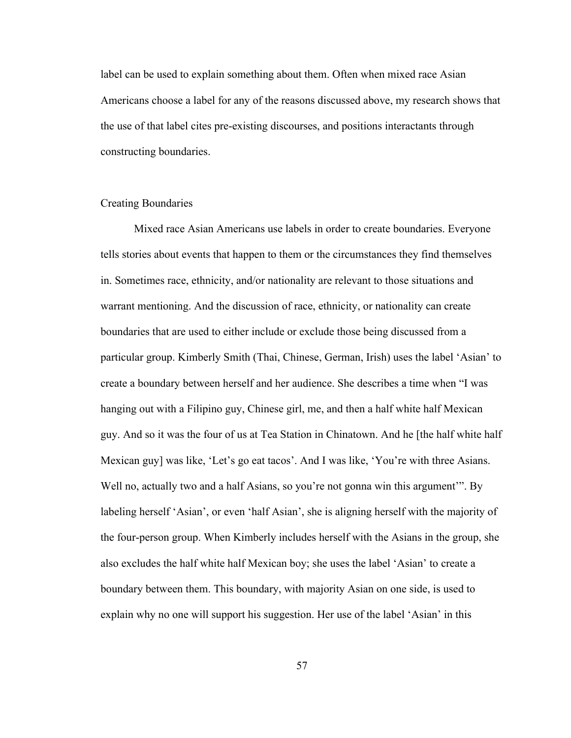label can be used to explain something about them. Often when mixed race Asian Americans choose a label for any of the reasons discussed above, my research shows that the use of that label cites pre-existing discourses, and positions interactants through constructing boundaries.

### Creating Boundaries

Mixed race Asian Americans use labels in order to create boundaries. Everyone tells stories about events that happen to them or the circumstances they find themselves in. Sometimes race, ethnicity, and/or nationality are relevant to those situations and warrant mentioning. And the discussion of race, ethnicity, or nationality can create boundaries that are used to either include or exclude those being discussed from a particular group. Kimberly Smith (Thai, Chinese, German, Irish) uses the label 'Asian' to create a boundary between herself and her audience. She describes a time when "I was hanging out with a Filipino guy, Chinese girl, me, and then a half white half Mexican guy. And so it was the four of us at Tea Station in Chinatown. And he [the half white half Mexican guy] was like, 'Let's go eat tacos'. And I was like, 'You're with three Asians. Well no, actually two and a half Asians, so you're not gonna win this argument'". By labeling herself 'Asian', or even 'half Asian', she is aligning herself with the majority of the four-person group. When Kimberly includes herself with the Asians in the group, she also excludes the half white half Mexican boy; she uses the label 'Asian' to create a boundary between them. This boundary, with majority Asian on one side, is used to explain why no one will support his suggestion. Her use of the label 'Asian' in this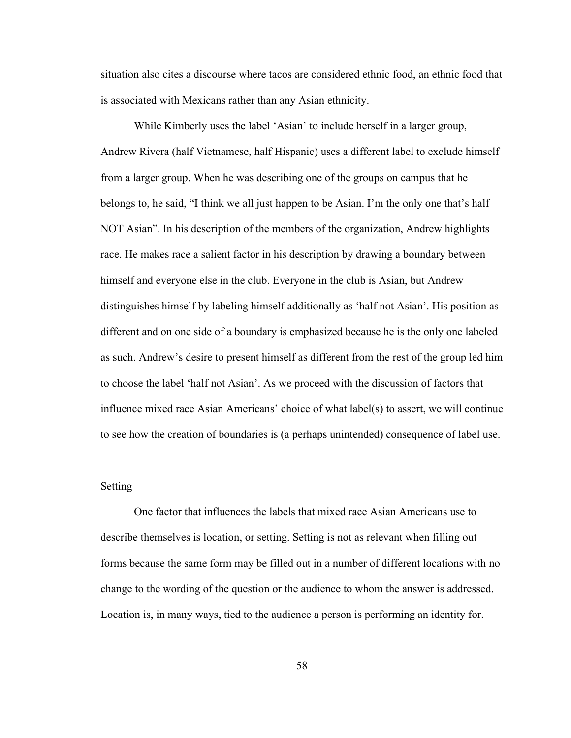situation also cites a discourse where tacos are considered ethnic food, an ethnic food that is associated with Mexicans rather than any Asian ethnicity.

While Kimberly uses the label 'Asian' to include herself in a larger group, Andrew Rivera (half Vietnamese, half Hispanic) uses a different label to exclude himself from a larger group. When he was describing one of the groups on campus that he belongs to, he said, "I think we all just happen to be Asian. I'm the only one that's half NOT Asian". In his description of the members of the organization, Andrew highlights race. He makes race a salient factor in his description by drawing a boundary between himself and everyone else in the club. Everyone in the club is Asian, but Andrew distinguishes himself by labeling himself additionally as 'half not Asian'. His position as different and on one side of a boundary is emphasized because he is the only one labeled as such. Andrew's desire to present himself as different from the rest of the group led him to choose the label 'half not Asian'. As we proceed with the discussion of factors that influence mixed race Asian Americans' choice of what label(s) to assert, we will continue to see how the creation of boundaries is (a perhaps unintended) consequence of label use.

### Setting

One factor that influences the labels that mixed race Asian Americans use to describe themselves is location, or setting. Setting is not as relevant when filling out forms because the same form may be filled out in a number of different locations with no change to the wording of the question or the audience to whom the answer is addressed. Location is, in many ways, tied to the audience a person is performing an identity for.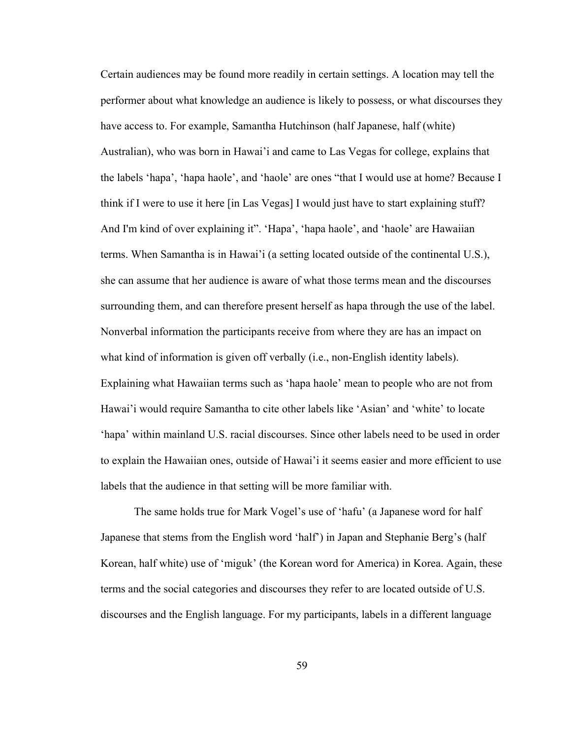Certain audiences may be found more readily in certain settings. A location may tell the performer about what knowledge an audience is likely to possess, or what discourses they have access to. For example, Samantha Hutchinson (half Japanese, half (white) Australian), who was born in Hawai'i and came to Las Vegas for college, explains that the labels 'hapa', 'hapa haole', and 'haole' are ones "that I would use at home? Because I think if I were to use it here [in Las Vegas] I would just have to start explaining stuff? And I'm kind of over explaining it". 'Hapa', 'hapa haole', and 'haole' are Hawaiian terms. When Samantha is in Hawai'i (a setting located outside of the continental U.S.), she can assume that her audience is aware of what those terms mean and the discourses surrounding them, and can therefore present herself as hapa through the use of the label. Nonverbal information the participants receive from where they are has an impact on what kind of information is given off verbally (i.e., non-English identity labels). Explaining what Hawaiian terms such as 'hapa haole' mean to people who are not from Hawai'i would require Samantha to cite other labels like 'Asian' and 'white' to locate 'hapa' within mainland U.S. racial discourses. Since other labels need to be used in order to explain the Hawaiian ones, outside of Hawai'i it seems easier and more efficient to use labels that the audience in that setting will be more familiar with.

The same holds true for Mark Vogel's use of 'hafu' (a Japanese word for half Japanese that stems from the English word 'half') in Japan and Stephanie Berg's (half Korean, half white) use of 'miguk' (the Korean word for America) in Korea. Again, these terms and the social categories and discourses they refer to are located outside of U.S. discourses and the English language. For my participants, labels in a different language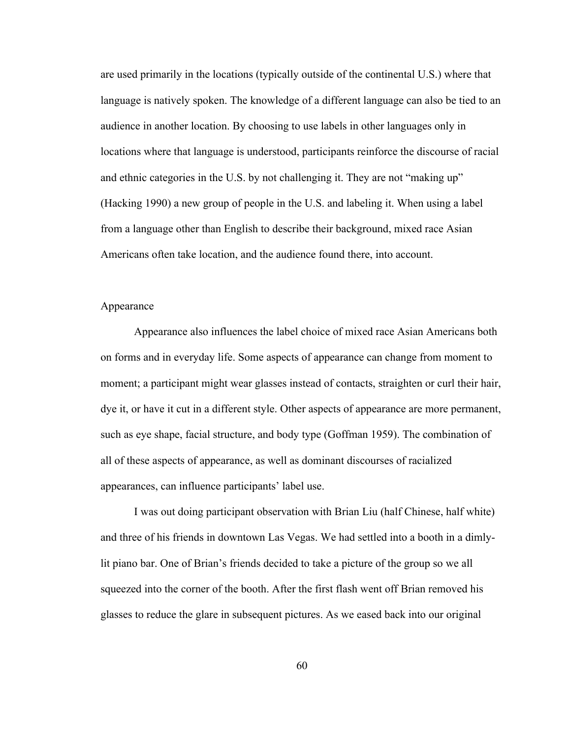are used primarily in the locations (typically outside of the continental U.S.) where that language is natively spoken. The knowledge of a different language can also be tied to an audience in another location. By choosing to use labels in other languages only in locations where that language is understood, participants reinforce the discourse of racial and ethnic categories in the U.S. by not challenging it. They are not "making up" (Hacking 1990) a new group of people in the U.S. and labeling it. When using a label from a language other than English to describe their background, mixed race Asian Americans often take location, and the audience found there, into account.

#### Appearance

Appearance also influences the label choice of mixed race Asian Americans both on forms and in everyday life. Some aspects of appearance can change from moment to moment; a participant might wear glasses instead of contacts, straighten or curl their hair, dye it, or have it cut in a different style. Other aspects of appearance are more permanent, such as eye shape, facial structure, and body type (Goffman 1959). The combination of all of these aspects of appearance, as well as dominant discourses of racialized appearances, can influence participants' label use.

I was out doing participant observation with Brian Liu (half Chinese, half white) and three of his friends in downtown Las Vegas. We had settled into a booth in a dimlylit piano bar. One of Brian's friends decided to take a picture of the group so we all squeezed into the corner of the booth. After the first flash went off Brian removed his glasses to reduce the glare in subsequent pictures. As we eased back into our original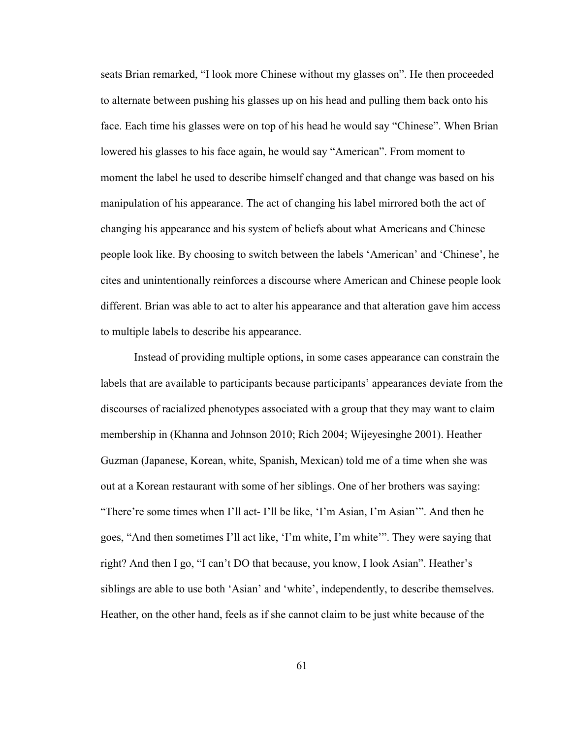seats Brian remarked, "I look more Chinese without my glasses on". He then proceeded to alternate between pushing his glasses up on his head and pulling them back onto his face. Each time his glasses were on top of his head he would say "Chinese". When Brian lowered his glasses to his face again, he would say "American". From moment to moment the label he used to describe himself changed and that change was based on his manipulation of his appearance. The act of changing his label mirrored both the act of changing his appearance and his system of beliefs about what Americans and Chinese people look like. By choosing to switch between the labels 'American' and 'Chinese', he cites and unintentionally reinforces a discourse where American and Chinese people look different. Brian was able to act to alter his appearance and that alteration gave him access to multiple labels to describe his appearance.

Instead of providing multiple options, in some cases appearance can constrain the labels that are available to participants because participants' appearances deviate from the discourses of racialized phenotypes associated with a group that they may want to claim membership in (Khanna and Johnson 2010; Rich 2004; Wijeyesinghe 2001). Heather Guzman (Japanese, Korean, white, Spanish, Mexican) told me of a time when she was out at a Korean restaurant with some of her siblings. One of her brothers was saying: "There're some times when I'll act- I'll be like, 'I'm Asian, I'm Asian'". And then he goes, "And then sometimes I'll act like, 'I'm white, I'm white'". They were saying that right? And then I go, "I can't DO that because, you know, I look Asian". Heather's siblings are able to use both 'Asian' and 'white', independently, to describe themselves. Heather, on the other hand, feels as if she cannot claim to be just white because of the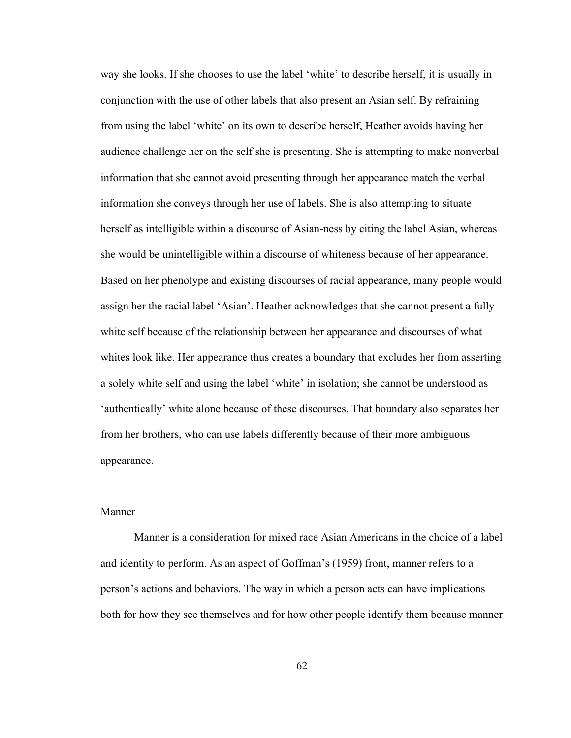way she looks. If she chooses to use the label 'white' to describe herself, it is usually in conjunction with the use of other labels that also present an Asian self. By refraining from using the label 'white' on its own to describe herself, Heather avoids having her audience challenge her on the self she is presenting. She is attempting to make nonverbal information that she cannot avoid presenting through her appearance match the verbal information she conveys through her use of labels. She is also attempting to situate herself as intelligible within a discourse of Asian-ness by citing the label Asian, whereas she would be unintelligible within a discourse of whiteness because of her appearance. Based on her phenotype and existing discourses of racial appearance, many people would assign her the racial label 'Asian'. Heather acknowledges that she cannot present a fully white self because of the relationship between her appearance and discourses of what whites look like. Her appearance thus creates a boundary that excludes her from asserting a solely white self and using the label 'white' in isolation; she cannot be understood as 'authentically' white alone because of these discourses. That boundary also separates her from her brothers, who can use labels differently because of their more ambiguous appearance.

# Manner

Manner is a consideration for mixed race Asian Americans in the choice of a label and identity to perform. As an aspect of Goffman's (1959) front, manner refers to a person's actions and behaviors. The way in which a person acts can have implications both for how they see themselves and for how other people identify them because manner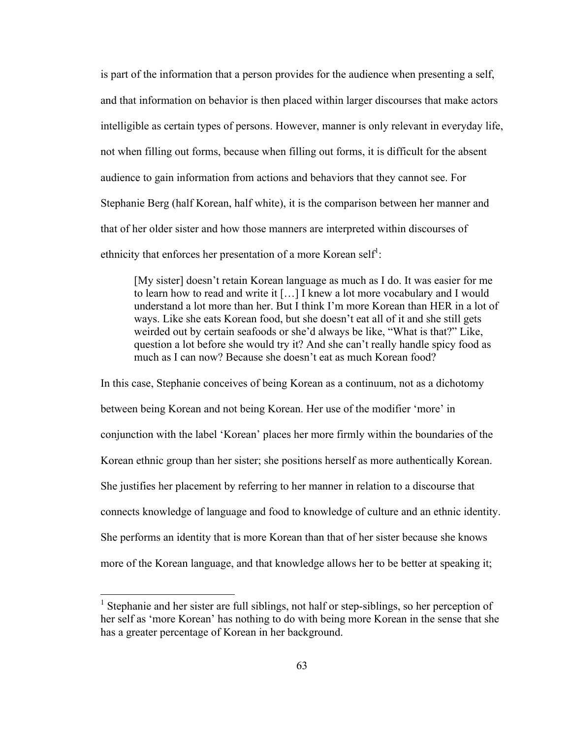is part of the information that a person provides for the audience when presenting a self, and that information on behavior is then placed within larger discourses that make actors intelligible as certain types of persons. However, manner is only relevant in everyday life, not when filling out forms, because when filling out forms, it is difficult for the absent audience to gain information from actions and behaviors that they cannot see. For Stephanie Berg (half Korean, half white), it is the comparison between her manner and that of her older sister and how those manners are interpreted within discourses of ethnicity that enforces her presentation of a more Korean self<sup>1</sup>:

[My sister] doesn't retain Korean language as much as I do. It was easier for me to learn how to read and write it […] I knew a lot more vocabulary and I would understand a lot more than her. But I think I'm more Korean than HER in a lot of ways. Like she eats Korean food, but she doesn't eat all of it and she still gets weirded out by certain seafoods or she'd always be like, "What is that?" Like, question a lot before she would try it? And she can't really handle spicy food as much as I can now? Because she doesn't eat as much Korean food?

In this case, Stephanie conceives of being Korean as a continuum, not as a dichotomy between being Korean and not being Korean. Her use of the modifier 'more' in conjunction with the label 'Korean' places her more firmly within the boundaries of the Korean ethnic group than her sister; she positions herself as more authentically Korean. She justifies her placement by referring to her manner in relation to a discourse that connects knowledge of language and food to knowledge of culture and an ethnic identity. She performs an identity that is more Korean than that of her sister because she knows more of the Korean language, and that knowledge allows her to be better at speaking it;

<sup>&</sup>lt;sup>1</sup> Stephanie and her sister are full siblings, not half or step-siblings, so her perception of her self as 'more Korean' has nothing to do with being more Korean in the sense that she has a greater percentage of Korean in her background.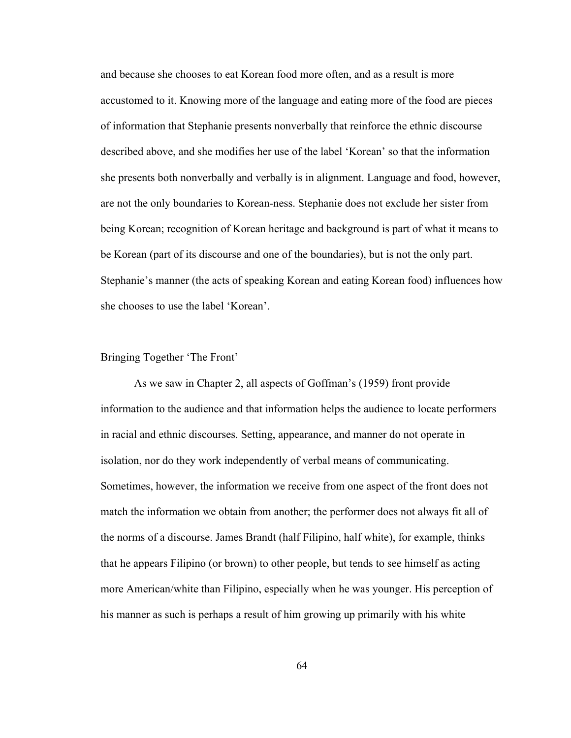and because she chooses to eat Korean food more often, and as a result is more accustomed to it. Knowing more of the language and eating more of the food are pieces of information that Stephanie presents nonverbally that reinforce the ethnic discourse described above, and she modifies her use of the label 'Korean' so that the information she presents both nonverbally and verbally is in alignment. Language and food, however, are not the only boundaries to Korean-ness. Stephanie does not exclude her sister from being Korean; recognition of Korean heritage and background is part of what it means to be Korean (part of its discourse and one of the boundaries), but is not the only part. Stephanie's manner (the acts of speaking Korean and eating Korean food) influences how she chooses to use the label 'Korean'.

# Bringing Together 'The Front'

As we saw in Chapter 2, all aspects of Goffman's (1959) front provide information to the audience and that information helps the audience to locate performers in racial and ethnic discourses. Setting, appearance, and manner do not operate in isolation, nor do they work independently of verbal means of communicating. Sometimes, however, the information we receive from one aspect of the front does not match the information we obtain from another; the performer does not always fit all of the norms of a discourse. James Brandt (half Filipino, half white), for example, thinks that he appears Filipino (or brown) to other people, but tends to see himself as acting more American/white than Filipino, especially when he was younger. His perception of his manner as such is perhaps a result of him growing up primarily with his white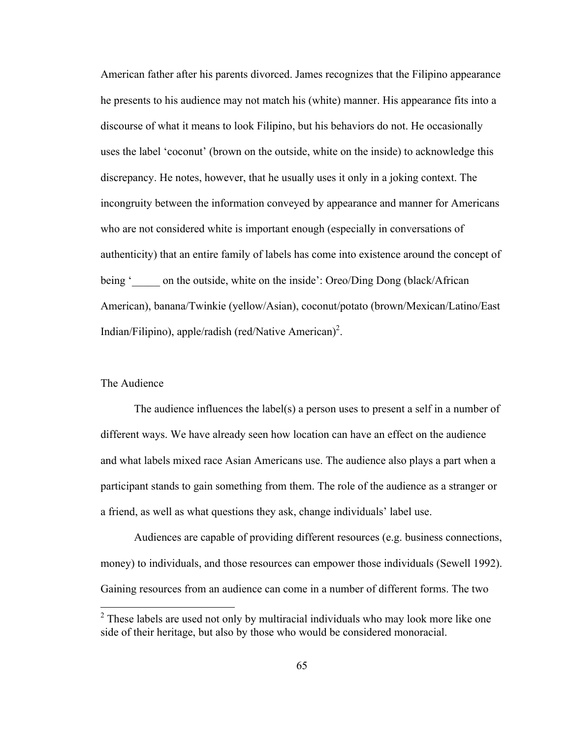American father after his parents divorced. James recognizes that the Filipino appearance he presents to his audience may not match his (white) manner. His appearance fits into a discourse of what it means to look Filipino, but his behaviors do not. He occasionally uses the label 'coconut' (brown on the outside, white on the inside) to acknowledge this discrepancy. He notes, however, that he usually uses it only in a joking context. The incongruity between the information conveyed by appearance and manner for Americans who are not considered white is important enough (especially in conversations of authenticity) that an entire family of labels has come into existence around the concept of being '\_\_\_\_\_ on the outside, white on the inside': Oreo/Ding Dong (black/African American), banana/Twinkie (yellow/Asian), coconut/potato (brown/Mexican/Latino/East Indian/Filipino), apple/radish (red/Native American)<sup>2</sup>.

# The Audience

The audience influences the label(s) a person uses to present a self in a number of different ways. We have already seen how location can have an effect on the audience and what labels mixed race Asian Americans use. The audience also plays a part when a participant stands to gain something from them. The role of the audience as a stranger or a friend, as well as what questions they ask, change individuals' label use.

Audiences are capable of providing different resources (e.g. business connections, money) to individuals, and those resources can empower those individuals (Sewell 1992). Gaining resources from an audience can come in a number of different forms. The two

 $2$  These labels are used not only by multiracial individuals who may look more like one side of their heritage, but also by those who would be considered monoracial.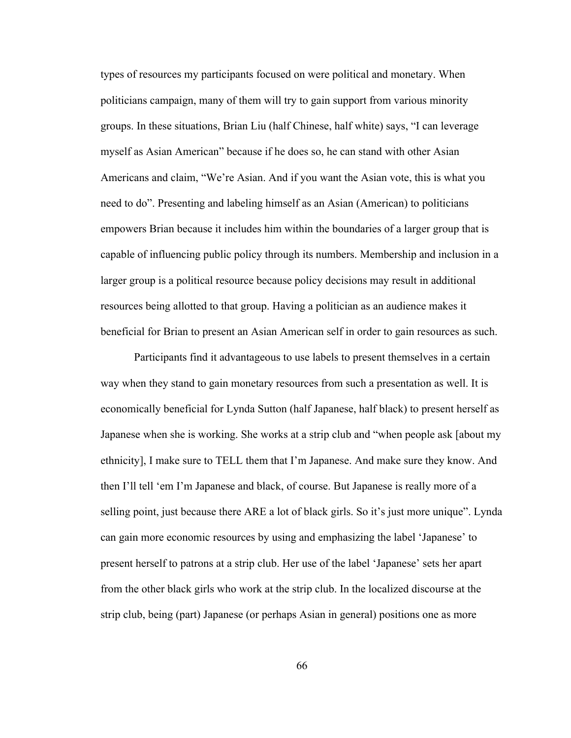types of resources my participants focused on were political and monetary. When politicians campaign, many of them will try to gain support from various minority groups. In these situations, Brian Liu (half Chinese, half white) says, "I can leverage myself as Asian American" because if he does so, he can stand with other Asian Americans and claim, "We're Asian. And if you want the Asian vote, this is what you need to do". Presenting and labeling himself as an Asian (American) to politicians empowers Brian because it includes him within the boundaries of a larger group that is capable of influencing public policy through its numbers. Membership and inclusion in a larger group is a political resource because policy decisions may result in additional resources being allotted to that group. Having a politician as an audience makes it beneficial for Brian to present an Asian American self in order to gain resources as such.

Participants find it advantageous to use labels to present themselves in a certain way when they stand to gain monetary resources from such a presentation as well. It is economically beneficial for Lynda Sutton (half Japanese, half black) to present herself as Japanese when she is working. She works at a strip club and "when people ask [about my ethnicity], I make sure to TELL them that I'm Japanese. And make sure they know. And then I'll tell 'em I'm Japanese and black, of course. But Japanese is really more of a selling point, just because there ARE a lot of black girls. So it's just more unique". Lynda can gain more economic resources by using and emphasizing the label 'Japanese' to present herself to patrons at a strip club. Her use of the label 'Japanese' sets her apart from the other black girls who work at the strip club. In the localized discourse at the strip club, being (part) Japanese (or perhaps Asian in general) positions one as more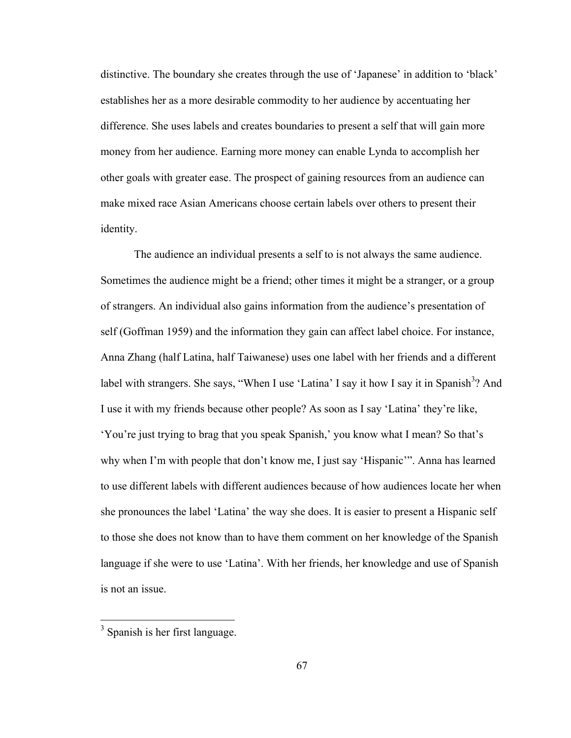distinctive. The boundary she creates through the use of 'Japanese' in addition to 'black' establishes her as a more desirable commodity to her audience by accentuating her difference. She uses labels and creates boundaries to present a self that will gain more money from her audience. Earning more money can enable Lynda to accomplish her other goals with greater ease. The prospect of gaining resources from an audience can make mixed race Asian Americans choose certain labels over others to present their identity.

The audience an individual presents a self to is not always the same audience. Sometimes the audience might be a friend; other times it might be a stranger, or a group of strangers. An individual also gains information from the audience's presentation of self (Goffman 1959) and the information they gain can affect label choice. For instance, Anna Zhang (half Latina, half Taiwanese) uses one label with her friends and a different label with strangers. She says, "When I use 'Latina' I say it how I say it in Spanish<sup>3</sup>? And I use it with my friends because other people? As soon as I say 'Latina' they're like, 'You're just trying to brag that you speak Spanish,' you know what I mean? So that's why when I'm with people that don't know me, I just say 'Hispanic'". Anna has learned to use different labels with different audiences because of how audiences locate her when she pronounces the label 'Latina' the way she does. It is easier to present a Hispanic self to those she does not know than to have them comment on her knowledge of the Spanish language if she were to use 'Latina'. With her friends, her knowledge and use of Spanish is not an issue.

 <sup>3</sup> Spanish is her first language.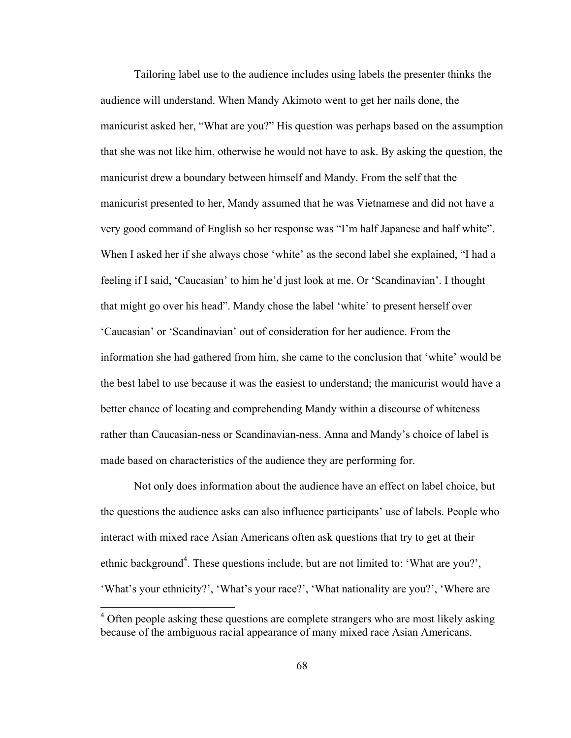Tailoring label use to the audience includes using labels the presenter thinks the audience will understand. When Mandy Akimoto went to get her nails done, the manicurist asked her, "What are you?" His question was perhaps based on the assumption that she was not like him, otherwise he would not have to ask. By asking the question, the manicurist drew a boundary between himself and Mandy. From the self that the manicurist presented to her, Mandy assumed that he was Vietnamese and did not have a very good command of English so her response was "I'm half Japanese and half white". When I asked her if she always chose 'white' as the second label she explained, "I had a feeling if I said, 'Caucasian' to him he'd just look at me. Or 'Scandinavian'. I thought that might go over his head". Mandy chose the label 'white' to present herself over 'Caucasian' or 'Scandinavian' out of consideration for her audience. From the information she had gathered from him, she came to the conclusion that 'white' would be the best label to use because it was the easiest to understand; the manicurist would have a better chance of locating and comprehending Mandy within a discourse of whiteness rather than Caucasian-ness or Scandinavian-ness. Anna and Mandy's choice of label is made based on characteristics of the audience they are performing for.

Not only does information about the audience have an effect on label choice, but the questions the audience asks can also influence participants' use of labels. People who interact with mixed race Asian Americans often ask questions that try to get at their ethnic background<sup>4</sup>. These questions include, but are not limited to: 'What are you?', 'What's your ethnicity?', 'What's your race?', 'What nationality are you?', 'Where are

 $4$  Often people asking these questions are complete strangers who are most likely asking because of the ambiguous racial appearance of many mixed race Asian Americans.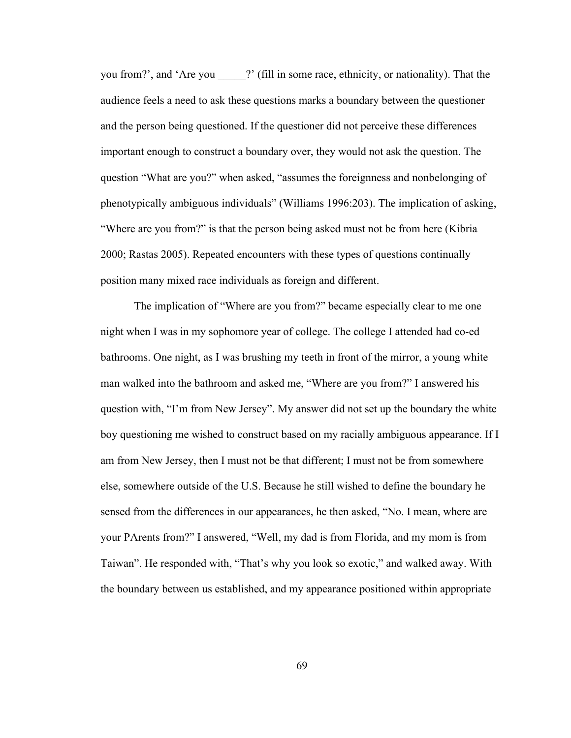you from?', and 'Are you \_\_\_\_\_?' (fill in some race, ethnicity, or nationality). That the audience feels a need to ask these questions marks a boundary between the questioner and the person being questioned. If the questioner did not perceive these differences important enough to construct a boundary over, they would not ask the question. The question "What are you?" when asked, "assumes the foreignness and nonbelonging of phenotypically ambiguous individuals" (Williams 1996:203). The implication of asking, "Where are you from?" is that the person being asked must not be from here (Kibria 2000; Rastas 2005). Repeated encounters with these types of questions continually position many mixed race individuals as foreign and different.

The implication of "Where are you from?" became especially clear to me one night when I was in my sophomore year of college. The college I attended had co-ed bathrooms. One night, as I was brushing my teeth in front of the mirror, a young white man walked into the bathroom and asked me, "Where are you from?" I answered his question with, "I'm from New Jersey". My answer did not set up the boundary the white boy questioning me wished to construct based on my racially ambiguous appearance. If I am from New Jersey, then I must not be that different; I must not be from somewhere else, somewhere outside of the U.S. Because he still wished to define the boundary he sensed from the differences in our appearances, he then asked, "No. I mean, where are your PArents from?" I answered, "Well, my dad is from Florida, and my mom is from Taiwan". He responded with, "That's why you look so exotic," and walked away. With the boundary between us established, and my appearance positioned within appropriate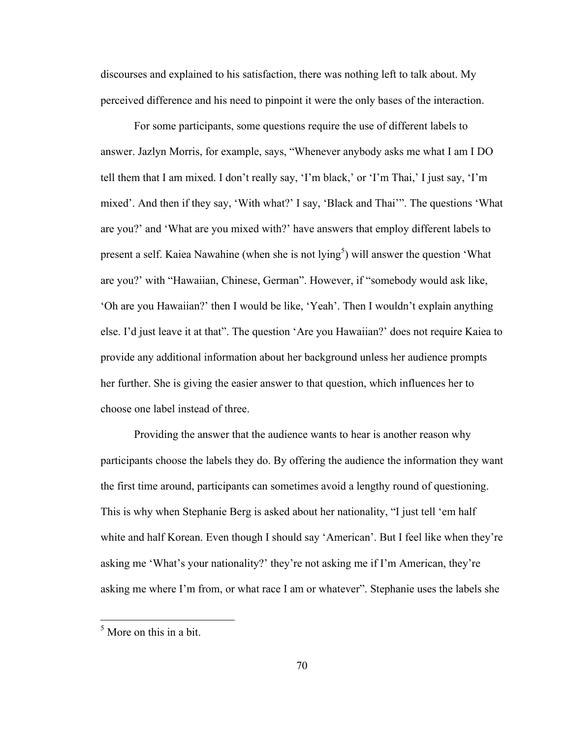discourses and explained to his satisfaction, there was nothing left to talk about. My perceived difference and his need to pinpoint it were the only bases of the interaction.

For some participants, some questions require the use of different labels to answer. Jazlyn Morris, for example, says, "Whenever anybody asks me what I am I DO tell them that I am mixed. I don't really say, 'I'm black,' or 'I'm Thai,' I just say, 'I'm mixed'. And then if they say, 'With what?' I say, 'Black and Thai'". The questions 'What are you?' and 'What are you mixed with?' have answers that employ different labels to present a self. Kaiea Nawahine (when she is not lying<sup>5</sup>) will answer the question 'What are you?' with "Hawaiian, Chinese, German". However, if "somebody would ask like, 'Oh are you Hawaiian?' then I would be like, 'Yeah'. Then I wouldn't explain anything else. I'd just leave it at that". The question 'Are you Hawaiian?' does not require Kaiea to provide any additional information about her background unless her audience prompts her further. She is giving the easier answer to that question, which influences her to choose one label instead of three.

Providing the answer that the audience wants to hear is another reason why participants choose the labels they do. By offering the audience the information they want the first time around, participants can sometimes avoid a lengthy round of questioning. This is why when Stephanie Berg is asked about her nationality, "I just tell 'em half white and half Korean. Even though I should say 'American'. But I feel like when they're asking me 'What's your nationality?' they're not asking me if I'm American, they're asking me where I'm from, or what race I am or whatever". Stephanie uses the labels she

 $<sup>5</sup>$  More on this in a bit.</sup>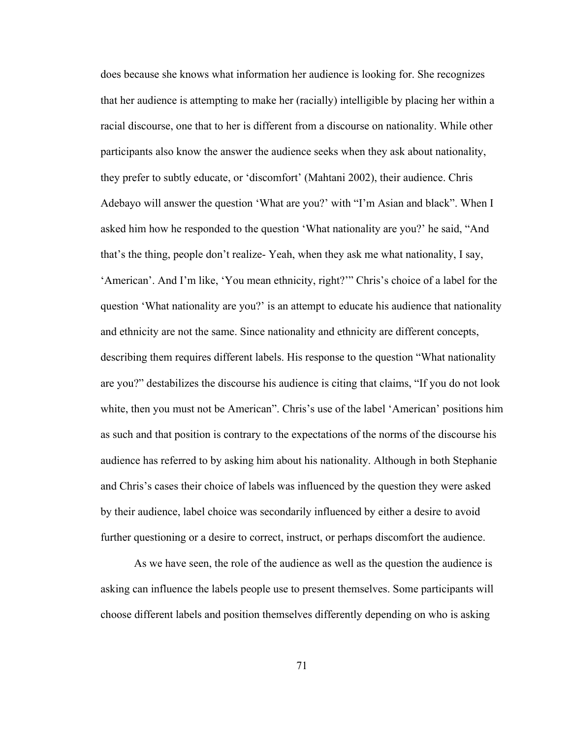does because she knows what information her audience is looking for. She recognizes that her audience is attempting to make her (racially) intelligible by placing her within a racial discourse, one that to her is different from a discourse on nationality. While other participants also know the answer the audience seeks when they ask about nationality, they prefer to subtly educate, or 'discomfort' (Mahtani 2002), their audience. Chris Adebayo will answer the question 'What are you?' with "I'm Asian and black". When I asked him how he responded to the question 'What nationality are you?' he said, "And that's the thing, people don't realize- Yeah, when they ask me what nationality, I say, 'American'. And I'm like, 'You mean ethnicity, right?'" Chris's choice of a label for the question 'What nationality are you?' is an attempt to educate his audience that nationality and ethnicity are not the same. Since nationality and ethnicity are different concepts, describing them requires different labels. His response to the question "What nationality are you?" destabilizes the discourse his audience is citing that claims, "If you do not look white, then you must not be American". Chris's use of the label 'American' positions him as such and that position is contrary to the expectations of the norms of the discourse his audience has referred to by asking him about his nationality. Although in both Stephanie and Chris's cases their choice of labels was influenced by the question they were asked by their audience, label choice was secondarily influenced by either a desire to avoid further questioning or a desire to correct, instruct, or perhaps discomfort the audience.

As we have seen, the role of the audience as well as the question the audience is asking can influence the labels people use to present themselves. Some participants will choose different labels and position themselves differently depending on who is asking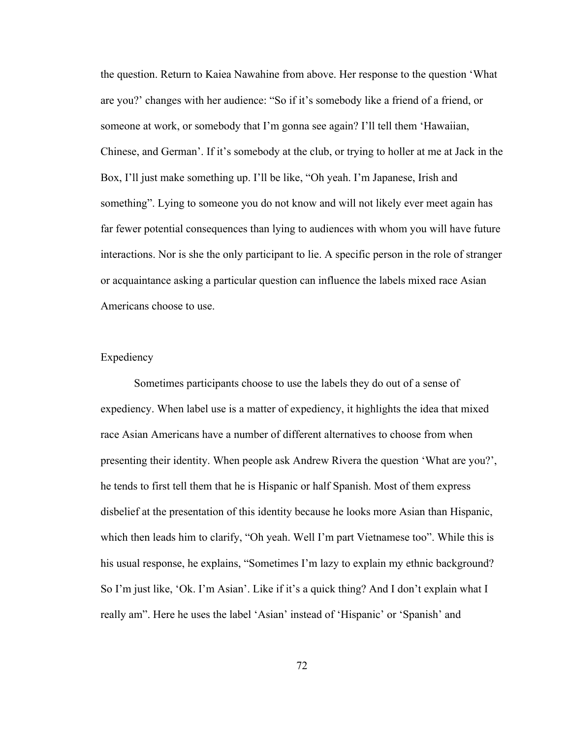the question. Return to Kaiea Nawahine from above. Her response to the question 'What are you?' changes with her audience: "So if it's somebody like a friend of a friend, or someone at work, or somebody that I'm gonna see again? I'll tell them 'Hawaiian, Chinese, and German'. If it's somebody at the club, or trying to holler at me at Jack in the Box, I'll just make something up. I'll be like, "Oh yeah. I'm Japanese, Irish and something". Lying to someone you do not know and will not likely ever meet again has far fewer potential consequences than lying to audiences with whom you will have future interactions. Nor is she the only participant to lie. A specific person in the role of stranger or acquaintance asking a particular question can influence the labels mixed race Asian Americans choose to use.

# Expediency

Sometimes participants choose to use the labels they do out of a sense of expediency. When label use is a matter of expediency, it highlights the idea that mixed race Asian Americans have a number of different alternatives to choose from when presenting their identity. When people ask Andrew Rivera the question 'What are you?', he tends to first tell them that he is Hispanic or half Spanish. Most of them express disbelief at the presentation of this identity because he looks more Asian than Hispanic, which then leads him to clarify, "Oh yeah. Well I'm part Vietnamese too". While this is his usual response, he explains, "Sometimes I'm lazy to explain my ethnic background? So I'm just like, 'Ok. I'm Asian'. Like if it's a quick thing? And I don't explain what I really am". Here he uses the label 'Asian' instead of 'Hispanic' or 'Spanish' and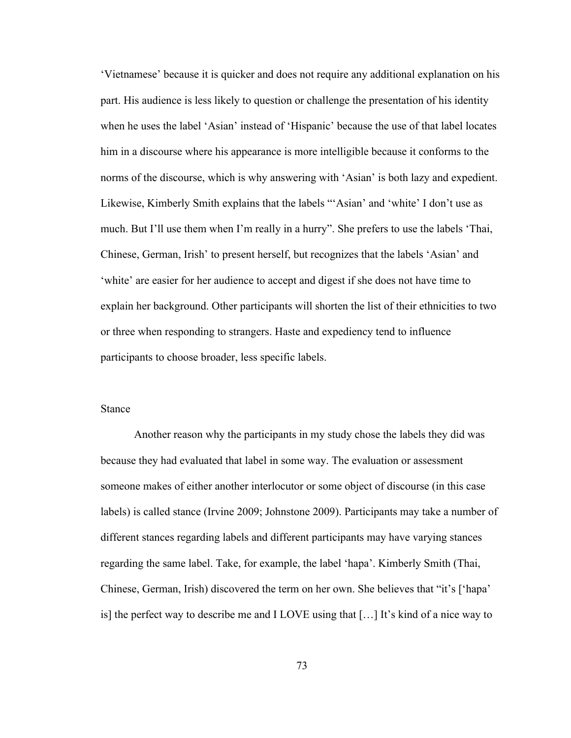'Vietnamese' because it is quicker and does not require any additional explanation on his part. His audience is less likely to question or challenge the presentation of his identity when he uses the label 'Asian' instead of 'Hispanic' because the use of that label locates him in a discourse where his appearance is more intelligible because it conforms to the norms of the discourse, which is why answering with 'Asian' is both lazy and expedient. Likewise, Kimberly Smith explains that the labels "'Asian' and 'white' I don't use as much. But I'll use them when I'm really in a hurry". She prefers to use the labels 'Thai, Chinese, German, Irish' to present herself, but recognizes that the labels 'Asian' and 'white' are easier for her audience to accept and digest if she does not have time to explain her background. Other participants will shorten the list of their ethnicities to two or three when responding to strangers. Haste and expediency tend to influence participants to choose broader, less specific labels.

#### Stance

Another reason why the participants in my study chose the labels they did was because they had evaluated that label in some way. The evaluation or assessment someone makes of either another interlocutor or some object of discourse (in this case labels) is called stance (Irvine 2009; Johnstone 2009). Participants may take a number of different stances regarding labels and different participants may have varying stances regarding the same label. Take, for example, the label 'hapa'. Kimberly Smith (Thai, Chinese, German, Irish) discovered the term on her own. She believes that "it's ['hapa' is] the perfect way to describe me and I LOVE using that […] It's kind of a nice way to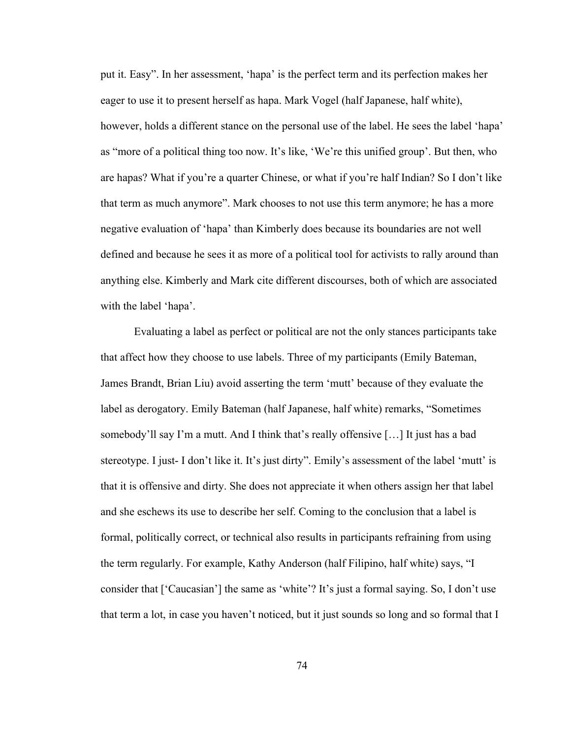put it. Easy". In her assessment, 'hapa' is the perfect term and its perfection makes her eager to use it to present herself as hapa. Mark Vogel (half Japanese, half white), however, holds a different stance on the personal use of the label. He sees the label 'hapa' as "more of a political thing too now. It's like, 'We're this unified group'. But then, who are hapas? What if you're a quarter Chinese, or what if you're half Indian? So I don't like that term as much anymore". Mark chooses to not use this term anymore; he has a more negative evaluation of 'hapa' than Kimberly does because its boundaries are not well defined and because he sees it as more of a political tool for activists to rally around than anything else. Kimberly and Mark cite different discourses, both of which are associated with the label 'hapa'.

Evaluating a label as perfect or political are not the only stances participants take that affect how they choose to use labels. Three of my participants (Emily Bateman, James Brandt, Brian Liu) avoid asserting the term 'mutt' because of they evaluate the label as derogatory. Emily Bateman (half Japanese, half white) remarks, "Sometimes somebody'll say I'm a mutt. And I think that's really offensive […] It just has a bad stereotype. I just- I don't like it. It's just dirty". Emily's assessment of the label 'mutt' is that it is offensive and dirty. She does not appreciate it when others assign her that label and she eschews its use to describe her self. Coming to the conclusion that a label is formal, politically correct, or technical also results in participants refraining from using the term regularly. For example, Kathy Anderson (half Filipino, half white) says, "I consider that ['Caucasian'] the same as 'white'? It's just a formal saying. So, I don't use that term a lot, in case you haven't noticed, but it just sounds so long and so formal that I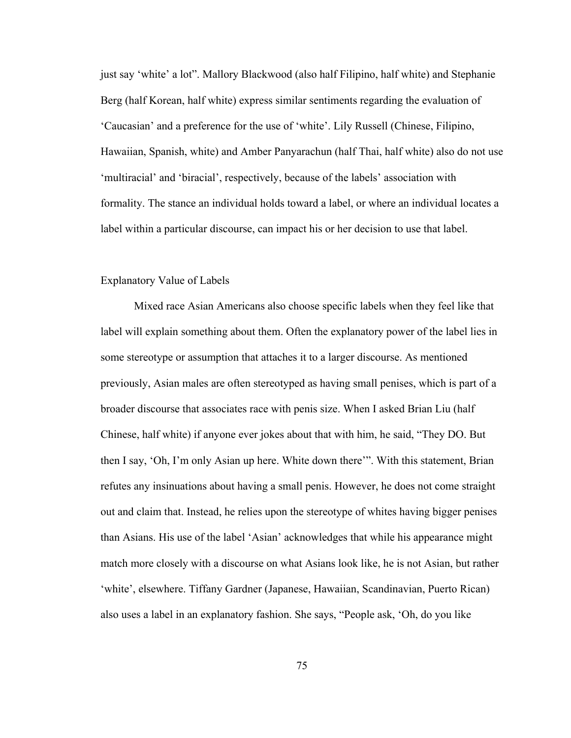just say 'white' a lot". Mallory Blackwood (also half Filipino, half white) and Stephanie Berg (half Korean, half white) express similar sentiments regarding the evaluation of 'Caucasian' and a preference for the use of 'white'. Lily Russell (Chinese, Filipino, Hawaiian, Spanish, white) and Amber Panyarachun (half Thai, half white) also do not use 'multiracial' and 'biracial', respectively, because of the labels' association with formality. The stance an individual holds toward a label, or where an individual locates a label within a particular discourse, can impact his or her decision to use that label.

#### Explanatory Value of Labels

Mixed race Asian Americans also choose specific labels when they feel like that label will explain something about them. Often the explanatory power of the label lies in some stereotype or assumption that attaches it to a larger discourse. As mentioned previously, Asian males are often stereotyped as having small penises, which is part of a broader discourse that associates race with penis size. When I asked Brian Liu (half Chinese, half white) if anyone ever jokes about that with him, he said, "They DO. But then I say, 'Oh, I'm only Asian up here. White down there'". With this statement, Brian refutes any insinuations about having a small penis. However, he does not come straight out and claim that. Instead, he relies upon the stereotype of whites having bigger penises than Asians. His use of the label 'Asian' acknowledges that while his appearance might match more closely with a discourse on what Asians look like, he is not Asian, but rather 'white', elsewhere. Tiffany Gardner (Japanese, Hawaiian, Scandinavian, Puerto Rican) also uses a label in an explanatory fashion. She says, "People ask, 'Oh, do you like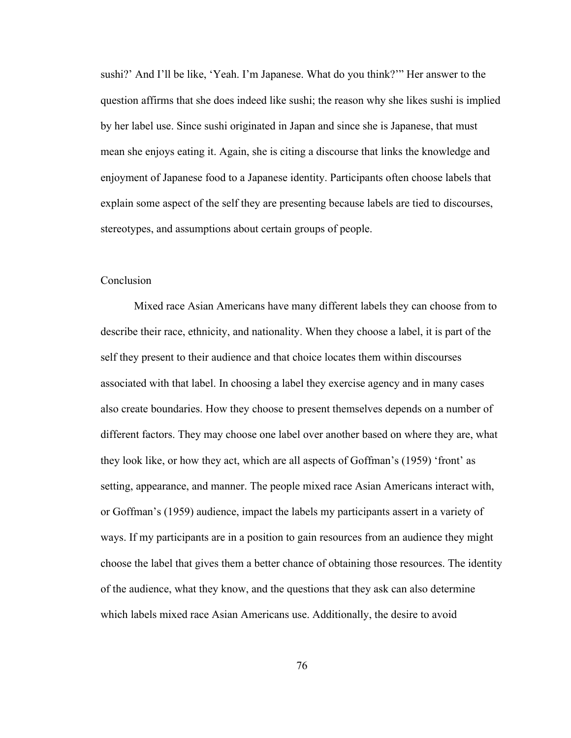sushi?' And I'll be like, 'Yeah. I'm Japanese. What do you think?'" Her answer to the question affirms that she does indeed like sushi; the reason why she likes sushi is implied by her label use. Since sushi originated in Japan and since she is Japanese, that must mean she enjoys eating it. Again, she is citing a discourse that links the knowledge and enjoyment of Japanese food to a Japanese identity. Participants often choose labels that explain some aspect of the self they are presenting because labels are tied to discourses, stereotypes, and assumptions about certain groups of people.

## **Conclusion**

Mixed race Asian Americans have many different labels they can choose from to describe their race, ethnicity, and nationality. When they choose a label, it is part of the self they present to their audience and that choice locates them within discourses associated with that label. In choosing a label they exercise agency and in many cases also create boundaries. How they choose to present themselves depends on a number of different factors. They may choose one label over another based on where they are, what they look like, or how they act, which are all aspects of Goffman's (1959) 'front' as setting, appearance, and manner. The people mixed race Asian Americans interact with, or Goffman's (1959) audience, impact the labels my participants assert in a variety of ways. If my participants are in a position to gain resources from an audience they might choose the label that gives them a better chance of obtaining those resources. The identity of the audience, what they know, and the questions that they ask can also determine which labels mixed race Asian Americans use. Additionally, the desire to avoid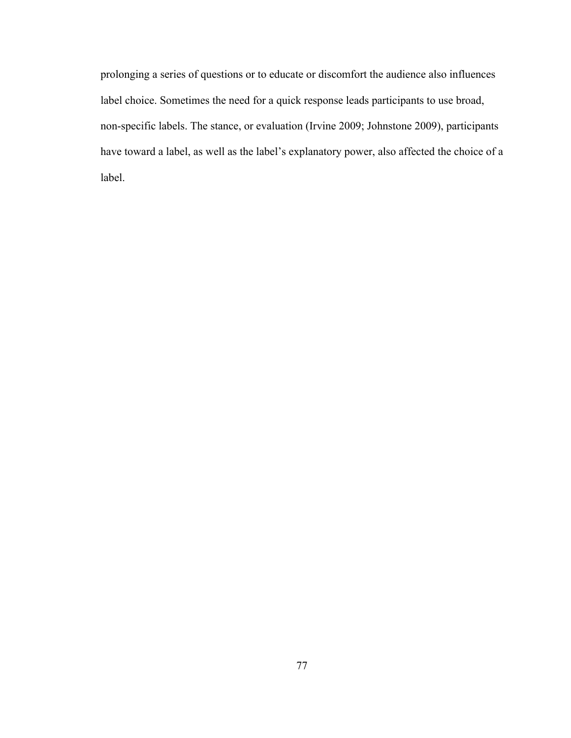prolonging a series of questions or to educate or discomfort the audience also influences label choice. Sometimes the need for a quick response leads participants to use broad, non-specific labels. The stance, or evaluation (Irvine 2009; Johnstone 2009), participants have toward a label, as well as the label's explanatory power, also affected the choice of a label.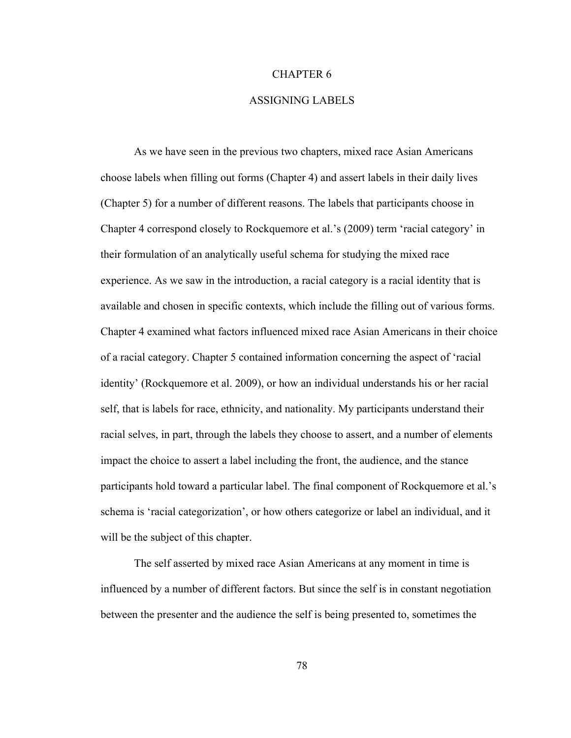#### CHAPTER 6

## ASSIGNING LABELS

As we have seen in the previous two chapters, mixed race Asian Americans choose labels when filling out forms (Chapter 4) and assert labels in their daily lives (Chapter 5) for a number of different reasons. The labels that participants choose in Chapter 4 correspond closely to Rockquemore et al.'s (2009) term 'racial category' in their formulation of an analytically useful schema for studying the mixed race experience. As we saw in the introduction, a racial category is a racial identity that is available and chosen in specific contexts, which include the filling out of various forms. Chapter 4 examined what factors influenced mixed race Asian Americans in their choice of a racial category. Chapter 5 contained information concerning the aspect of 'racial identity' (Rockquemore et al. 2009), or how an individual understands his or her racial self, that is labels for race, ethnicity, and nationality. My participants understand their racial selves, in part, through the labels they choose to assert, and a number of elements impact the choice to assert a label including the front, the audience, and the stance participants hold toward a particular label. The final component of Rockquemore et al.'s schema is 'racial categorization', or how others categorize or label an individual, and it will be the subject of this chapter.

The self asserted by mixed race Asian Americans at any moment in time is influenced by a number of different factors. But since the self is in constant negotiation between the presenter and the audience the self is being presented to, sometimes the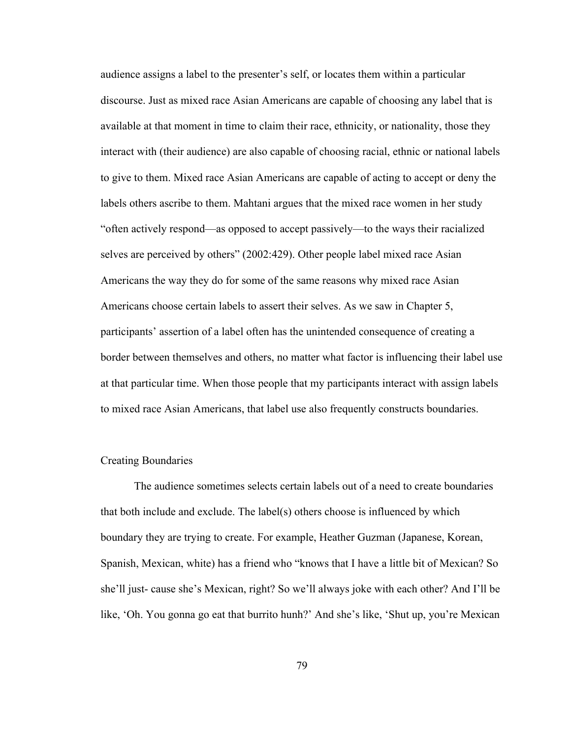audience assigns a label to the presenter's self, or locates them within a particular discourse. Just as mixed race Asian Americans are capable of choosing any label that is available at that moment in time to claim their race, ethnicity, or nationality, those they interact with (their audience) are also capable of choosing racial, ethnic or national labels to give to them. Mixed race Asian Americans are capable of acting to accept or deny the labels others ascribe to them. Mahtani argues that the mixed race women in her study "often actively respond—as opposed to accept passively—to the ways their racialized selves are perceived by others" (2002:429). Other people label mixed race Asian Americans the way they do for some of the same reasons why mixed race Asian Americans choose certain labels to assert their selves. As we saw in Chapter 5, participants' assertion of a label often has the unintended consequence of creating a border between themselves and others, no matter what factor is influencing their label use at that particular time. When those people that my participants interact with assign labels to mixed race Asian Americans, that label use also frequently constructs boundaries.

# Creating Boundaries

The audience sometimes selects certain labels out of a need to create boundaries that both include and exclude. The label(s) others choose is influenced by which boundary they are trying to create. For example, Heather Guzman (Japanese, Korean, Spanish, Mexican, white) has a friend who "knows that I have a little bit of Mexican? So she'll just- cause she's Mexican, right? So we'll always joke with each other? And I'll be like, 'Oh. You gonna go eat that burrito hunh?' And she's like, 'Shut up, you're Mexican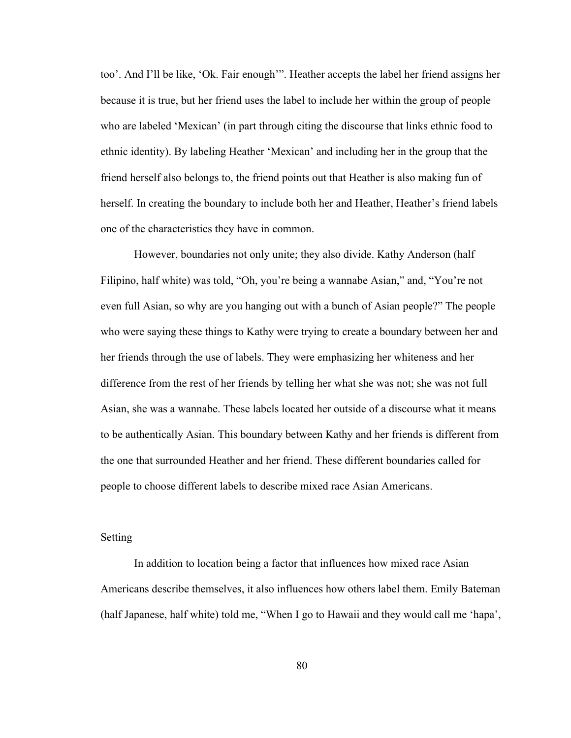too'. And I'll be like, 'Ok. Fair enough'". Heather accepts the label her friend assigns her because it is true, but her friend uses the label to include her within the group of people who are labeled 'Mexican' (in part through citing the discourse that links ethnic food to ethnic identity). By labeling Heather 'Mexican' and including her in the group that the friend herself also belongs to, the friend points out that Heather is also making fun of herself. In creating the boundary to include both her and Heather, Heather's friend labels one of the characteristics they have in common.

However, boundaries not only unite; they also divide. Kathy Anderson (half Filipino, half white) was told, "Oh, you're being a wannabe Asian," and, "You're not even full Asian, so why are you hanging out with a bunch of Asian people?" The people who were saying these things to Kathy were trying to create a boundary between her and her friends through the use of labels. They were emphasizing her whiteness and her difference from the rest of her friends by telling her what she was not; she was not full Asian, she was a wannabe. These labels located her outside of a discourse what it means to be authentically Asian. This boundary between Kathy and her friends is different from the one that surrounded Heather and her friend. These different boundaries called for people to choose different labels to describe mixed race Asian Americans.

## Setting

In addition to location being a factor that influences how mixed race Asian Americans describe themselves, it also influences how others label them. Emily Bateman (half Japanese, half white) told me, "When I go to Hawaii and they would call me 'hapa',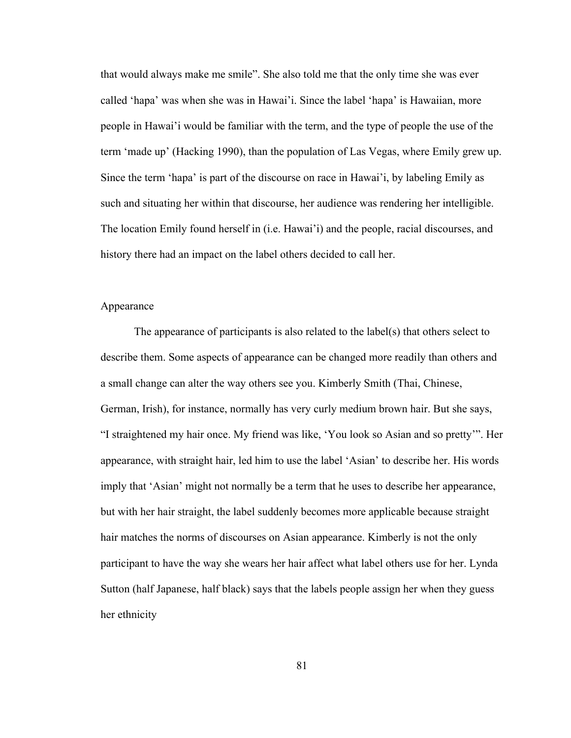that would always make me smile". She also told me that the only time she was ever called 'hapa' was when she was in Hawai'i. Since the label 'hapa' is Hawaiian, more people in Hawai'i would be familiar with the term, and the type of people the use of the term 'made up' (Hacking 1990), than the population of Las Vegas, where Emily grew up. Since the term 'hapa' is part of the discourse on race in Hawai'i, by labeling Emily as such and situating her within that discourse, her audience was rendering her intelligible. The location Emily found herself in (i.e. Hawai'i) and the people, racial discourses, and history there had an impact on the label others decided to call her.

## Appearance

The appearance of participants is also related to the label(s) that others select to describe them. Some aspects of appearance can be changed more readily than others and a small change can alter the way others see you. Kimberly Smith (Thai, Chinese, German, Irish), for instance, normally has very curly medium brown hair. But she says, "I straightened my hair once. My friend was like, 'You look so Asian and so pretty'". Her appearance, with straight hair, led him to use the label 'Asian' to describe her. His words imply that 'Asian' might not normally be a term that he uses to describe her appearance, but with her hair straight, the label suddenly becomes more applicable because straight hair matches the norms of discourses on Asian appearance. Kimberly is not the only participant to have the way she wears her hair affect what label others use for her. Lynda Sutton (half Japanese, half black) says that the labels people assign her when they guess her ethnicity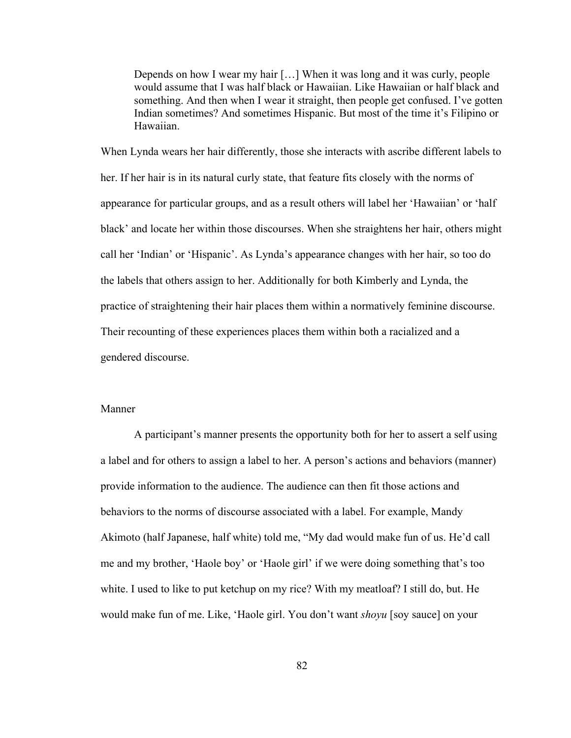Depends on how I wear my hair […] When it was long and it was curly, people would assume that I was half black or Hawaiian. Like Hawaiian or half black and something. And then when I wear it straight, then people get confused. I've gotten Indian sometimes? And sometimes Hispanic. But most of the time it's Filipino or Hawaiian.

When Lynda wears her hair differently, those she interacts with ascribe different labels to her. If her hair is in its natural curly state, that feature fits closely with the norms of appearance for particular groups, and as a result others will label her 'Hawaiian' or 'half black' and locate her within those discourses. When she straightens her hair, others might call her 'Indian' or 'Hispanic'. As Lynda's appearance changes with her hair, so too do the labels that others assign to her. Additionally for both Kimberly and Lynda, the practice of straightening their hair places them within a normatively feminine discourse. Their recounting of these experiences places them within both a racialized and a gendered discourse.

#### Manner

A participant's manner presents the opportunity both for her to assert a self using a label and for others to assign a label to her. A person's actions and behaviors (manner) provide information to the audience. The audience can then fit those actions and behaviors to the norms of discourse associated with a label. For example, Mandy Akimoto (half Japanese, half white) told me, "My dad would make fun of us. He'd call me and my brother, 'Haole boy' or 'Haole girl' if we were doing something that's too white. I used to like to put ketchup on my rice? With my meatloaf? I still do, but. He would make fun of me. Like, 'Haole girl. You don't want *shoyu* [soy sauce] on your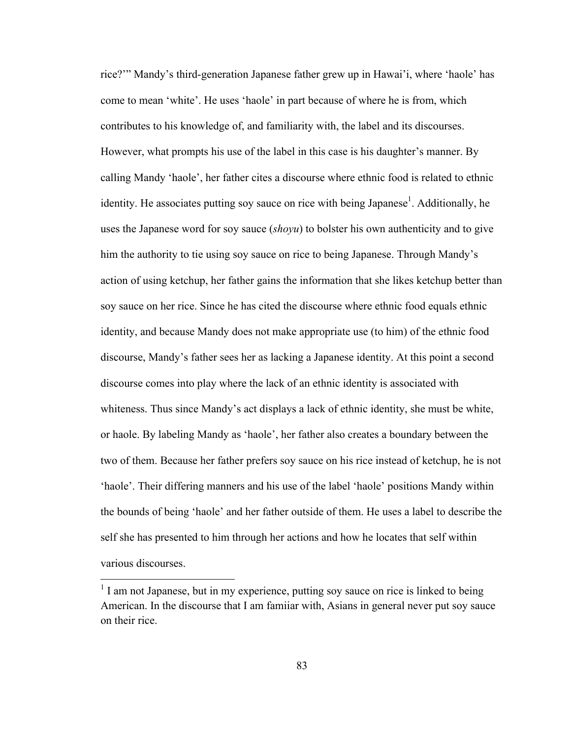rice?'" Mandy's third-generation Japanese father grew up in Hawai'i, where 'haole' has come to mean 'white'. He uses 'haole' in part because of where he is from, which contributes to his knowledge of, and familiarity with, the label and its discourses. However, what prompts his use of the label in this case is his daughter's manner. By calling Mandy 'haole', her father cites a discourse where ethnic food is related to ethnic identity. He associates putting soy sauce on rice with being Japanese<sup>1</sup>. Additionally, he uses the Japanese word for soy sauce (*shoyu*) to bolster his own authenticity and to give him the authority to tie using soy sauce on rice to being Japanese. Through Mandy's action of using ketchup, her father gains the information that she likes ketchup better than soy sauce on her rice. Since he has cited the discourse where ethnic food equals ethnic identity, and because Mandy does not make appropriate use (to him) of the ethnic food discourse, Mandy's father sees her as lacking a Japanese identity. At this point a second discourse comes into play where the lack of an ethnic identity is associated with whiteness. Thus since Mandy's act displays a lack of ethnic identity, she must be white, or haole. By labeling Mandy as 'haole', her father also creates a boundary between the two of them. Because her father prefers soy sauce on his rice instead of ketchup, he is not 'haole'. Their differing manners and his use of the label 'haole' positions Mandy within the bounds of being 'haole' and her father outside of them. He uses a label to describe the self she has presented to him through her actions and how he locates that self within various discourses.

 $<sup>1</sup>$  I am not Japanese, but in my experience, putting soy sauce on rice is linked to being</sup> American. In the discourse that I am famiiar with, Asians in general never put soy sauce on their rice.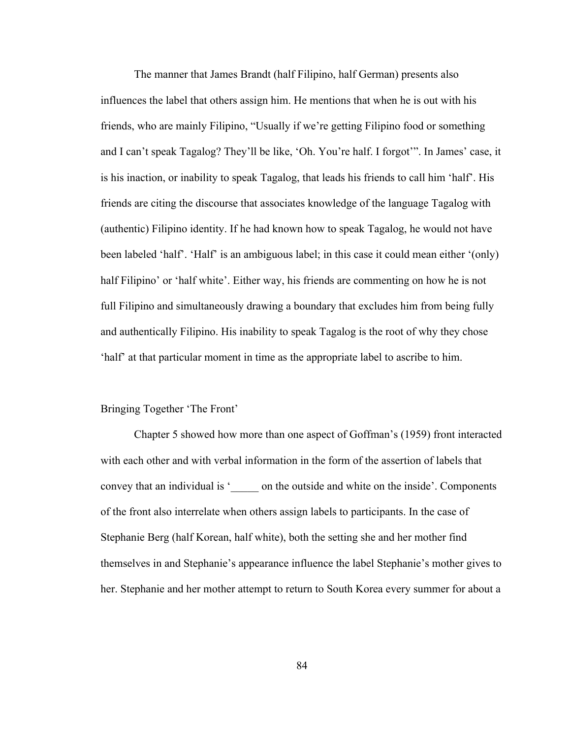The manner that James Brandt (half Filipino, half German) presents also influences the label that others assign him. He mentions that when he is out with his friends, who are mainly Filipino, "Usually if we're getting Filipino food or something and I can't speak Tagalog? They'll be like, 'Oh. You're half. I forgot'". In James' case, it is his inaction, or inability to speak Tagalog, that leads his friends to call him 'half'. His friends are citing the discourse that associates knowledge of the language Tagalog with (authentic) Filipino identity. If he had known how to speak Tagalog, he would not have been labeled 'half'. 'Half' is an ambiguous label; in this case it could mean either '(only) half Filipino' or 'half white'. Either way, his friends are commenting on how he is not full Filipino and simultaneously drawing a boundary that excludes him from being fully and authentically Filipino. His inability to speak Tagalog is the root of why they chose 'half' at that particular moment in time as the appropriate label to ascribe to him.

#### Bringing Together 'The Front'

Chapter 5 showed how more than one aspect of Goffman's (1959) front interacted with each other and with verbal information in the form of the assertion of labels that convey that an individual is '\_\_\_\_\_ on the outside and white on the inside'. Components of the front also interrelate when others assign labels to participants. In the case of Stephanie Berg (half Korean, half white), both the setting she and her mother find themselves in and Stephanie's appearance influence the label Stephanie's mother gives to her. Stephanie and her mother attempt to return to South Korea every summer for about a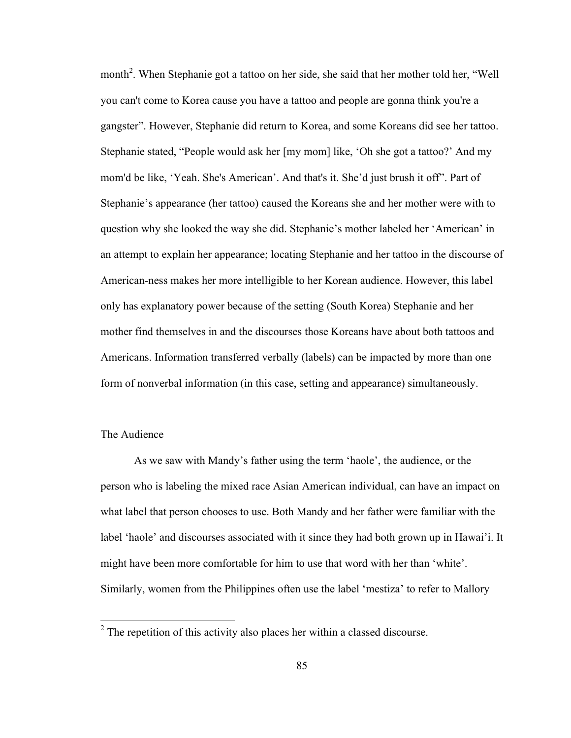month<sup>2</sup>. When Stephanie got a tattoo on her side, she said that her mother told her, "Well you can't come to Korea cause you have a tattoo and people are gonna think you're a gangster". However, Stephanie did return to Korea, and some Koreans did see her tattoo. Stephanie stated, "People would ask her [my mom] like, 'Oh she got a tattoo?' And my mom'd be like, 'Yeah. She's American'. And that's it. She'd just brush it off". Part of Stephanie's appearance (her tattoo) caused the Koreans she and her mother were with to question why she looked the way she did. Stephanie's mother labeled her 'American' in an attempt to explain her appearance; locating Stephanie and her tattoo in the discourse of American-ness makes her more intelligible to her Korean audience. However, this label only has explanatory power because of the setting (South Korea) Stephanie and her mother find themselves in and the discourses those Koreans have about both tattoos and Americans. Information transferred verbally (labels) can be impacted by more than one form of nonverbal information (in this case, setting and appearance) simultaneously.

## The Audience

As we saw with Mandy's father using the term 'haole', the audience, or the person who is labeling the mixed race Asian American individual, can have an impact on what label that person chooses to use. Both Mandy and her father were familiar with the label 'haole' and discourses associated with it since they had both grown up in Hawai'i. It might have been more comfortable for him to use that word with her than 'white'. Similarly, women from the Philippines often use the label 'mestiza' to refer to Mallory

<sup>&</sup>lt;sup>2</sup> The repetition of this activity also places her within a classed discourse.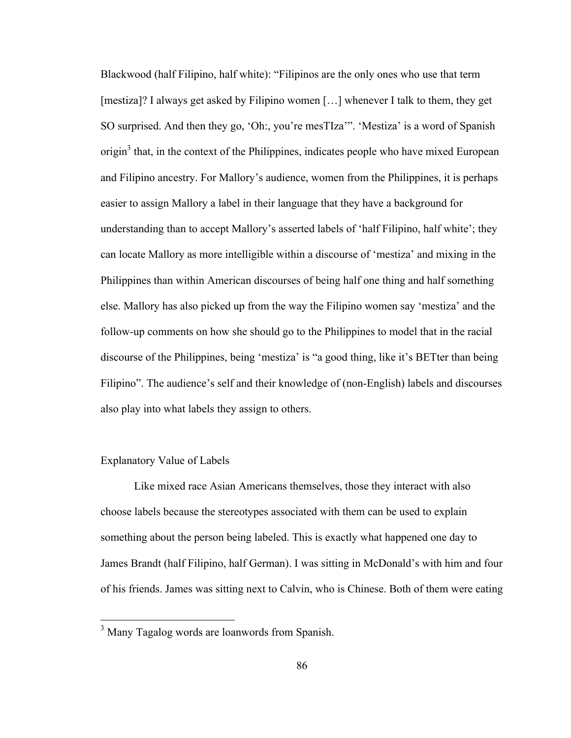Blackwood (half Filipino, half white): "Filipinos are the only ones who use that term [mestiza]? I always get asked by Filipino women […] whenever I talk to them, they get SO surprised. And then they go, 'Oh:, you're mesTIza'". 'Mestiza' is a word of Spanish origin<sup>3</sup> that, in the context of the Philippines, indicates people who have mixed European and Filipino ancestry. For Mallory's audience, women from the Philippines, it is perhaps easier to assign Mallory a label in their language that they have a background for understanding than to accept Mallory's asserted labels of 'half Filipino, half white'; they can locate Mallory as more intelligible within a discourse of 'mestiza' and mixing in the Philippines than within American discourses of being half one thing and half something else. Mallory has also picked up from the way the Filipino women say 'mestiza' and the follow-up comments on how she should go to the Philippines to model that in the racial discourse of the Philippines, being 'mestiza' is "a good thing, like it's BETter than being Filipino". The audience's self and their knowledge of (non-English) labels and discourses also play into what labels they assign to others.

# Explanatory Value of Labels

Like mixed race Asian Americans themselves, those they interact with also choose labels because the stereotypes associated with them can be used to explain something about the person being labeled. This is exactly what happened one day to James Brandt (half Filipino, half German). I was sitting in McDonald's with him and four of his friends. James was sitting next to Calvin, who is Chinese. Both of them were eating

<sup>&</sup>lt;sup>3</sup> Many Tagalog words are loanwords from Spanish.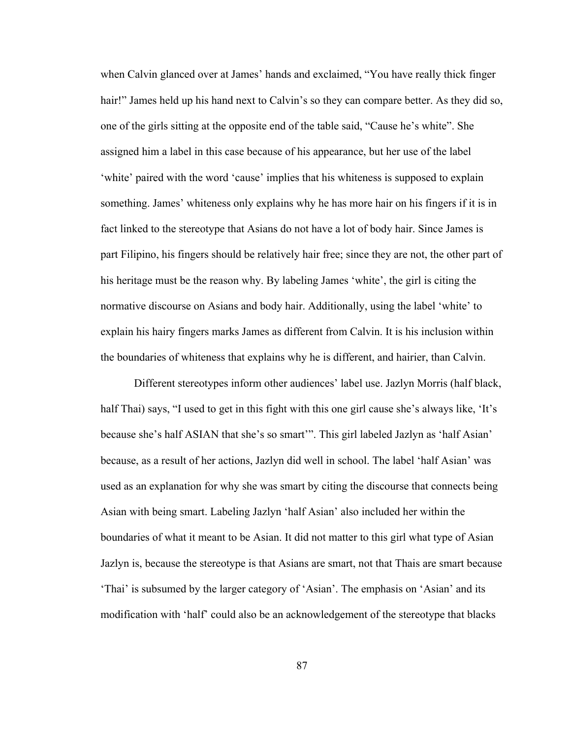when Calvin glanced over at James' hands and exclaimed, "You have really thick finger hair!" James held up his hand next to Calvin's so they can compare better. As they did so, one of the girls sitting at the opposite end of the table said, "Cause he's white". She assigned him a label in this case because of his appearance, but her use of the label 'white' paired with the word 'cause' implies that his whiteness is supposed to explain something. James' whiteness only explains why he has more hair on his fingers if it is in fact linked to the stereotype that Asians do not have a lot of body hair. Since James is part Filipino, his fingers should be relatively hair free; since they are not, the other part of his heritage must be the reason why. By labeling James 'white', the girl is citing the normative discourse on Asians and body hair. Additionally, using the label 'white' to explain his hairy fingers marks James as different from Calvin. It is his inclusion within the boundaries of whiteness that explains why he is different, and hairier, than Calvin.

Different stereotypes inform other audiences' label use. Jazlyn Morris (half black, half Thai) says, "I used to get in this fight with this one girl cause she's always like, 'It's because she's half ASIAN that she's so smart'". This girl labeled Jazlyn as 'half Asian' because, as a result of her actions, Jazlyn did well in school. The label 'half Asian' was used as an explanation for why she was smart by citing the discourse that connects being Asian with being smart. Labeling Jazlyn 'half Asian' also included her within the boundaries of what it meant to be Asian. It did not matter to this girl what type of Asian Jazlyn is, because the stereotype is that Asians are smart, not that Thais are smart because 'Thai' is subsumed by the larger category of 'Asian'. The emphasis on 'Asian' and its modification with 'half' could also be an acknowledgement of the stereotype that blacks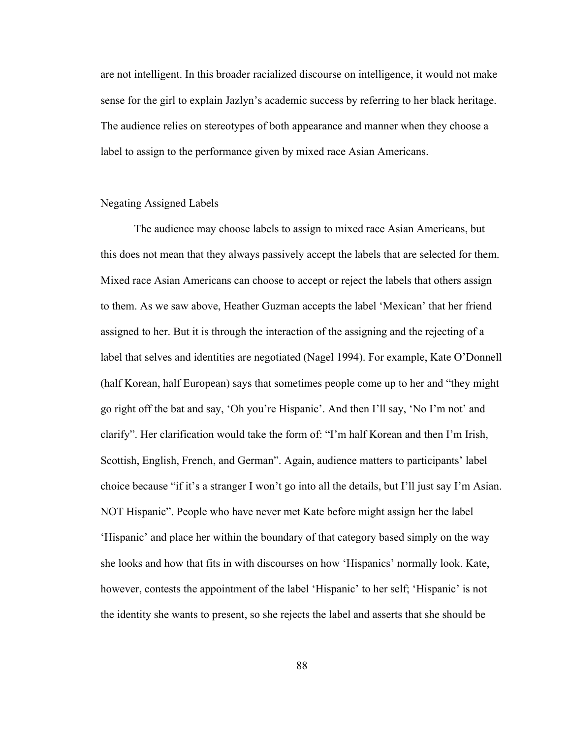are not intelligent. In this broader racialized discourse on intelligence, it would not make sense for the girl to explain Jazlyn's academic success by referring to her black heritage. The audience relies on stereotypes of both appearance and manner when they choose a label to assign to the performance given by mixed race Asian Americans.

#### Negating Assigned Labels

The audience may choose labels to assign to mixed race Asian Americans, but this does not mean that they always passively accept the labels that are selected for them. Mixed race Asian Americans can choose to accept or reject the labels that others assign to them. As we saw above, Heather Guzman accepts the label 'Mexican' that her friend assigned to her. But it is through the interaction of the assigning and the rejecting of a label that selves and identities are negotiated (Nagel 1994). For example, Kate O'Donnell (half Korean, half European) says that sometimes people come up to her and "they might go right off the bat and say, 'Oh you're Hispanic'. And then I'll say, 'No I'm not' and clarify". Her clarification would take the form of: "I'm half Korean and then I'm Irish, Scottish, English, French, and German". Again, audience matters to participants' label choice because "if it's a stranger I won't go into all the details, but I'll just say I'm Asian. NOT Hispanic". People who have never met Kate before might assign her the label 'Hispanic' and place her within the boundary of that category based simply on the way she looks and how that fits in with discourses on how 'Hispanics' normally look. Kate, however, contests the appointment of the label 'Hispanic' to her self; 'Hispanic' is not the identity she wants to present, so she rejects the label and asserts that she should be

88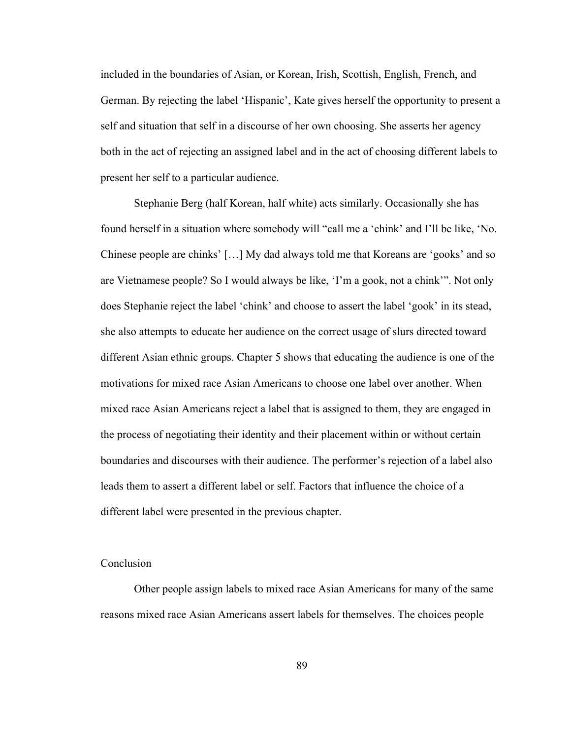included in the boundaries of Asian, or Korean, Irish, Scottish, English, French, and German. By rejecting the label 'Hispanic', Kate gives herself the opportunity to present a self and situation that self in a discourse of her own choosing. She asserts her agency both in the act of rejecting an assigned label and in the act of choosing different labels to present her self to a particular audience.

Stephanie Berg (half Korean, half white) acts similarly. Occasionally she has found herself in a situation where somebody will "call me a 'chink' and I'll be like, 'No. Chinese people are chinks' […] My dad always told me that Koreans are 'gooks' and so are Vietnamese people? So I would always be like, 'I'm a gook, not a chink'". Not only does Stephanie reject the label 'chink' and choose to assert the label 'gook' in its stead, she also attempts to educate her audience on the correct usage of slurs directed toward different Asian ethnic groups. Chapter 5 shows that educating the audience is one of the motivations for mixed race Asian Americans to choose one label over another. When mixed race Asian Americans reject a label that is assigned to them, they are engaged in the process of negotiating their identity and their placement within or without certain boundaries and discourses with their audience. The performer's rejection of a label also leads them to assert a different label or self. Factors that influence the choice of a different label were presented in the previous chapter.

# Conclusion

Other people assign labels to mixed race Asian Americans for many of the same reasons mixed race Asian Americans assert labels for themselves. The choices people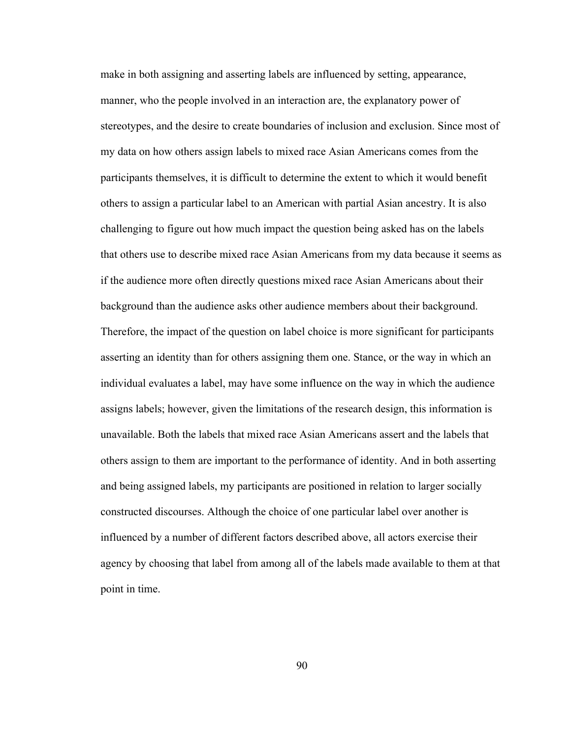make in both assigning and asserting labels are influenced by setting, appearance, manner, who the people involved in an interaction are, the explanatory power of stereotypes, and the desire to create boundaries of inclusion and exclusion. Since most of my data on how others assign labels to mixed race Asian Americans comes from the participants themselves, it is difficult to determine the extent to which it would benefit others to assign a particular label to an American with partial Asian ancestry. It is also challenging to figure out how much impact the question being asked has on the labels that others use to describe mixed race Asian Americans from my data because it seems as if the audience more often directly questions mixed race Asian Americans about their background than the audience asks other audience members about their background. Therefore, the impact of the question on label choice is more significant for participants asserting an identity than for others assigning them one. Stance, or the way in which an individual evaluates a label, may have some influence on the way in which the audience assigns labels; however, given the limitations of the research design, this information is unavailable. Both the labels that mixed race Asian Americans assert and the labels that others assign to them are important to the performance of identity. And in both asserting and being assigned labels, my participants are positioned in relation to larger socially constructed discourses. Although the choice of one particular label over another is influenced by a number of different factors described above, all actors exercise their agency by choosing that label from among all of the labels made available to them at that point in time.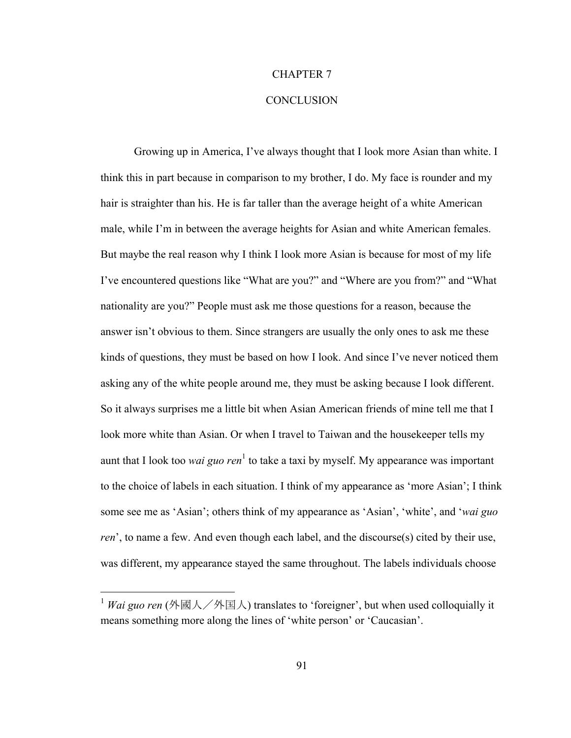# CHAPTER 7

# **CONCLUSION**

Growing up in America, I've always thought that I look more Asian than white. I think this in part because in comparison to my brother, I do. My face is rounder and my hair is straighter than his. He is far taller than the average height of a white American male, while I'm in between the average heights for Asian and white American females. But maybe the real reason why I think I look more Asian is because for most of my life I've encountered questions like "What are you?" and "Where are you from?" and "What nationality are you?" People must ask me those questions for a reason, because the answer isn't obvious to them. Since strangers are usually the only ones to ask me these kinds of questions, they must be based on how I look. And since I've never noticed them asking any of the white people around me, they must be asking because I look different. So it always surprises me a little bit when Asian American friends of mine tell me that I look more white than Asian. Or when I travel to Taiwan and the housekeeper tells my aunt that I look too *wai guo ren*<sup>1</sup> to take a taxi by myself. My appearance was important to the choice of labels in each situation. I think of my appearance as 'more Asian'; I think some see me as 'Asian'; others think of my appearance as 'Asian', 'white', and '*wai guo ren*', to name a few. And even though each label, and the discourse(s) cited by their use, was different, my appearance stayed the same throughout. The labels individuals choose

<sup>&</sup>lt;sup>1</sup> *Wai guo ren* (外國人/外国人) translates to 'foreigner', but when used colloquially it means something more along the lines of 'white person' or 'Caucasian'.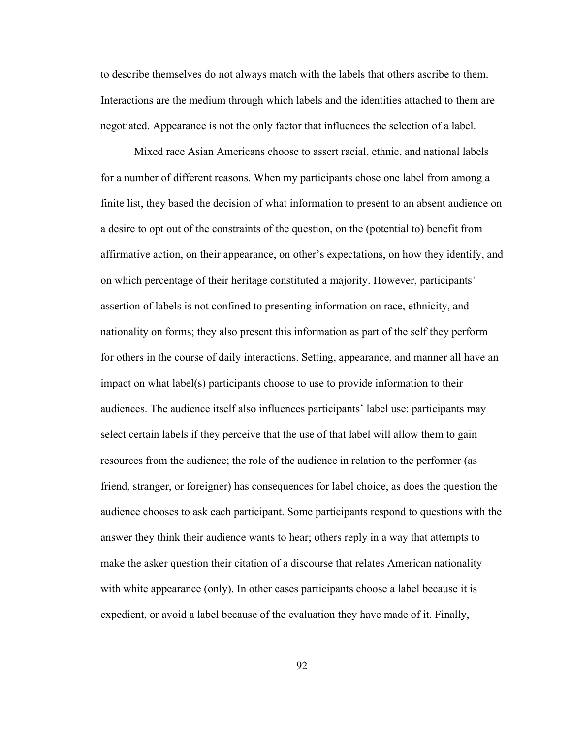to describe themselves do not always match with the labels that others ascribe to them. Interactions are the medium through which labels and the identities attached to them are negotiated. Appearance is not the only factor that influences the selection of a label.

Mixed race Asian Americans choose to assert racial, ethnic, and national labels for a number of different reasons. When my participants chose one label from among a finite list, they based the decision of what information to present to an absent audience on a desire to opt out of the constraints of the question, on the (potential to) benefit from affirmative action, on their appearance, on other's expectations, on how they identify, and on which percentage of their heritage constituted a majority. However, participants' assertion of labels is not confined to presenting information on race, ethnicity, and nationality on forms; they also present this information as part of the self they perform for others in the course of daily interactions. Setting, appearance, and manner all have an impact on what label(s) participants choose to use to provide information to their audiences. The audience itself also influences participants' label use: participants may select certain labels if they perceive that the use of that label will allow them to gain resources from the audience; the role of the audience in relation to the performer (as friend, stranger, or foreigner) has consequences for label choice, as does the question the audience chooses to ask each participant. Some participants respond to questions with the answer they think their audience wants to hear; others reply in a way that attempts to make the asker question their citation of a discourse that relates American nationality with white appearance (only). In other cases participants choose a label because it is expedient, or avoid a label because of the evaluation they have made of it. Finally,

92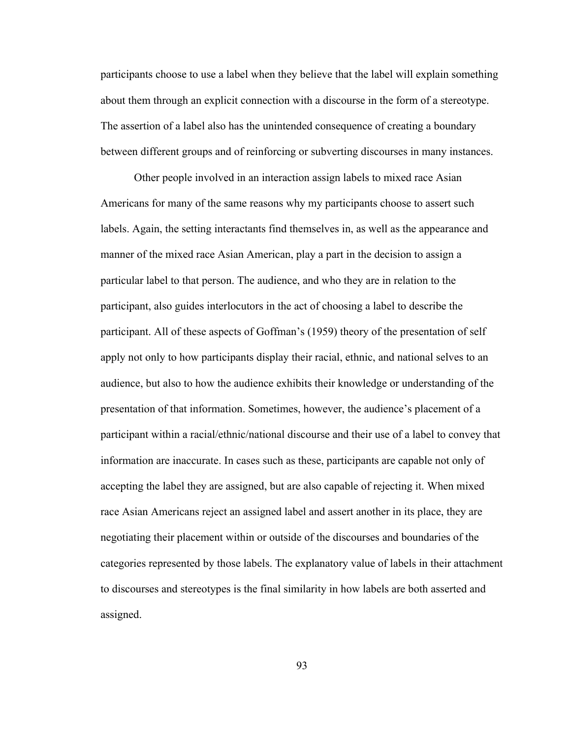participants choose to use a label when they believe that the label will explain something about them through an explicit connection with a discourse in the form of a stereotype. The assertion of a label also has the unintended consequence of creating a boundary between different groups and of reinforcing or subverting discourses in many instances.

Other people involved in an interaction assign labels to mixed race Asian Americans for many of the same reasons why my participants choose to assert such labels. Again, the setting interactants find themselves in, as well as the appearance and manner of the mixed race Asian American, play a part in the decision to assign a particular label to that person. The audience, and who they are in relation to the participant, also guides interlocutors in the act of choosing a label to describe the participant. All of these aspects of Goffman's (1959) theory of the presentation of self apply not only to how participants display their racial, ethnic, and national selves to an audience, but also to how the audience exhibits their knowledge or understanding of the presentation of that information. Sometimes, however, the audience's placement of a participant within a racial/ethnic/national discourse and their use of a label to convey that information are inaccurate. In cases such as these, participants are capable not only of accepting the label they are assigned, but are also capable of rejecting it. When mixed race Asian Americans reject an assigned label and assert another in its place, they are negotiating their placement within or outside of the discourses and boundaries of the categories represented by those labels. The explanatory value of labels in their attachment to discourses and stereotypes is the final similarity in how labels are both asserted and assigned.

93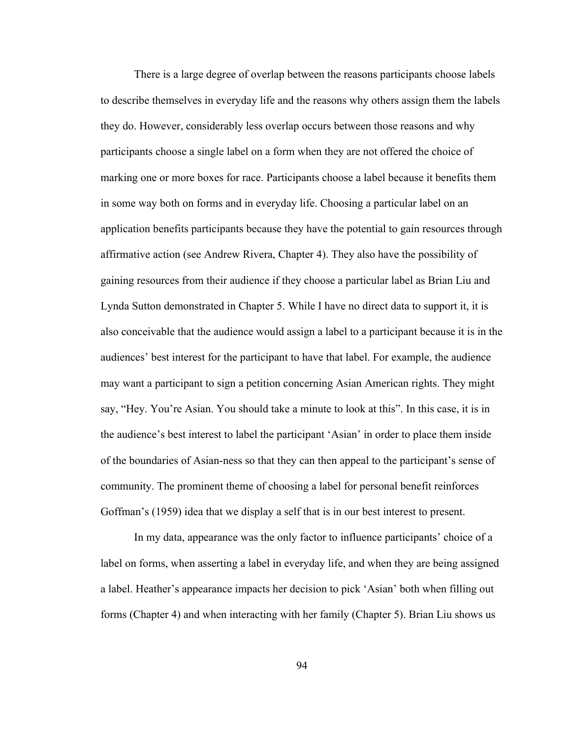There is a large degree of overlap between the reasons participants choose labels to describe themselves in everyday life and the reasons why others assign them the labels they do. However, considerably less overlap occurs between those reasons and why participants choose a single label on a form when they are not offered the choice of marking one or more boxes for race. Participants choose a label because it benefits them in some way both on forms and in everyday life. Choosing a particular label on an application benefits participants because they have the potential to gain resources through affirmative action (see Andrew Rivera, Chapter 4). They also have the possibility of gaining resources from their audience if they choose a particular label as Brian Liu and Lynda Sutton demonstrated in Chapter 5. While I have no direct data to support it, it is also conceivable that the audience would assign a label to a participant because it is in the audiences' best interest for the participant to have that label. For example, the audience may want a participant to sign a petition concerning Asian American rights. They might say, "Hey. You're Asian. You should take a minute to look at this". In this case, it is in the audience's best interest to label the participant 'Asian' in order to place them inside of the boundaries of Asian-ness so that they can then appeal to the participant's sense of community. The prominent theme of choosing a label for personal benefit reinforces Goffman's (1959) idea that we display a self that is in our best interest to present.

In my data, appearance was the only factor to influence participants' choice of a label on forms, when asserting a label in everyday life, and when they are being assigned a label. Heather's appearance impacts her decision to pick 'Asian' both when filling out forms (Chapter 4) and when interacting with her family (Chapter 5). Brian Liu shows us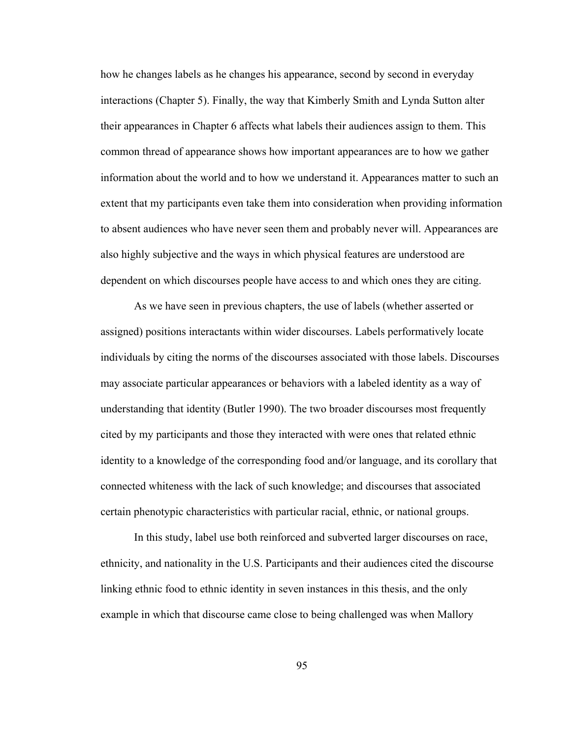how he changes labels as he changes his appearance, second by second in everyday interactions (Chapter 5). Finally, the way that Kimberly Smith and Lynda Sutton alter their appearances in Chapter 6 affects what labels their audiences assign to them. This common thread of appearance shows how important appearances are to how we gather information about the world and to how we understand it. Appearances matter to such an extent that my participants even take them into consideration when providing information to absent audiences who have never seen them and probably never will. Appearances are also highly subjective and the ways in which physical features are understood are dependent on which discourses people have access to and which ones they are citing.

As we have seen in previous chapters, the use of labels (whether asserted or assigned) positions interactants within wider discourses. Labels performatively locate individuals by citing the norms of the discourses associated with those labels. Discourses may associate particular appearances or behaviors with a labeled identity as a way of understanding that identity (Butler 1990). The two broader discourses most frequently cited by my participants and those they interacted with were ones that related ethnic identity to a knowledge of the corresponding food and/or language, and its corollary that connected whiteness with the lack of such knowledge; and discourses that associated certain phenotypic characteristics with particular racial, ethnic, or national groups.

In this study, label use both reinforced and subverted larger discourses on race, ethnicity, and nationality in the U.S. Participants and their audiences cited the discourse linking ethnic food to ethnic identity in seven instances in this thesis, and the only example in which that discourse came close to being challenged was when Mallory

95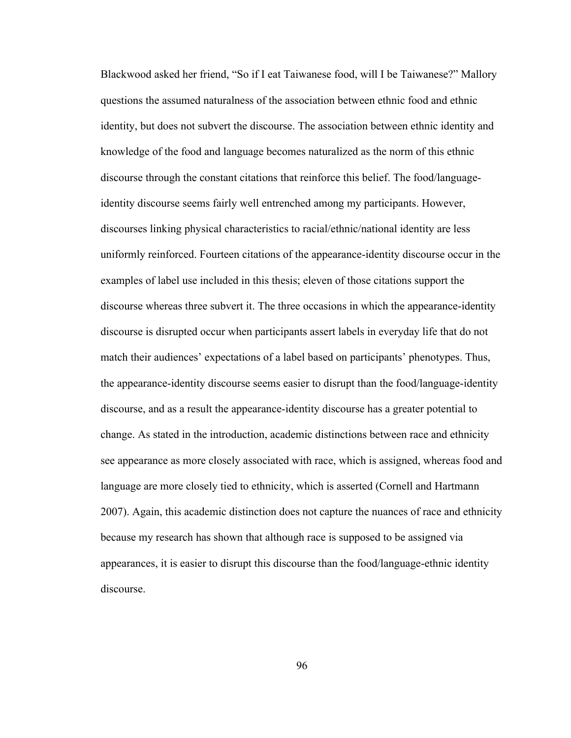Blackwood asked her friend, "So if I eat Taiwanese food, will I be Taiwanese?" Mallory questions the assumed naturalness of the association between ethnic food and ethnic identity, but does not subvert the discourse. The association between ethnic identity and knowledge of the food and language becomes naturalized as the norm of this ethnic discourse through the constant citations that reinforce this belief. The food/languageidentity discourse seems fairly well entrenched among my participants. However, discourses linking physical characteristics to racial/ethnic/national identity are less uniformly reinforced. Fourteen citations of the appearance-identity discourse occur in the examples of label use included in this thesis; eleven of those citations support the discourse whereas three subvert it. The three occasions in which the appearance-identity discourse is disrupted occur when participants assert labels in everyday life that do not match their audiences' expectations of a label based on participants' phenotypes. Thus, the appearance-identity discourse seems easier to disrupt than the food/language-identity discourse, and as a result the appearance-identity discourse has a greater potential to change. As stated in the introduction, academic distinctions between race and ethnicity see appearance as more closely associated with race, which is assigned, whereas food and language are more closely tied to ethnicity, which is asserted (Cornell and Hartmann 2007). Again, this academic distinction does not capture the nuances of race and ethnicity because my research has shown that although race is supposed to be assigned via appearances, it is easier to disrupt this discourse than the food/language-ethnic identity discourse.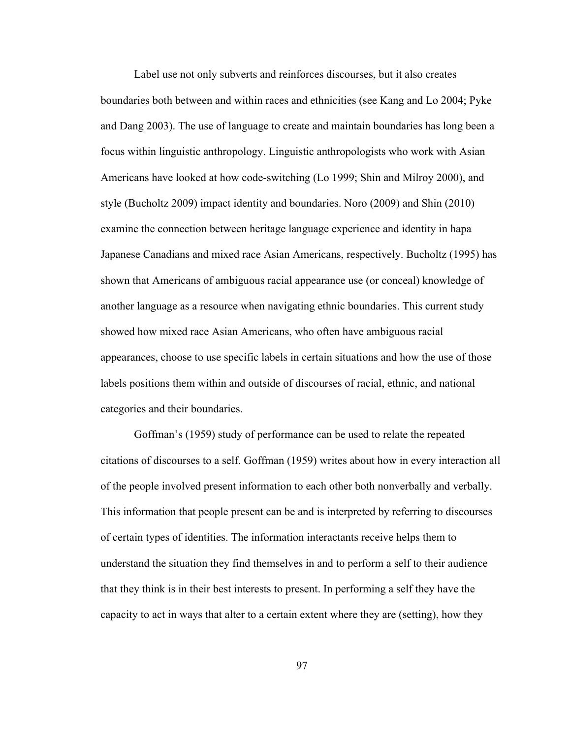Label use not only subverts and reinforces discourses, but it also creates boundaries both between and within races and ethnicities (see Kang and Lo 2004; Pyke and Dang 2003). The use of language to create and maintain boundaries has long been a focus within linguistic anthropology. Linguistic anthropologists who work with Asian Americans have looked at how code-switching (Lo 1999; Shin and Milroy 2000), and style (Bucholtz 2009) impact identity and boundaries. Noro (2009) and Shin (2010) examine the connection between heritage language experience and identity in hapa Japanese Canadians and mixed race Asian Americans, respectively. Bucholtz (1995) has shown that Americans of ambiguous racial appearance use (or conceal) knowledge of another language as a resource when navigating ethnic boundaries. This current study showed how mixed race Asian Americans, who often have ambiguous racial appearances, choose to use specific labels in certain situations and how the use of those labels positions them within and outside of discourses of racial, ethnic, and national categories and their boundaries.

Goffman's (1959) study of performance can be used to relate the repeated citations of discourses to a self. Goffman (1959) writes about how in every interaction all of the people involved present information to each other both nonverbally and verbally. This information that people present can be and is interpreted by referring to discourses of certain types of identities. The information interactants receive helps them to understand the situation they find themselves in and to perform a self to their audience that they think is in their best interests to present. In performing a self they have the capacity to act in ways that alter to a certain extent where they are (setting), how they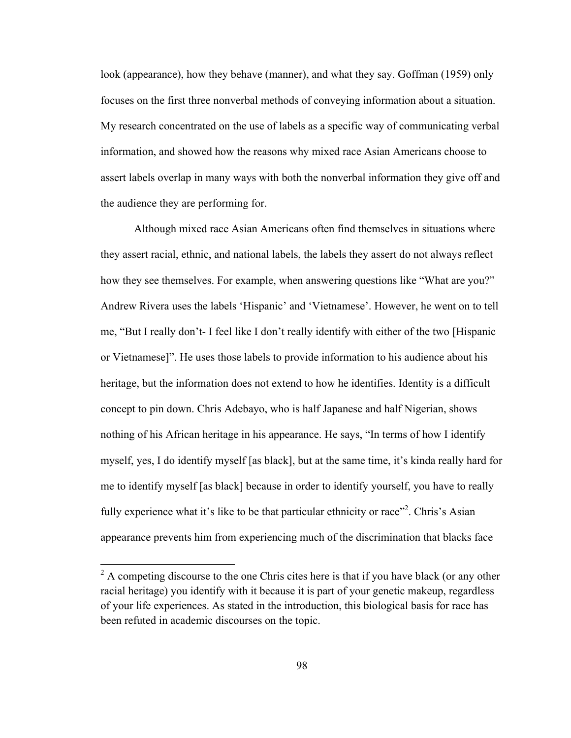look (appearance), how they behave (manner), and what they say. Goffman (1959) only focuses on the first three nonverbal methods of conveying information about a situation. My research concentrated on the use of labels as a specific way of communicating verbal information, and showed how the reasons why mixed race Asian Americans choose to assert labels overlap in many ways with both the nonverbal information they give off and the audience they are performing for.

Although mixed race Asian Americans often find themselves in situations where they assert racial, ethnic, and national labels, the labels they assert do not always reflect how they see themselves. For example, when answering questions like "What are you?" Andrew Rivera uses the labels 'Hispanic' and 'Vietnamese'. However, he went on to tell me, "But I really don't- I feel like I don't really identify with either of the two [Hispanic or Vietnamese]". He uses those labels to provide information to his audience about his heritage, but the information does not extend to how he identifies. Identity is a difficult concept to pin down. Chris Adebayo, who is half Japanese and half Nigerian, shows nothing of his African heritage in his appearance. He says, "In terms of how I identify myself, yes, I do identify myself [as black], but at the same time, it's kinda really hard for me to identify myself [as black] because in order to identify yourself, you have to really fully experience what it's like to be that particular ethnicity or race"<sup>2</sup>. Chris's Asian appearance prevents him from experiencing much of the discrimination that blacks face

 $2<sup>2</sup>$  A competing discourse to the one Chris cites here is that if you have black (or any other racial heritage) you identify with it because it is part of your genetic makeup, regardless of your life experiences. As stated in the introduction, this biological basis for race has been refuted in academic discourses on the topic.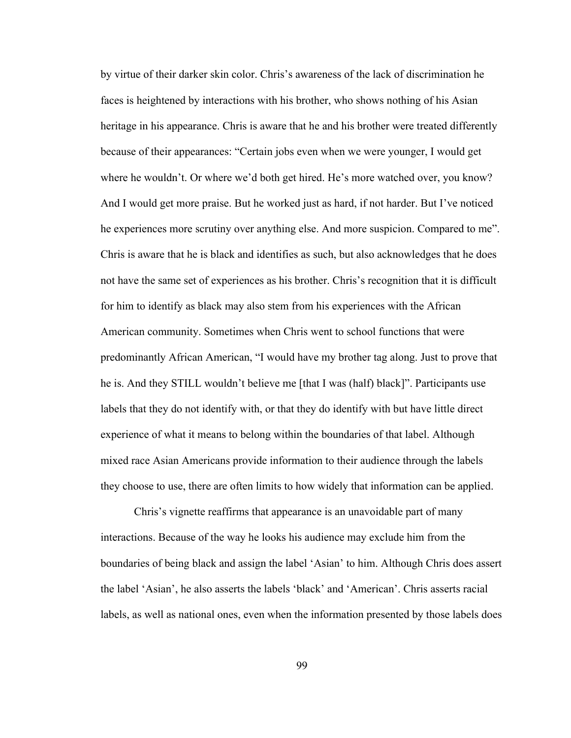by virtue of their darker skin color. Chris's awareness of the lack of discrimination he faces is heightened by interactions with his brother, who shows nothing of his Asian heritage in his appearance. Chris is aware that he and his brother were treated differently because of their appearances: "Certain jobs even when we were younger, I would get where he wouldn't. Or where we'd both get hired. He's more watched over, you know? And I would get more praise. But he worked just as hard, if not harder. But I've noticed he experiences more scrutiny over anything else. And more suspicion. Compared to me". Chris is aware that he is black and identifies as such, but also acknowledges that he does not have the same set of experiences as his brother. Chris's recognition that it is difficult for him to identify as black may also stem from his experiences with the African American community. Sometimes when Chris went to school functions that were predominantly African American, "I would have my brother tag along. Just to prove that he is. And they STILL wouldn't believe me [that I was (half) black]". Participants use labels that they do not identify with, or that they do identify with but have little direct experience of what it means to belong within the boundaries of that label. Although mixed race Asian Americans provide information to their audience through the labels they choose to use, there are often limits to how widely that information can be applied.

Chris's vignette reaffirms that appearance is an unavoidable part of many interactions. Because of the way he looks his audience may exclude him from the boundaries of being black and assign the label 'Asian' to him. Although Chris does assert the label 'Asian', he also asserts the labels 'black' and 'American'. Chris asserts racial labels, as well as national ones, even when the information presented by those labels does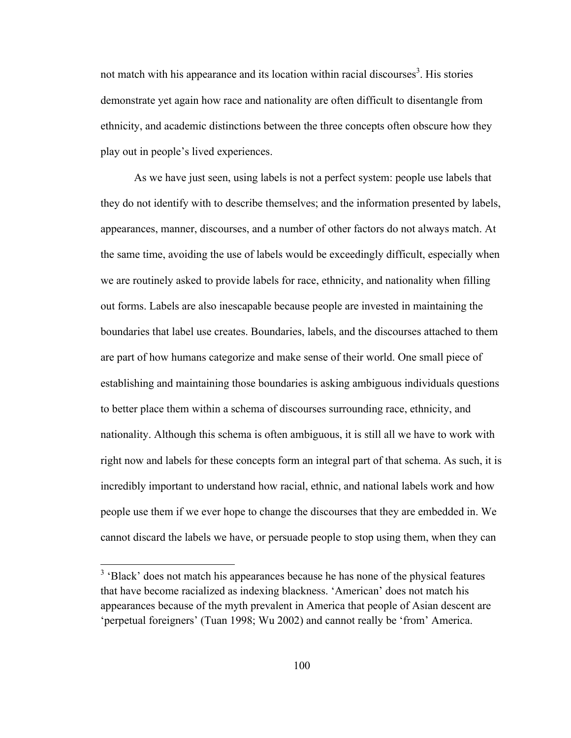not match with his appearance and its location within racial discourses<sup>3</sup>. His stories demonstrate yet again how race and nationality are often difficult to disentangle from ethnicity, and academic distinctions between the three concepts often obscure how they play out in people's lived experiences.

As we have just seen, using labels is not a perfect system: people use labels that they do not identify with to describe themselves; and the information presented by labels, appearances, manner, discourses, and a number of other factors do not always match. At the same time, avoiding the use of labels would be exceedingly difficult, especially when we are routinely asked to provide labels for race, ethnicity, and nationality when filling out forms. Labels are also inescapable because people are invested in maintaining the boundaries that label use creates. Boundaries, labels, and the discourses attached to them are part of how humans categorize and make sense of their world. One small piece of establishing and maintaining those boundaries is asking ambiguous individuals questions to better place them within a schema of discourses surrounding race, ethnicity, and nationality. Although this schema is often ambiguous, it is still all we have to work with right now and labels for these concepts form an integral part of that schema. As such, it is incredibly important to understand how racial, ethnic, and national labels work and how people use them if we ever hope to change the discourses that they are embedded in. We cannot discard the labels we have, or persuade people to stop using them, when they can

<sup>&</sup>lt;sup>3</sup> 'Black' does not match his appearances because he has none of the physical features that have become racialized as indexing blackness. 'American' does not match his appearances because of the myth prevalent in America that people of Asian descent are 'perpetual foreigners' (Tuan 1998; Wu 2002) and cannot really be 'from' America.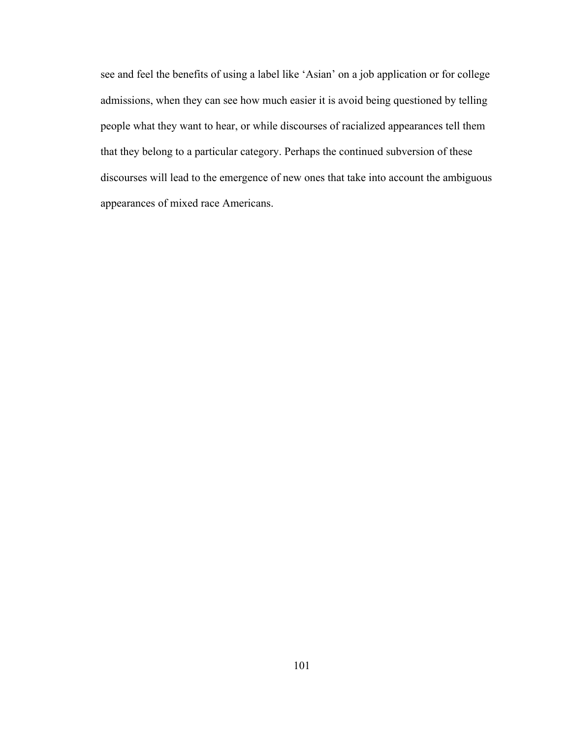see and feel the benefits of using a label like 'Asian' on a job application or for college admissions, when they can see how much easier it is avoid being questioned by telling people what they want to hear, or while discourses of racialized appearances tell them that they belong to a particular category. Perhaps the continued subversion of these discourses will lead to the emergence of new ones that take into account the ambiguous appearances of mixed race Americans.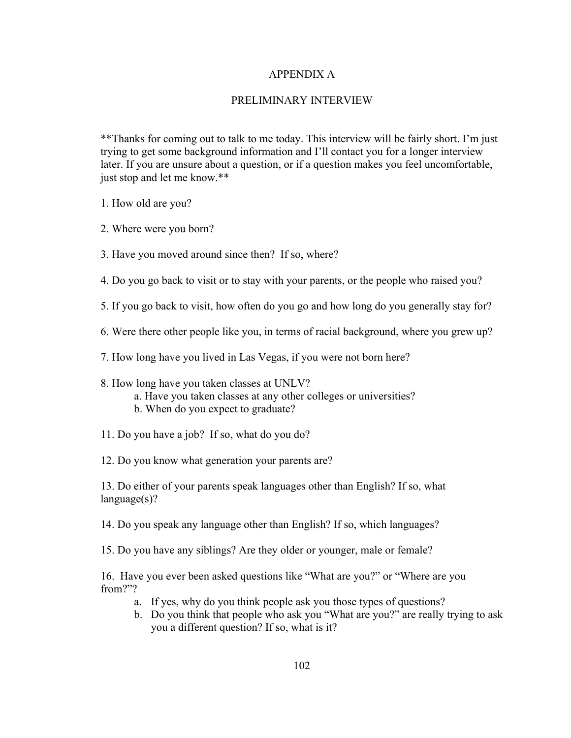# APPENDIX A

## PRELIMINARY INTERVIEW

\*\*Thanks for coming out to talk to me today. This interview will be fairly short. I'm just trying to get some background information and I'll contact you for a longer interview later. If you are unsure about a question, or if a question makes you feel uncomfortable, just stop and let me know.\*\*

1. How old are you?

2. Where were you born?

3. Have you moved around since then? If so, where?

4. Do you go back to visit or to stay with your parents, or the people who raised you?

5. If you go back to visit, how often do you go and how long do you generally stay for?

6. Were there other people like you, in terms of racial background, where you grew up?

7. How long have you lived in Las Vegas, if you were not born here?

- 8. How long have you taken classes at UNLV?
	- a. Have you taken classes at any other colleges or universities?
	- b. When do you expect to graduate?
- 11. Do you have a job? If so, what do you do?

12. Do you know what generation your parents are?

13. Do either of your parents speak languages other than English? If so, what language(s)?

14. Do you speak any language other than English? If so, which languages?

15. Do you have any siblings? Are they older or younger, male or female?

16. Have you ever been asked questions like "What are you?" or "Where are you from?"?

- a. If yes, why do you think people ask you those types of questions?
- b. Do you think that people who ask you "What are you?" are really trying to ask you a different question? If so, what is it?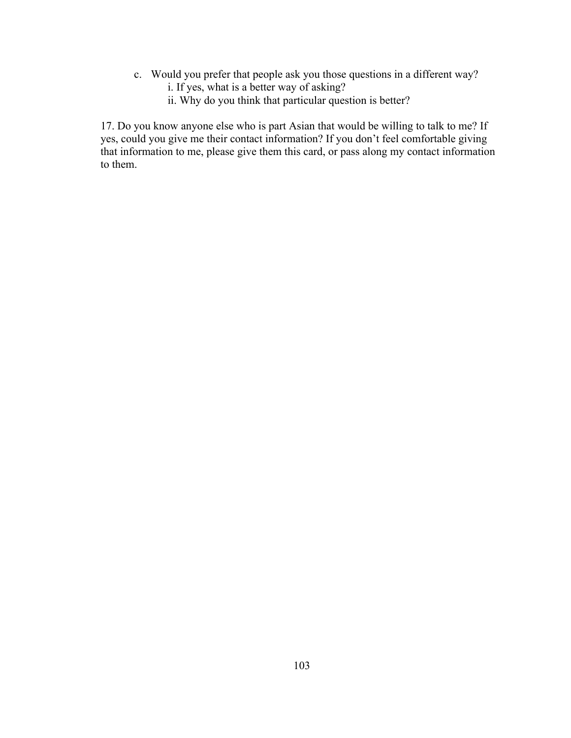- c. Would you prefer that people ask you those questions in a different way?
	- i. If yes, what is a better way of asking?
	- ii. Why do you think that particular question is better?

17. Do you know anyone else who is part Asian that would be willing to talk to me? If yes, could you give me their contact information? If you don't feel comfortable giving that information to me, please give them this card, or pass along my contact information to them.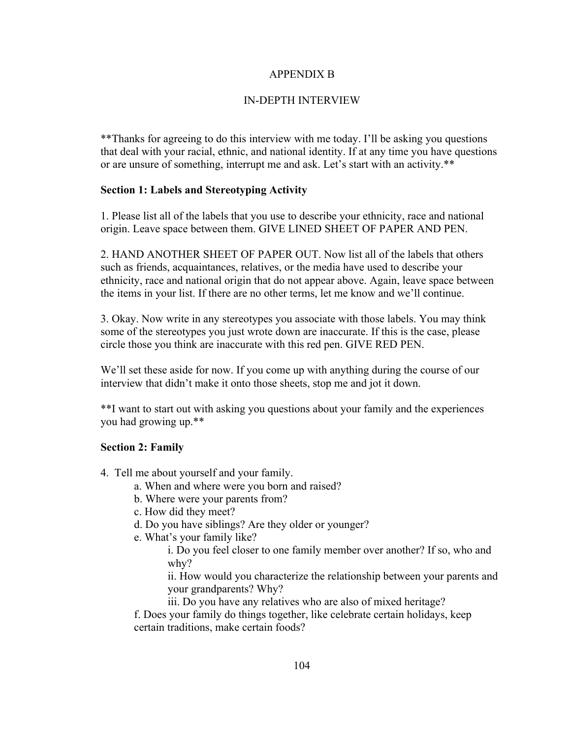### APPENDIX B

### IN-DEPTH INTERVIEW

\*\*Thanks for agreeing to do this interview with me today. I'll be asking you questions that deal with your racial, ethnic, and national identity. If at any time you have questions or are unsure of something, interrupt me and ask. Let's start with an activity.\*\*

### **Section 1: Labels and Stereotyping Activity**

1. Please list all of the labels that you use to describe your ethnicity, race and national origin. Leave space between them. GIVE LINED SHEET OF PAPER AND PEN.

2. HAND ANOTHER SHEET OF PAPER OUT. Now list all of the labels that others such as friends, acquaintances, relatives, or the media have used to describe your ethnicity, race and national origin that do not appear above. Again, leave space between the items in your list. If there are no other terms, let me know and we'll continue.

3. Okay. Now write in any stereotypes you associate with those labels. You may think some of the stereotypes you just wrote down are inaccurate. If this is the case, please circle those you think are inaccurate with this red pen. GIVE RED PEN.

We'll set these aside for now. If you come up with anything during the course of our interview that didn't make it onto those sheets, stop me and jot it down.

\*\*I want to start out with asking you questions about your family and the experiences you had growing up.\*\*

### **Section 2: Family**

- 4. Tell me about yourself and your family.
	- a. When and where were you born and raised?
	- b. Where were your parents from?
	- c. How did they meet?
	- d. Do you have siblings? Are they older or younger?
	- e. What's your family like?
		- i. Do you feel closer to one family member over another? If so, who and why?

ii. How would you characterize the relationship between your parents and your grandparents? Why?

iii. Do you have any relatives who are also of mixed heritage?

f. Does your family do things together, like celebrate certain holidays, keep certain traditions, make certain foods?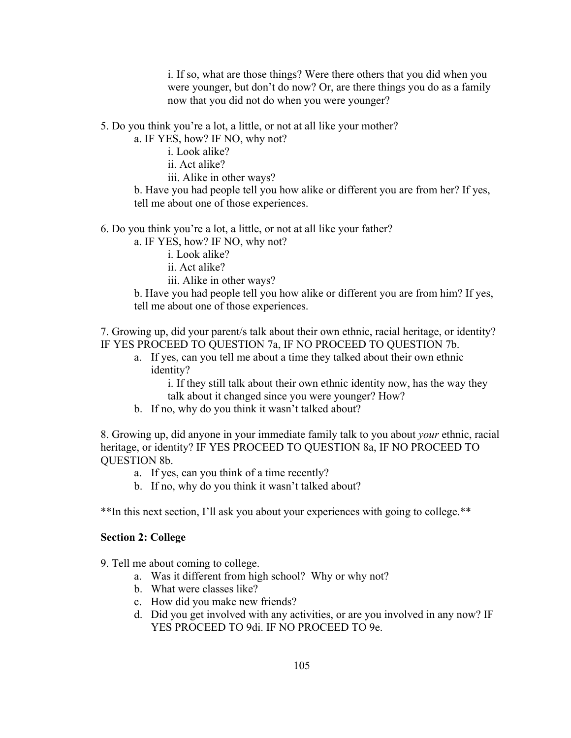i. If so, what are those things? Were there others that you did when you were younger, but don't do now? Or, are there things you do as a family now that you did not do when you were younger?

5. Do you think you're a lot, a little, or not at all like your mother?

a. IF YES, how? IF NO, why not?

i. Look alike?

ii. Act alike?

iii. Alike in other ways?

b. Have you had people tell you how alike or different you are from her? If yes, tell me about one of those experiences.

6. Do you think you're a lot, a little, or not at all like your father?

a. IF YES, how? IF NO, why not?

i. Look alike?

ii. Act alike?

iii. Alike in other ways?

b. Have you had people tell you how alike or different you are from him? If yes, tell me about one of those experiences.

7. Growing up, did your parent/s talk about their own ethnic, racial heritage, or identity? IF YES PROCEED TO QUESTION 7a, IF NO PROCEED TO QUESTION 7b.

a. If yes, can you tell me about a time they talked about their own ethnic identity?

> i. If they still talk about their own ethnic identity now, has the way they talk about it changed since you were younger? How?

b. If no, why do you think it wasn't talked about?

8. Growing up, did anyone in your immediate family talk to you about *your* ethnic, racial heritage, or identity? IF YES PROCEED TO QUESTION 8a, IF NO PROCEED TO QUESTION 8b.

- a. If yes, can you think of a time recently?
- b. If no, why do you think it wasn't talked about?

\*\*In this next section, I'll ask you about your experiences with going to college.\*\*

#### **Section 2: College**

9. Tell me about coming to college.

- a. Was it different from high school? Why or why not?
- b. What were classes like?
- c. How did you make new friends?
- d. Did you get involved with any activities, or are you involved in any now? IF YES PROCEED TO 9di. IF NO PROCEED TO 9e.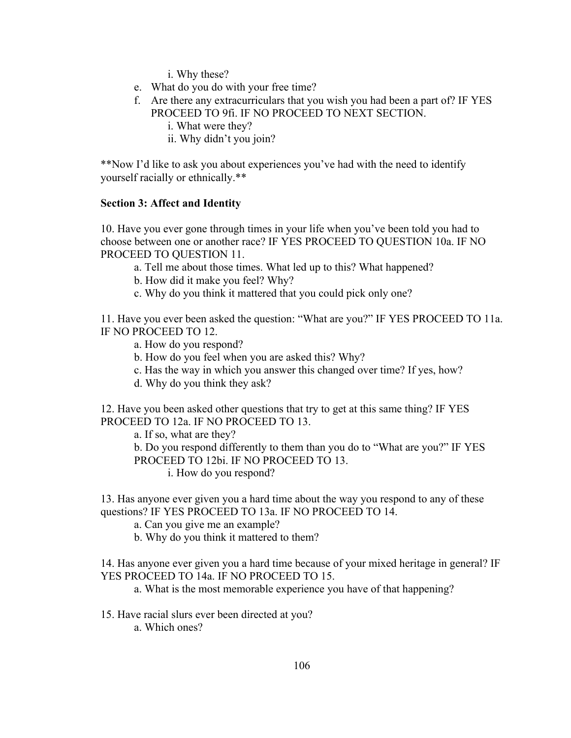i. Why these?

- e. What do you do with your free time?
- f. Are there any extracurriculars that you wish you had been a part of? IF YES PROCEED TO 9fi. IF NO PROCEED TO NEXT SECTION.
	- i. What were they?
	- ii. Why didn't you join?

\*\*Now I'd like to ask you about experiences you've had with the need to identify yourself racially or ethnically.\*\*

#### **Section 3: Affect and Identity**

10. Have you ever gone through times in your life when you've been told you had to choose between one or another race? IF YES PROCEED TO QUESTION 10a. IF NO PROCEED TO QUESTION 11.

a. Tell me about those times. What led up to this? What happened?

b. How did it make you feel? Why?

c. Why do you think it mattered that you could pick only one?

11. Have you ever been asked the question: "What are you?" IF YES PROCEED TO 11a. IF NO PROCEED TO 12.

a. How do you respond?

b. How do you feel when you are asked this? Why?

c. Has the way in which you answer this changed over time? If yes, how?

d. Why do you think they ask?

12. Have you been asked other questions that try to get at this same thing? IF YES PROCEED TO 12a. IF NO PROCEED TO 13.

a. If so, what are they?

b. Do you respond differently to them than you do to "What are you?" IF YES PROCEED TO 12bi. IF NO PROCEED TO 13.

i. How do you respond?

13. Has anyone ever given you a hard time about the way you respond to any of these questions? IF YES PROCEED TO 13a. IF NO PROCEED TO 14.

a. Can you give me an example?

b. Why do you think it mattered to them?

14. Has anyone ever given you a hard time because of your mixed heritage in general? IF YES PROCEED TO 14a. IF NO PROCEED TO 15.

a. What is the most memorable experience you have of that happening?

15. Have racial slurs ever been directed at you?

a. Which ones?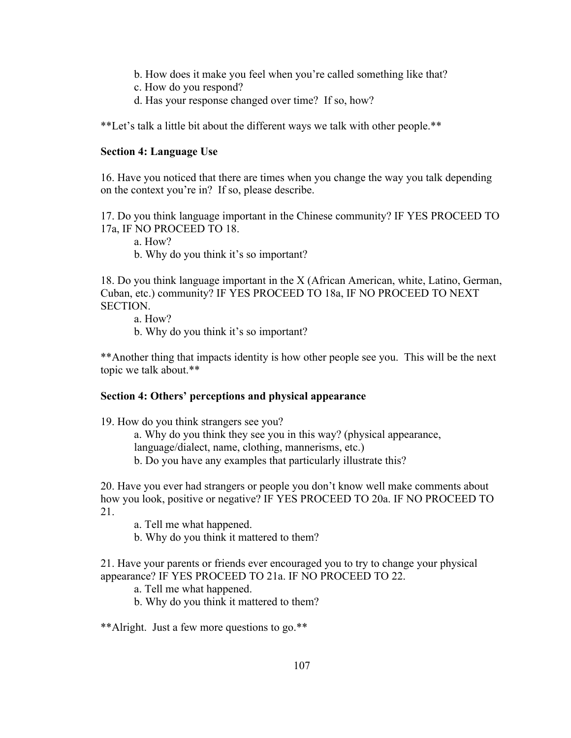- b. How does it make you feel when you're called something like that?
- c. How do you respond?
- d. Has your response changed over time? If so, how?

\*\*Let's talk a little bit about the different ways we talk with other people.\*\*

### **Section 4: Language Use**

16. Have you noticed that there are times when you change the way you talk depending on the context you're in? If so, please describe.

17. Do you think language important in the Chinese community? IF YES PROCEED TO 17a, IF NO PROCEED TO 18.

a. How?

b. Why do you think it's so important?

18. Do you think language important in the X (African American, white, Latino, German, Cuban, etc.) community? IF YES PROCEED TO 18a, IF NO PROCEED TO NEXT SECTION.

a. How?

b. Why do you think it's so important?

\*\*Another thing that impacts identity is how other people see you. This will be the next topic we talk about.\*\*

### **Section 4: Others' perceptions and physical appearance**

19. How do you think strangers see you?

a. Why do you think they see you in this way? (physical appearance, language/dialect, name, clothing, mannerisms, etc.)

b. Do you have any examples that particularly illustrate this?

20. Have you ever had strangers or people you don't know well make comments about how you look, positive or negative? IF YES PROCEED TO 20a. IF NO PROCEED TO 21.

a. Tell me what happened.

b. Why do you think it mattered to them?

21. Have your parents or friends ever encouraged you to try to change your physical appearance? IF YES PROCEED TO 21a. IF NO PROCEED TO 22.

a. Tell me what happened.

b. Why do you think it mattered to them?

\*\*Alright. Just a few more questions to go.\*\*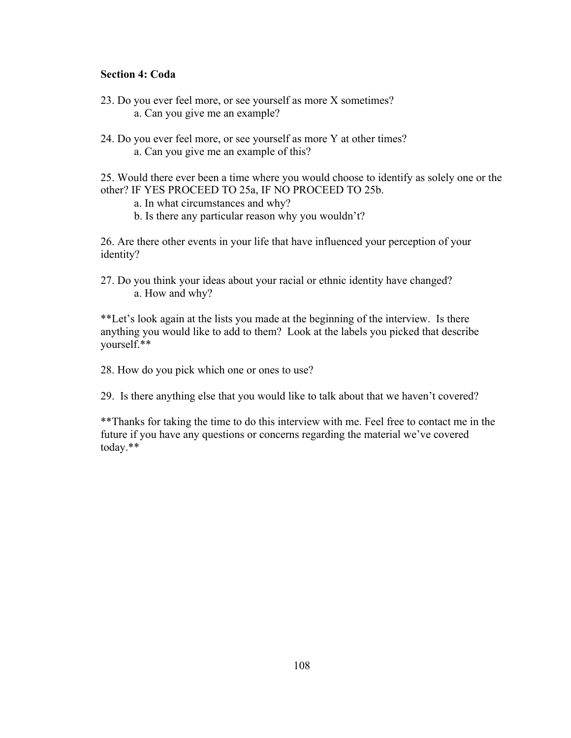### **Section 4: Coda**

- 23. Do you ever feel more, or see yourself as more X sometimes? a. Can you give me an example?
- 24. Do you ever feel more, or see yourself as more Y at other times? a. Can you give me an example of this?

25. Would there ever been a time where you would choose to identify as solely one or the other? IF YES PROCEED TO 25a, IF NO PROCEED TO 25b.

a. In what circumstances and why?

b. Is there any particular reason why you wouldn't?

26. Are there other events in your life that have influenced your perception of your identity?

27. Do you think your ideas about your racial or ethnic identity have changed? a. How and why?

\*\*Let's look again at the lists you made at the beginning of the interview. Is there anything you would like to add to them? Look at the labels you picked that describe yourself.\*\*

28. How do you pick which one or ones to use?

29. Is there anything else that you would like to talk about that we haven't covered?

\*\*Thanks for taking the time to do this interview with me. Feel free to contact me in the future if you have any questions or concerns regarding the material we've covered today.\*\*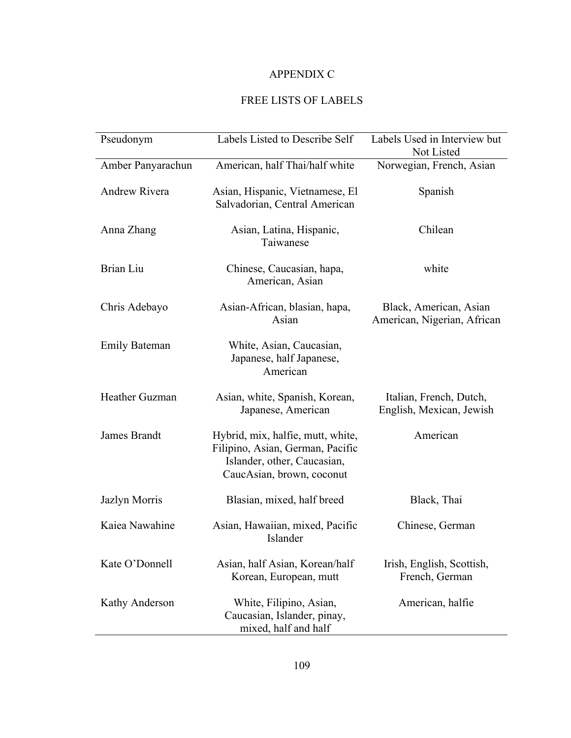## APPENDIX C

### FREE LISTS OF LABELS

| Pseudonym            | Labels Listed to Describe Self                                                                                                    | Labels Used in Interview but<br>Not Listed            |
|----------------------|-----------------------------------------------------------------------------------------------------------------------------------|-------------------------------------------------------|
| Amber Panyarachun    | American, half Thai/half white                                                                                                    | Norwegian, French, Asian                              |
| <b>Andrew Rivera</b> | Asian, Hispanic, Vietnamese, El<br>Salvadorian, Central American                                                                  | Spanish                                               |
| Anna Zhang           | Asian, Latina, Hispanic,<br>Taiwanese                                                                                             | Chilean                                               |
| Brian Liu            | Chinese, Caucasian, hapa,<br>American, Asian                                                                                      | white                                                 |
| Chris Adebayo        | Asian-African, blasian, hapa,<br>Asian                                                                                            | Black, American, Asian<br>American, Nigerian, African |
| <b>Emily Bateman</b> | White, Asian, Caucasian,<br>Japanese, half Japanese,<br>American                                                                  |                                                       |
| Heather Guzman       | Asian, white, Spanish, Korean,<br>Japanese, American                                                                              | Italian, French, Dutch,<br>English, Mexican, Jewish   |
| James Brandt         | Hybrid, mix, halfie, mutt, white,<br>Filipino, Asian, German, Pacific<br>Islander, other, Caucasian,<br>CaucAsian, brown, coconut | American                                              |
| Jazlyn Morris        | Blasian, mixed, half breed                                                                                                        | Black, Thai                                           |
| Kaiea Nawahine       | Asian, Hawaiian, mixed, Pacific<br>Islander                                                                                       | Chinese, German                                       |
| Kate O'Donnell       | Asian, half Asian, Korean/half<br>Korean, European, mutt                                                                          | Irish, English, Scottish,<br>French, German           |
| Kathy Anderson       | White, Filipino, Asian,<br>Caucasian, Islander, pinay,<br>mixed, half and half                                                    | American, halfie                                      |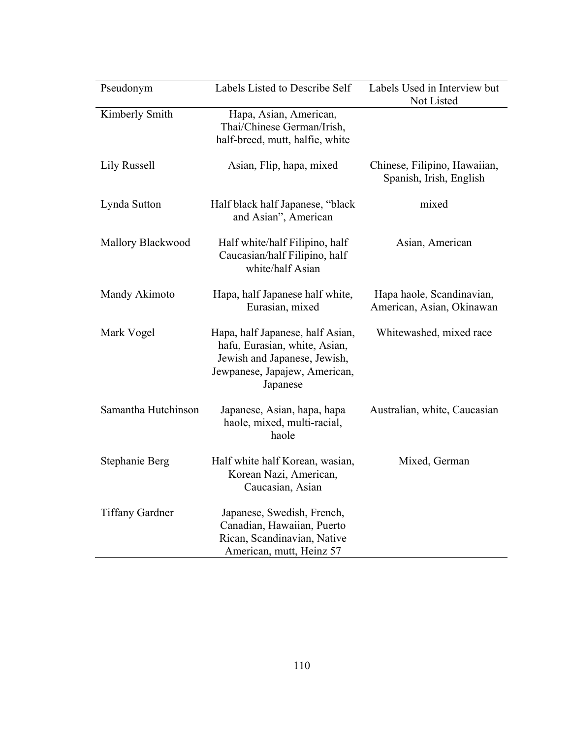| Pseudonym              | Labels Listed to Describe Self                                                                                                                 | Labels Used in Interview but<br>Not Listed              |
|------------------------|------------------------------------------------------------------------------------------------------------------------------------------------|---------------------------------------------------------|
| Kimberly Smith         | Hapa, Asian, American,<br>Thai/Chinese German/Irish,<br>half-breed, mutt, halfie, white                                                        |                                                         |
| Lily Russell           | Asian, Flip, hapa, mixed                                                                                                                       | Chinese, Filipino, Hawaiian,<br>Spanish, Irish, English |
| Lynda Sutton           | Half black half Japanese, "black<br>and Asian", American                                                                                       | mixed                                                   |
| Mallory Blackwood      | Half white/half Filipino, half<br>Caucasian/half Filipino, half<br>white/half Asian                                                            | Asian, American                                         |
| Mandy Akimoto          | Hapa, half Japanese half white,<br>Eurasian, mixed                                                                                             | Hapa haole, Scandinavian,<br>American, Asian, Okinawan  |
| Mark Vogel             | Hapa, half Japanese, half Asian,<br>hafu, Eurasian, white, Asian,<br>Jewish and Japanese, Jewish,<br>Jewpanese, Japajew, American,<br>Japanese | Whitewashed, mixed race                                 |
| Samantha Hutchinson    | Japanese, Asian, hapa, hapa<br>haole, mixed, multi-racial,<br>haole                                                                            | Australian, white, Caucasian                            |
| Stephanie Berg         | Half white half Korean, wasian,<br>Korean Nazi, American,<br>Caucasian, Asian                                                                  | Mixed, German                                           |
| <b>Tiffany Gardner</b> | Japanese, Swedish, French,<br>Canadian, Hawaiian, Puerto<br>Rican, Scandinavian, Native<br>American, mutt, Heinz 57                            |                                                         |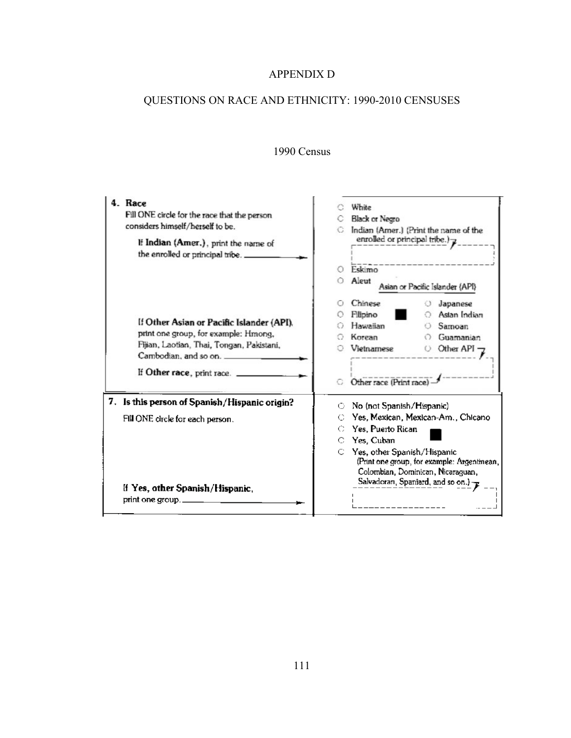## APPENDIX D

# QUESTIONS ON RACE AND ETHNICITY: 1990-2010 CENSUSES

## 1990 Census

| 4. Race<br>Fill ONE circle for the race that the person<br>considers himself/herself to be.<br>If Indian (Amer.), print the name of<br>the enrolled or principal tribe. _             | White<br>Black or Negro<br>Indian (Amer.) (Print the name of the<br>enrolled or principal tribe.) $\rightarrow$<br>Eskimo<br>O<br>Aleut<br>Asian or Pacific Islander (API)                                                                                                          |
|---------------------------------------------------------------------------------------------------------------------------------------------------------------------------------------|-------------------------------------------------------------------------------------------------------------------------------------------------------------------------------------------------------------------------------------------------------------------------------------|
| If Other Asian or Pacific Islander (API).<br>print one group, for example: Hmong,<br>Fijian, Laotian, Thai, Tongan, Pakistani,<br>Cambodian, and so on.<br>If Other race, print race. | Chinese<br>Japanese<br>Astan Indian<br>Filipino<br>Hawaiian<br>Samoan<br>O<br>Korean<br>Guamanian<br>Vietnamese<br>Other API<br>0<br>Other race (Print race                                                                                                                         |
| 7. Is this person of Spanish/Hispanic origin?<br>Fill ONE circle for each person.<br>If Yes, other Spanish/Hispanic,<br>print one group.                                              | No (not Spanish/Hispanic)<br>⊖<br>Yes, Mexican, Mexican-Am., Chicano<br>С<br>Yes, Puerto Rican<br>C<br>C Yes, Cuban<br>$\circ$ Yes, other Spanish/Hispanic<br>(Print one group, for example: Argentinean,<br>Colombian, Dominican, Nicaraguan,<br>Salvadoran, Spaniard, and so on.) |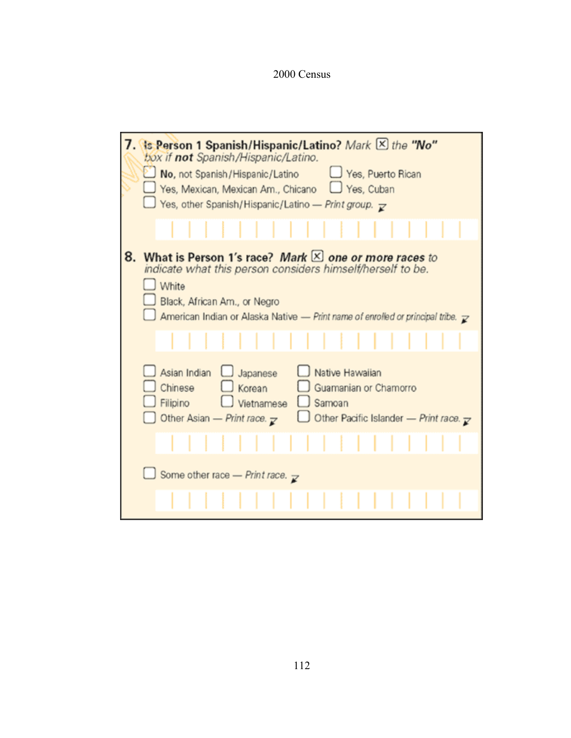2000 Census

| 7. Is Person 1 Spanish/Hispanic/Latino? Mark X the "No"<br>box if not Spanish/Hispanic/Latino.                                                                                                                                                                   |
|------------------------------------------------------------------------------------------------------------------------------------------------------------------------------------------------------------------------------------------------------------------|
| No, not Spanish/Hispanic/Latino<br>Yes, Puerto Rican<br>Yes, Mexican, Mexican Am., Chicano   Yes, Cuban<br>Yes, other Spanish/Hispanic/Latino - Print group. $\mathbf{r}$                                                                                        |
|                                                                                                                                                                                                                                                                  |
| What is Person 1's race? Mark $\times$ one or more races to<br>8.<br>indicate what this person considers himself/herself to be.<br>White<br>Black, African Am., or Negro<br>American Indian or Alaska Native - Print name of enrolled or principal tribe. $\chi$ |
|                                                                                                                                                                                                                                                                  |
| Native Hawaiian<br>Asian Indian<br>U Japanese<br>Chinese<br>$\Box$ Korean<br>Guamanian or Chamorro<br>Filipino<br>Vietnamese<br>Samoan<br>Other Asian - Print race. $\mathbb{Z}$<br>Other Pacific Islander - Print race. $\mathbf{z}$                            |
|                                                                                                                                                                                                                                                                  |
| Some other race - Print race. $\mathbf{z}$                                                                                                                                                                                                                       |
|                                                                                                                                                                                                                                                                  |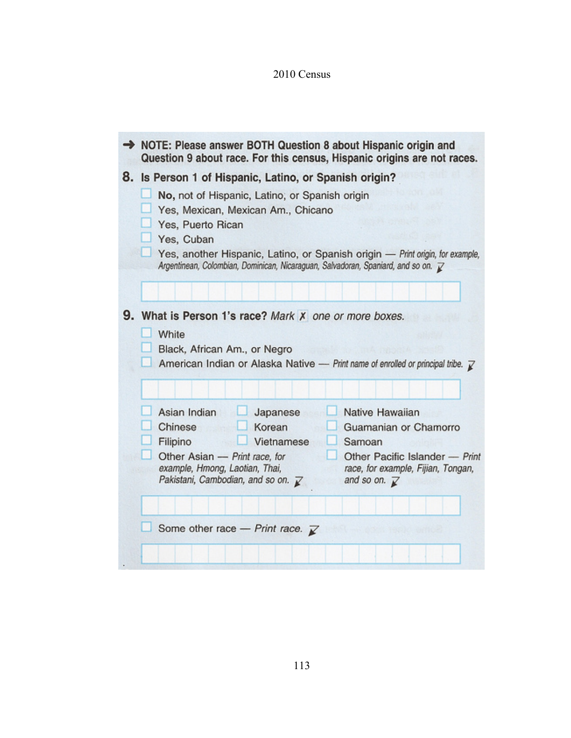# 2010 Census

| NOTE: Please answer BOTH Question 8 about Hispanic origin and<br>Question 9 about race. For this census, Hispanic origins are not races.                                                                                                                                                                                                                                                                               |
|------------------------------------------------------------------------------------------------------------------------------------------------------------------------------------------------------------------------------------------------------------------------------------------------------------------------------------------------------------------------------------------------------------------------|
| 8. Is Person 1 of Hispanic, Latino, or Spanish origin?<br>No, not of Hispanic, Latino, or Spanish origin<br>Yes, Mexican, Mexican Am., Chicano<br>Yes, Puerto Rican<br>Yes, Cuban<br>Yes, another Hispanic, Latino, or Spanish origin - Print origin, for example,<br>Argentinean, Colombian, Dominican, Nicaraguan, Salvadoran, Spaniard, and so on. Z                                                                |
| 9. What is Person 1's race? Mark X one or more boxes.<br>White<br>Black, African Am., or Negro<br>American Indian or Alaska Native - Print name of enrolled or principal tribe. $\mathbb Z$                                                                                                                                                                                                                            |
| Asian Indian<br>Native Hawaiian<br>Japanese<br>Chinese<br>Korean<br>Guamanian or Chamorro<br>Filipino<br>Vietnamese<br>Samoan<br>Other Asian - Print race, for<br>Other Pacific Islander - Print<br>example, Hmong, Laotian, Thai,<br>race, for example, Fijian, Tongan,<br>Pakistani, Cambodian, and so on. $\overrightarrow{k}$<br>and so on. $\mathbb{Z}$<br>Some other race - Print race. $\overline{\mathcal{K}}$ |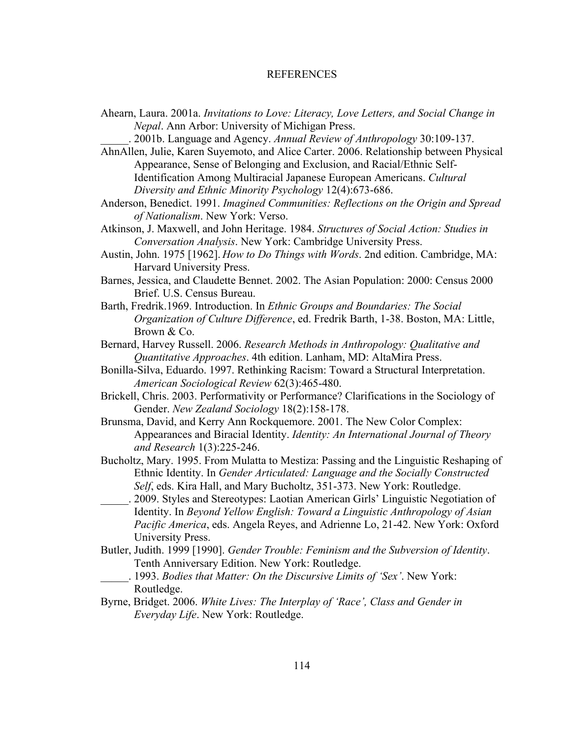#### REFERENCES

- Ahearn, Laura. 2001a. *Invitations to Love: Literacy, Love Letters, and Social Change in Nepal*. Ann Arbor: University of Michigan Press.
	- \_\_\_\_\_. 2001b. Language and Agency. *Annual Review of Anthropology* 30:109-137.
- AhnAllen, Julie, Karen Suyemoto, and Alice Carter. 2006. Relationship between Physical Appearance, Sense of Belonging and Exclusion, and Racial/Ethnic Self-Identification Among Multiracial Japanese European Americans. *Cultural Diversity and Ethnic Minority Psychology* 12(4):673-686.
- Anderson, Benedict. 1991. *Imagined Communities: Reflections on the Origin and Spread of Nationalism*. New York: Verso.
- Atkinson, J. Maxwell, and John Heritage. 1984. *Structures of Social Action: Studies in Conversation Analysis*. New York: Cambridge University Press.
- Austin, John. 1975 [1962]. *How to Do Things with Words*. 2nd edition. Cambridge, MA: Harvard University Press.
- Barnes, Jessica, and Claudette Bennet. 2002. The Asian Population: 2000: Census 2000 Brief. U.S. Census Bureau.
- Barth, Fredrik.1969. Introduction. In *Ethnic Groups and Boundaries: The Social Organization of Culture Difference*, ed. Fredrik Barth, 1-38. Boston, MA: Little, Brown & Co.
- Bernard, Harvey Russell. 2006. *Research Methods in Anthropology: Qualitative and Quantitative Approaches*. 4th edition. Lanham, MD: AltaMira Press.
- Bonilla-Silva, Eduardo. 1997. Rethinking Racism: Toward a Structural Interpretation. *American Sociological Review* 62(3):465-480.
- Brickell, Chris. 2003. Performativity or Performance? Clarifications in the Sociology of Gender. *New Zealand Sociology* 18(2):158-178.
- Brunsma, David, and Kerry Ann Rockquemore. 2001. The New Color Complex: Appearances and Biracial Identity. *Identity: An International Journal of Theory and Research* 1(3):225-246.
- Bucholtz, Mary. 1995. From Mulatta to Mestiza: Passing and the Linguistic Reshaping of Ethnic Identity. In *Gender Articulated: Language and the Socially Constructed Self*, eds. Kira Hall, and Mary Bucholtz, 351-373. New York: Routledge.
- \_\_\_\_\_. 2009. Styles and Stereotypes: Laotian American Girls' Linguistic Negotiation of Identity. In *Beyond Yellow English: Toward a Linguistic Anthropology of Asian Pacific America*, eds. Angela Reyes, and Adrienne Lo, 21-42. New York: Oxford University Press.
- Butler, Judith. 1999 [1990]. *Gender Trouble: Feminism and the Subversion of Identity*. Tenth Anniversary Edition. New York: Routledge.
- \_\_\_\_\_. 1993. *Bodies that Matter: On the Discursive Limits of 'Sex'*. New York: Routledge.
- Byrne, Bridget. 2006. *White Lives: The Interplay of 'Race', Class and Gender in Everyday Life*. New York: Routledge.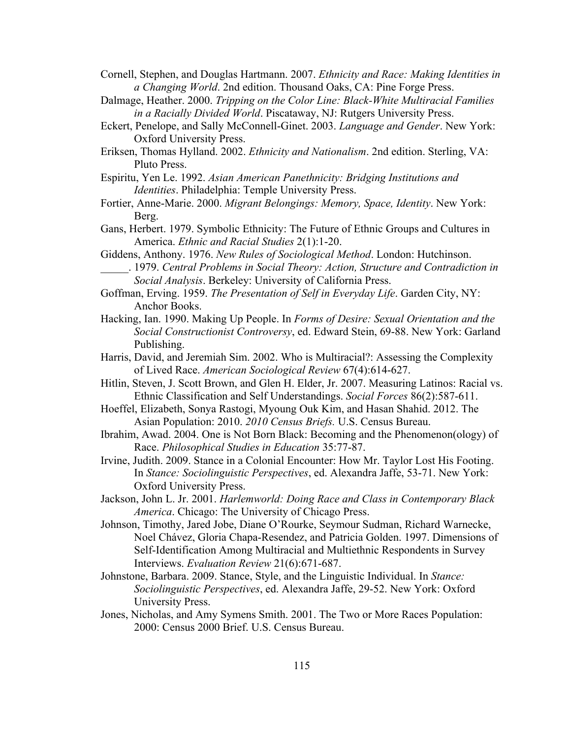Cornell, Stephen, and Douglas Hartmann. 2007. *Ethnicity and Race: Making Identities in a Changing World*. 2nd edition. Thousand Oaks, CA: Pine Forge Press.

- Dalmage, Heather. 2000. *Tripping on the Color Line: Black-White Multiracial Families in a Racially Divided World*. Piscataway, NJ: Rutgers University Press.
- Eckert, Penelope, and Sally McConnell-Ginet. 2003. *Language and Gender*. New York: Oxford University Press.
- Eriksen, Thomas Hylland. 2002. *Ethnicity and Nationalism*. 2nd edition. Sterling, VA: Pluto Press.
- Espiritu, Yen Le. 1992. *Asian American Panethnicity: Bridging Institutions and Identities*. Philadelphia: Temple University Press.
- Fortier, Anne-Marie. 2000. *Migrant Belongings: Memory, Space, Identity*. New York: Berg.
- Gans, Herbert. 1979. Symbolic Ethnicity: The Future of Ethnic Groups and Cultures in America. *Ethnic and Racial Studies* 2(1):1-20.
- Giddens, Anthony. 1976. *New Rules of Sociological Method*. London: Hutchinson.
	- \_\_\_\_\_. 1979. *Central Problems in Social Theory: Action, Structure and Contradiction in Social Analysis*. Berkeley: University of California Press.
- Goffman, Erving. 1959. *The Presentation of Self in Everyday Life*. Garden City, NY: Anchor Books.
- Hacking, Ian. 1990. Making Up People. In *Forms of Desire: Sexual Orientation and the Social Constructionist Controversy*, ed. Edward Stein, 69-88. New York: Garland Publishing.
- Harris, David, and Jeremiah Sim. 2002. Who is Multiracial?: Assessing the Complexity of Lived Race. *American Sociological Review* 67(4):614-627.
- Hitlin, Steven, J. Scott Brown, and Glen H. Elder, Jr. 2007. Measuring Latinos: Racial vs. Ethnic Classification and Self Understandings. *Social Forces* 86(2):587-611.
- Hoeffel, Elizabeth, Sonya Rastogi, Myoung Ouk Kim, and Hasan Shahid. 2012. The Asian Population: 2010. *2010 Census Briefs.* U.S. Census Bureau.
- Ibrahim, Awad. 2004. One is Not Born Black: Becoming and the Phenomenon(ology) of Race. *Philosophical Studies in Education* 35:77-87.
- Irvine, Judith. 2009. Stance in a Colonial Encounter: How Mr. Taylor Lost His Footing. In *Stance: Sociolinguistic Perspectives*, ed. Alexandra Jaffe, 53-71. New York: Oxford University Press.
- Jackson, John L. Jr. 2001. *Harlemworld: Doing Race and Class in Contemporary Black America*. Chicago: The University of Chicago Press.
- Johnson, Timothy, Jared Jobe, Diane O'Rourke, Seymour Sudman, Richard Warnecke, Noel Chávez, Gloria Chapa-Resendez, and Patricia Golden. 1997. Dimensions of Self-Identification Among Multiracial and Multiethnic Respondents in Survey Interviews. *Evaluation Review* 21(6):671-687.
- Johnstone, Barbara. 2009. Stance, Style, and the Linguistic Individual. In *Stance: Sociolinguistic Perspectives*, ed. Alexandra Jaffe, 29-52. New York: Oxford University Press.
- Jones, Nicholas, and Amy Symens Smith. 2001. The Two or More Races Population: 2000: Census 2000 Brief. U.S. Census Bureau.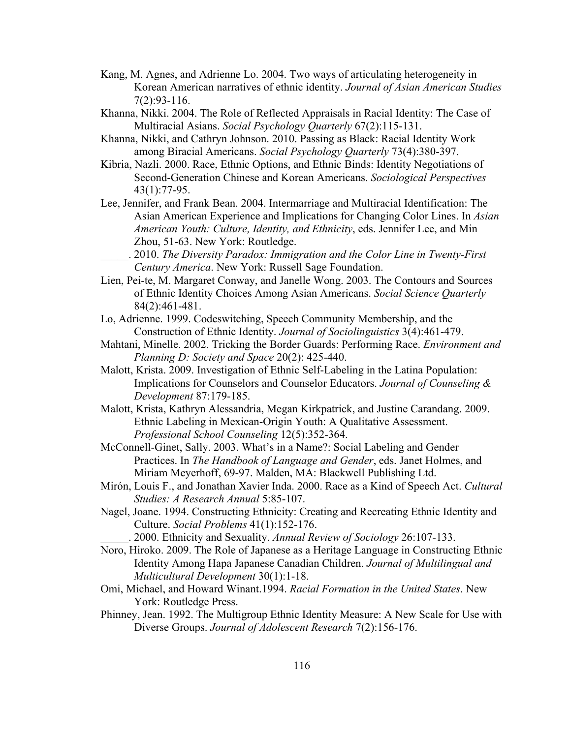- Kang, M. Agnes, and Adrienne Lo. 2004. Two ways of articulating heterogeneity in Korean American narratives of ethnic identity. *Journal of Asian American Studies* 7(2):93-116.
- Khanna, Nikki. 2004. The Role of Reflected Appraisals in Racial Identity: The Case of Multiracial Asians. *Social Psychology Quarterly* 67(2):115-131.
- Khanna, Nikki, and Cathryn Johnson. 2010. Passing as Black: Racial Identity Work among Biracial Americans. *Social Psychology Quarterly* 73(4):380-397.
- Kibria, Nazli. 2000. Race, Ethnic Options, and Ethnic Binds: Identity Negotiations of Second-Generation Chinese and Korean Americans. *Sociological Perspectives* 43(1):77-95.
- Lee, Jennifer, and Frank Bean. 2004. Intermarriage and Multiracial Identification: The Asian American Experience and Implications for Changing Color Lines. In *Asian American Youth: Culture, Identity, and Ethnicity*, eds. Jennifer Lee, and Min Zhou, 51-63. New York: Routledge.
	- \_\_\_\_\_. 2010. *The Diversity Paradox: Immigration and the Color Line in Twenty-First Century America*. New York: Russell Sage Foundation.
- Lien, Pei-te, M. Margaret Conway, and Janelle Wong. 2003. The Contours and Sources of Ethnic Identity Choices Among Asian Americans. *Social Science Quarterly* 84(2):461-481.
- Lo, Adrienne. 1999. Codeswitching, Speech Community Membership, and the Construction of Ethnic Identity. *Journal of Sociolinguistics* 3(4):461-479.
- Mahtani, Minelle. 2002. Tricking the Border Guards: Performing Race. *Environment and Planning D: Society and Space* 20(2): 425-440.
- Malott, Krista. 2009. Investigation of Ethnic Self-Labeling in the Latina Population: Implications for Counselors and Counselor Educators. *Journal of Counseling & Development* 87:179-185.
- Malott, Krista, Kathryn Alessandria, Megan Kirkpatrick, and Justine Carandang. 2009. Ethnic Labeling in Mexican-Origin Youth: A Qualitative Assessment. *Professional School Counseling* 12(5):352-364.
- McConnell-Ginet, Sally. 2003. What's in a Name?: Social Labeling and Gender Practices. In *The Handbook of Language and Gender*, eds. Janet Holmes, and Miriam Meyerhoff, 69-97. Malden, MA: Blackwell Publishing Ltd.
- Mirón, Louis F., and Jonathan Xavier Inda. 2000. Race as a Kind of Speech Act. *Cultural Studies: A Research Annual* 5:85-107.
- Nagel, Joane. 1994. Constructing Ethnicity: Creating and Recreating Ethnic Identity and Culture. *Social Problems* 41(1):152-176.
	- \_\_\_\_\_. 2000. Ethnicity and Sexuality. *Annual Review of Sociology* 26:107-133.
- Noro, Hiroko. 2009. The Role of Japanese as a Heritage Language in Constructing Ethnic Identity Among Hapa Japanese Canadian Children. *Journal of Multilingual and Multicultural Development* 30(1):1-18.
- Omi, Michael, and Howard Winant.1994. *Racial Formation in the United States*. New York: Routledge Press.
- Phinney, Jean. 1992. The Multigroup Ethnic Identity Measure: A New Scale for Use with Diverse Groups. *Journal of Adolescent Research* 7(2):156-176.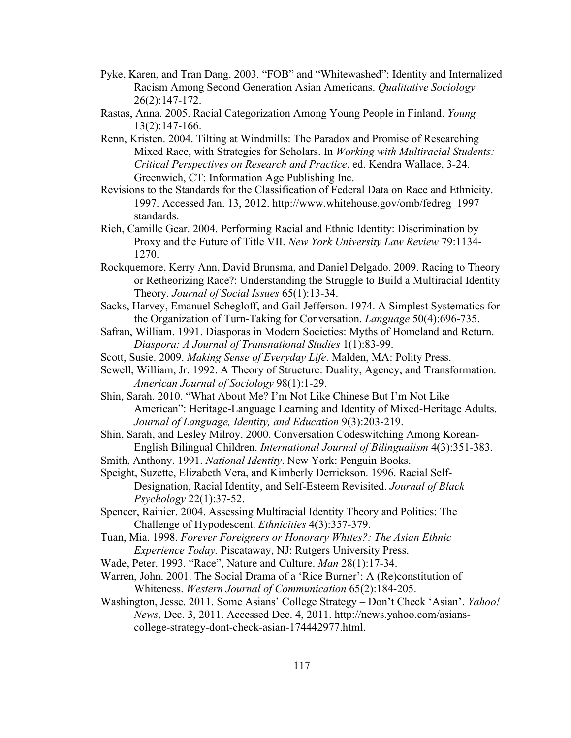- Pyke, Karen, and Tran Dang. 2003. "FOB" and "Whitewashed": Identity and Internalized Racism Among Second Generation Asian Americans. *Qualitative Sociology* 26(2):147-172.
- Rastas, Anna. 2005. Racial Categorization Among Young People in Finland. *Young*  13(2):147-166.
- Renn, Kristen. 2004. Tilting at Windmills: The Paradox and Promise of Researching Mixed Race, with Strategies for Scholars. In *Working with Multiracial Students: Critical Perspectives on Research and Practice*, ed. Kendra Wallace, 3-24. Greenwich, CT: Information Age Publishing Inc.
- Revisions to the Standards for the Classification of Federal Data on Race and Ethnicity. 1997. Accessed Jan. 13, 2012. http://www.whitehouse.gov/omb/fedreg\_1997 standards.
- Rich, Camille Gear. 2004. Performing Racial and Ethnic Identity: Discrimination by Proxy and the Future of Title VII. *New York University Law Review* 79:1134- 1270.
- Rockquemore, Kerry Ann, David Brunsma, and Daniel Delgado. 2009. Racing to Theory or Retheorizing Race?: Understanding the Struggle to Build a Multiracial Identity Theory. *Journal of Social Issues* 65(1):13-34.
- Sacks, Harvey, Emanuel Schegloff, and Gail Jefferson. 1974. A Simplest Systematics for the Organization of Turn-Taking for Conversation. *Language* 50(4):696-735.
- Safran, William. 1991. Diasporas in Modern Societies: Myths of Homeland and Return. *Diaspora: A Journal of Transnational Studies* 1(1):83-99.
- Scott, Susie. 2009. *Making Sense of Everyday Life*. Malden, MA: Polity Press.
- Sewell, William, Jr. 1992. A Theory of Structure: Duality, Agency, and Transformation. *American Journal of Sociology* 98(1):1-29.
- Shin, Sarah. 2010. "What About Me? I'm Not Like Chinese But I'm Not Like American": Heritage-Language Learning and Identity of Mixed-Heritage Adults. *Journal of Language, Identity, and Education* 9(3):203-219.
- Shin, Sarah, and Lesley Milroy. 2000. Conversation Codeswitching Among Korean-English Bilingual Children. *International Journal of Bilingualism* 4(3):351-383.
- Smith, Anthony. 1991. *National Identity*. New York: Penguin Books.
- Speight, Suzette, Elizabeth Vera, and Kimberly Derrickson. 1996. Racial Self-Designation, Racial Identity, and Self-Esteem Revisited. *Journal of Black Psychology* 22(1):37-52.
- Spencer, Rainier. 2004. Assessing Multiracial Identity Theory and Politics: The Challenge of Hypodescent. *Ethnicities* 4(3):357-379.
- Tuan, Mia. 1998. *Forever Foreigners or Honorary Whites?: The Asian Ethnic Experience Today.* Piscataway, NJ: Rutgers University Press.
- Wade, Peter. 1993. "Race", Nature and Culture. *Man* 28(1):17-34.
- Warren, John. 2001. The Social Drama of a 'Rice Burner': A (Re)constitution of Whiteness. *Western Journal of Communication* 65(2):184-205.
- Washington, Jesse. 2011. Some Asians' College Strategy Don't Check 'Asian'. *Yahoo! News*, Dec. 3, 2011. Accessed Dec. 4, 2011. http://news.yahoo.com/asianscollege-strategy-dont-check-asian-174442977.html.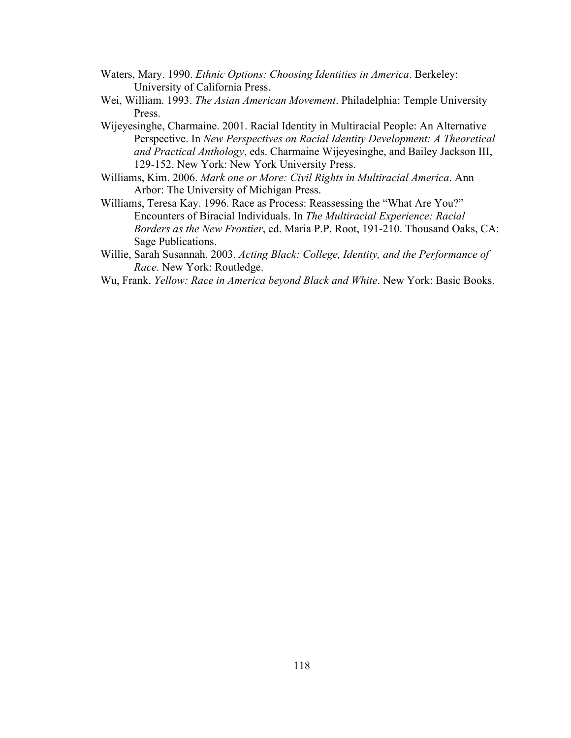- Waters, Mary. 1990. *Ethnic Options: Choosing Identities in America*. Berkeley: University of California Press.
- Wei, William. 1993. *The Asian American Movement*. Philadelphia: Temple University Press.
- Wijeyesinghe, Charmaine. 2001. Racial Identity in Multiracial People: An Alternative Perspective. In *New Perspectives on Racial Identity Development: A Theoretical and Practical Anthology*, eds. Charmaine Wijeyesinghe, and Bailey Jackson III, 129-152. New York: New York University Press.
- Williams, Kim. 2006. *Mark one or More: Civil Rights in Multiracial America*. Ann Arbor: The University of Michigan Press.
- Williams, Teresa Kay. 1996. Race as Process: Reassessing the "What Are You?" Encounters of Biracial Individuals. In *The Multiracial Experience: Racial Borders as the New Frontier*, ed. Maria P.P. Root, 191-210. Thousand Oaks, CA: Sage Publications.
- Willie, Sarah Susannah. 2003. *Acting Black: College, Identity, and the Performance of Race*. New York: Routledge.
- Wu, Frank. *Yellow: Race in America beyond Black and White*. New York: Basic Books.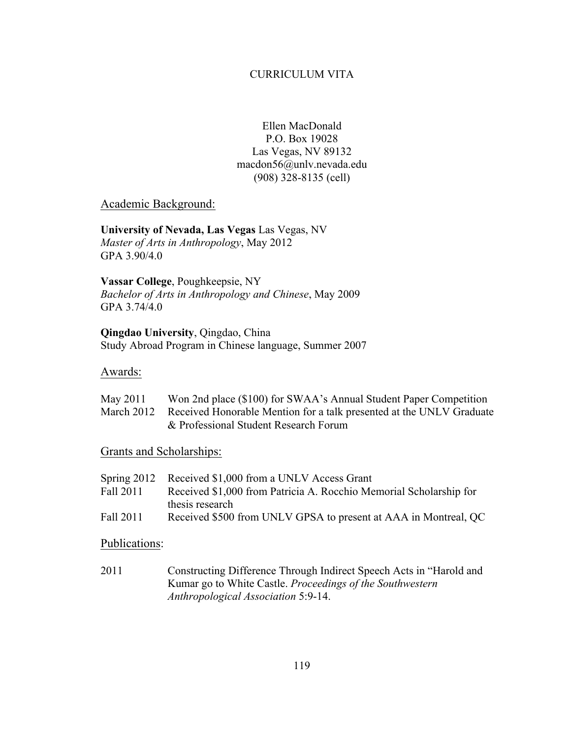### CURRICULUM VITA

Ellen MacDonald P.O. Box 19028 Las Vegas, NV 89132 macdon56@unlv.nevada.edu (908) 328-8135 (cell)

### Academic Background:

**University of Nevada, Las Vegas** Las Vegas, NV *Master of Arts in Anthropology*, May 2012 GPA 3.90/4.0

**Vassar College**, Poughkeepsie, NY *Bachelor of Arts in Anthropology and Chinese*, May 2009 GPA 3.74/4.0

**Qingdao University**, Qingdao, China Study Abroad Program in Chinese language, Summer 2007

### Awards:

| May 2011 | Won 2nd place (\$100) for SWAA's Annual Student Paper Competition               |
|----------|---------------------------------------------------------------------------------|
|          | March 2012 Received Honorable Mention for a talk presented at the UNLV Graduate |
|          | & Professional Student Research Forum                                           |

Grants and Scholarships:

|           | Spring 2012 Received \$1,000 from a UNLV Access Grant              |
|-----------|--------------------------------------------------------------------|
| Fall 2011 | Received \$1,000 from Patricia A. Rocchio Memorial Scholarship for |
|           | thesis research                                                    |
| Fall 2011 | Received \$500 from UNLV GPSA to present at AAA in Montreal, QC    |

### Publications:

2011 Constructing Difference Through Indirect Speech Acts in "Harold and Kumar go to White Castle. *Proceedings of the Southwestern Anthropological Association* 5:9-14.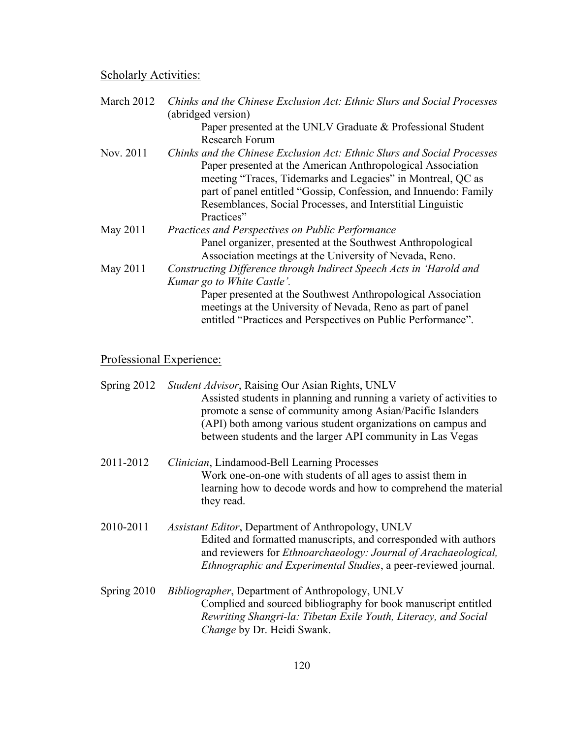# Scholarly Activities:

| March 2012 | Chinks and the Chinese Exclusion Act: Ethnic Slurs and Social Processes<br>(abridged version)                                                                                               |
|------------|---------------------------------------------------------------------------------------------------------------------------------------------------------------------------------------------|
|            | Paper presented at the UNLV Graduate & Professional Student                                                                                                                                 |
|            | <b>Research Forum</b>                                                                                                                                                                       |
| Nov. 2011  | Chinks and the Chinese Exclusion Act: Ethnic Slurs and Social Processes<br>Paper presented at the American Anthropological Association                                                      |
|            | meeting "Traces, Tidemarks and Legacies" in Montreal, QC as<br>part of panel entitled "Gossip, Confession, and Innuendo: Family                                                             |
|            | Resemblances, Social Processes, and Interstitial Linguistic                                                                                                                                 |
|            | Practices"                                                                                                                                                                                  |
| May 2011   | <b>Practices and Perspectives on Public Performance</b>                                                                                                                                     |
|            | Panel organizer, presented at the Southwest Anthropological                                                                                                                                 |
|            | Association meetings at the University of Nevada, Reno.                                                                                                                                     |
| May 2011   | Constructing Difference through Indirect Speech Acts in 'Harold and                                                                                                                         |
|            | Kumar go to White Castle'.                                                                                                                                                                  |
|            | Paper presented at the Southwest Anthropological Association<br>meetings at the University of Nevada, Reno as part of panel<br>entitled "Practices and Perspectives on Public Performance". |

# Professional Experience:

|             | Spring 2012 Student Advisor, Raising Our Asian Rights, UNLV<br>Assisted students in planning and running a variety of activities to<br>promote a sense of community among Asian/Pacific Islanders<br>(API) both among various student organizations on campus and<br>between students and the larger API community in Las Vegas |
|-------------|---------------------------------------------------------------------------------------------------------------------------------------------------------------------------------------------------------------------------------------------------------------------------------------------------------------------------------|
| 2011-2012   | Clinician, Lindamood-Bell Learning Processes<br>Work one-on-one with students of all ages to assist them in<br>learning how to decode words and how to comprehend the material<br>they read.                                                                                                                                    |
| 2010-2011   | Assistant Editor, Department of Anthropology, UNLV<br>Edited and formatted manuscripts, and corresponded with authors<br>and reviewers for <i>Ethnoarchaeology: Journal of Arachaeological</i> ,<br>Ethnographic and Experimental Studies, a peer-reviewed journal.                                                             |
| Spring 2010 | <i>Bibliographer</i> , Department of Anthropology, UNLV<br>Complied and sourced bibliography for book manuscript entitled<br>Rewriting Shangri-la: Tibetan Exile Youth, Literacy, and Social<br>Change by Dr. Heidi Swank.                                                                                                      |